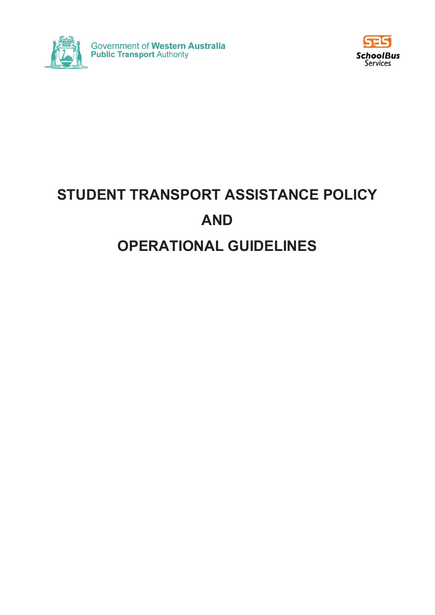



# **STUDENT TRANSPORT ASSISTANCE POLICY AND OPERATIONAL GUIDELINES**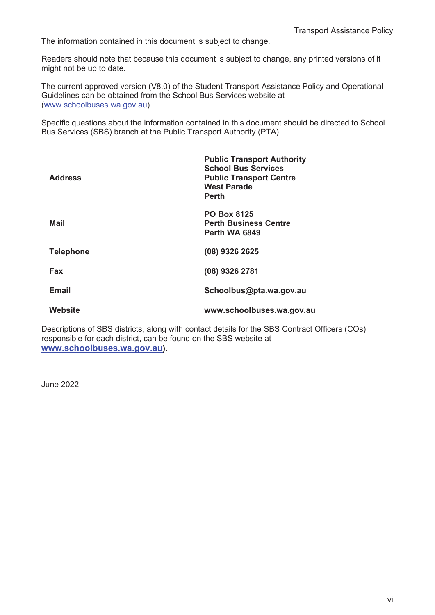The information contained in this document is subject to change.

Readers should note that because this document is subject to change, any printed versions of it might not be up to date.

The current approved version (V8.0) of the Student Transport Assistance Policy and Operational Guidelines can be obtained from the School Bus Services website at (www.schoolbuses.wa.gov.au).

Specific questions about the information contained in this document should be directed to School Bus Services (SBS) branch at the Public Transport Authority (PTA).

| <b>Address</b>   | <b>Public Transport Authority</b><br><b>School Bus Services</b><br><b>Public Transport Centre</b><br><b>West Parade</b><br><b>Perth</b> |
|------------------|-----------------------------------------------------------------------------------------------------------------------------------------|
| Mail             | <b>PO Box 8125</b><br><b>Perth Business Centre</b><br>Perth WA 6849                                                                     |
| <b>Telephone</b> | (08) 9326 2625                                                                                                                          |
| Fax              | (08) 9326 2781                                                                                                                          |
| <b>Email</b>     | Schoolbus@pta.wa.gov.au                                                                                                                 |
| Website          | www.schoolbuses.wa.gov.au                                                                                                               |

Descriptions of SBS districts, along with contact details for the SBS Contract Officers (COs) responsible for each district, can be found on the SBS website at **www.schoolbuses.wa.gov.au).**

June 2022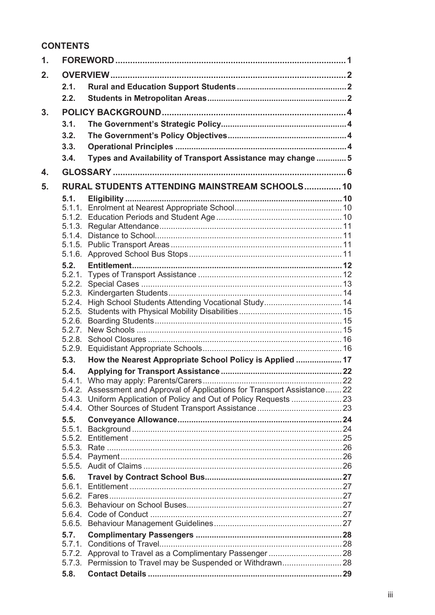# **CONTENTS**

| $\mathbf{1}$ . |                  |                                                                            |  |  |
|----------------|------------------|----------------------------------------------------------------------------|--|--|
| 2.             |                  |                                                                            |  |  |
|                | 2.1.             |                                                                            |  |  |
|                | 2.2.             |                                                                            |  |  |
|                |                  |                                                                            |  |  |
| 3.             |                  |                                                                            |  |  |
|                | 3.1.             |                                                                            |  |  |
|                | 3.2.             |                                                                            |  |  |
|                | 3.3.             |                                                                            |  |  |
|                | 3.4.             | Types and Availability of Transport Assistance may change  5               |  |  |
| 4.             |                  |                                                                            |  |  |
| 5.             |                  | RURAL STUDENTS ATTENDING MAINSTREAM SCHOOLS 10                             |  |  |
|                | 5.1.             |                                                                            |  |  |
|                | 5.1.1.           |                                                                            |  |  |
|                |                  |                                                                            |  |  |
|                |                  |                                                                            |  |  |
|                |                  |                                                                            |  |  |
|                |                  |                                                                            |  |  |
|                | 5.2.             |                                                                            |  |  |
|                |                  |                                                                            |  |  |
|                |                  |                                                                            |  |  |
|                |                  |                                                                            |  |  |
|                | 5.2.4.           | High School Students Attending Vocational Study 14                         |  |  |
|                | 5.2.5.           |                                                                            |  |  |
|                | 5.2.6.<br>5.2.7. |                                                                            |  |  |
|                | 5.2.8.           |                                                                            |  |  |
|                | 5.2.9.           |                                                                            |  |  |
|                | 5.3.             | How the Nearest Appropriate School Policy is Applied  17                   |  |  |
|                | 5.4.             |                                                                            |  |  |
|                | 5.4.1.           |                                                                            |  |  |
|                |                  | 5.4.2. Assessment and Approval of Applications for Transport Assistance 22 |  |  |
|                |                  |                                                                            |  |  |
|                | 5.4.4.           |                                                                            |  |  |
|                | 5.5.             |                                                                            |  |  |
|                | 5.5.1.           |                                                                            |  |  |
|                |                  |                                                                            |  |  |
|                | 5.5.4.           |                                                                            |  |  |
|                |                  |                                                                            |  |  |
|                | 5.6.             |                                                                            |  |  |
|                | 5.6.1.           |                                                                            |  |  |
|                |                  |                                                                            |  |  |
|                |                  |                                                                            |  |  |
|                |                  |                                                                            |  |  |
|                |                  |                                                                            |  |  |
|                | 5.7.<br>5.7.1.   |                                                                            |  |  |
|                |                  |                                                                            |  |  |
|                |                  | 5.7.3. Permission to Travel may be Suspended or Withdrawn 28               |  |  |
|                | 5.8.             |                                                                            |  |  |
|                |                  |                                                                            |  |  |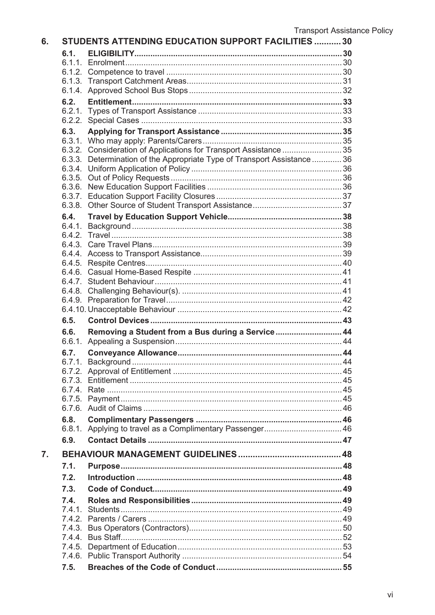| 6. | <b>STUDENTS ATTENDING EDUCATION SUPPORT FACILITIES  30</b> |                                                                          |  |
|----|------------------------------------------------------------|--------------------------------------------------------------------------|--|
|    | 6.1.                                                       |                                                                          |  |
|    |                                                            |                                                                          |  |
|    |                                                            |                                                                          |  |
|    |                                                            |                                                                          |  |
|    |                                                            |                                                                          |  |
|    | 6.2.                                                       |                                                                          |  |
|    |                                                            |                                                                          |  |
|    | 6.3.                                                       |                                                                          |  |
|    |                                                            |                                                                          |  |
|    |                                                            | 6.3.2. Consideration of Applications for Transport Assistance  35        |  |
|    |                                                            | 6.3.3. Determination of the Appropriate Type of Transport Assistance  36 |  |
|    |                                                            |                                                                          |  |
|    |                                                            |                                                                          |  |
|    |                                                            |                                                                          |  |
|    |                                                            |                                                                          |  |
|    | 6.4.                                                       |                                                                          |  |
|    |                                                            |                                                                          |  |
|    |                                                            |                                                                          |  |
|    |                                                            |                                                                          |  |
|    |                                                            |                                                                          |  |
|    |                                                            |                                                                          |  |
|    |                                                            |                                                                          |  |
|    |                                                            |                                                                          |  |
|    |                                                            |                                                                          |  |
|    |                                                            |                                                                          |  |
|    | 6.5.                                                       |                                                                          |  |
|    | 6.6.                                                       | Removing a Student from a Bus during a Service 44                        |  |
|    |                                                            |                                                                          |  |
|    | 6.7.                                                       |                                                                          |  |
|    |                                                            |                                                                          |  |
|    | 6.7.3.                                                     |                                                                          |  |
|    |                                                            |                                                                          |  |
|    |                                                            |                                                                          |  |
|    |                                                            |                                                                          |  |
|    | 6.8.                                                       |                                                                          |  |
|    | 6.8.1.                                                     |                                                                          |  |
|    | 6.9.                                                       |                                                                          |  |
| 7. |                                                            |                                                                          |  |
|    | 7.1.                                                       |                                                                          |  |
|    | 7.2.                                                       |                                                                          |  |
|    | 7.3.                                                       |                                                                          |  |
|    | 7.4.                                                       |                                                                          |  |
|    | 7.4.1.                                                     |                                                                          |  |
|    |                                                            |                                                                          |  |
|    |                                                            |                                                                          |  |
|    |                                                            |                                                                          |  |
|    |                                                            |                                                                          |  |
|    |                                                            |                                                                          |  |
|    | 7.5.                                                       |                                                                          |  |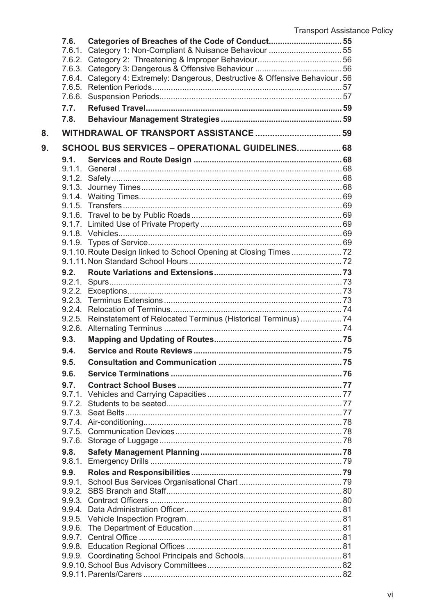|    | 7.6. | Categories of Breaches of the Code of Conduct 55                               |  |  |
|----|------|--------------------------------------------------------------------------------|--|--|
|    |      |                                                                                |  |  |
|    |      |                                                                                |  |  |
|    |      |                                                                                |  |  |
|    |      | 7.6.4. Category 4: Extremely: Dangerous, Destructive & Offensive Behaviour. 56 |  |  |
|    |      |                                                                                |  |  |
|    |      |                                                                                |  |  |
|    | 7.7. |                                                                                |  |  |
|    | 7.8. |                                                                                |  |  |
| 8. |      |                                                                                |  |  |
| 9. |      | SCHOOL BUS SERVICES - OPERATIONAL GUIDELINES 68                                |  |  |
|    | 9.1. |                                                                                |  |  |
|    |      |                                                                                |  |  |
|    |      |                                                                                |  |  |
|    |      |                                                                                |  |  |
|    |      |                                                                                |  |  |
|    |      |                                                                                |  |  |
|    |      |                                                                                |  |  |
|    |      |                                                                                |  |  |
|    |      |                                                                                |  |  |
|    |      |                                                                                |  |  |
|    |      | 9.1.10. Route Design linked to School Opening at Closing Times  72             |  |  |
|    |      |                                                                                |  |  |
|    | 9.2. |                                                                                |  |  |
|    |      |                                                                                |  |  |
|    |      |                                                                                |  |  |
|    |      |                                                                                |  |  |
|    |      | 9.2.5. Reinstatement of Relocated Terminus (Historical Terminus)  74           |  |  |
|    |      |                                                                                |  |  |
|    | 9.3. |                                                                                |  |  |
|    | 9.4. |                                                                                |  |  |
|    | 9.5. |                                                                                |  |  |
|    | 9.6. |                                                                                |  |  |
|    | 9.7. |                                                                                |  |  |
|    |      |                                                                                |  |  |
|    |      |                                                                                |  |  |
|    |      |                                                                                |  |  |
|    |      |                                                                                |  |  |
|    |      |                                                                                |  |  |
|    |      |                                                                                |  |  |
|    | 9.8. |                                                                                |  |  |
|    |      |                                                                                |  |  |
|    | 9.9. |                                                                                |  |  |
|    |      |                                                                                |  |  |
|    |      |                                                                                |  |  |
|    |      |                                                                                |  |  |
|    |      |                                                                                |  |  |
|    |      |                                                                                |  |  |
|    |      |                                                                                |  |  |
|    |      |                                                                                |  |  |
|    |      |                                                                                |  |  |
|    |      |                                                                                |  |  |
|    |      |                                                                                |  |  |
|    |      |                                                                                |  |  |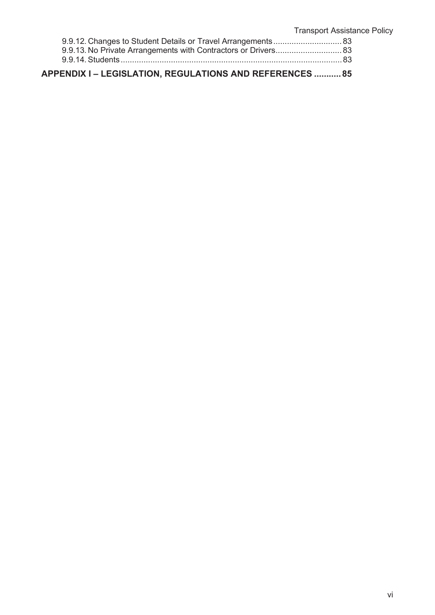| APPENDIX I - LEGISLATION, REGULATIONS AND REFERENCES  85 |  |
|----------------------------------------------------------|--|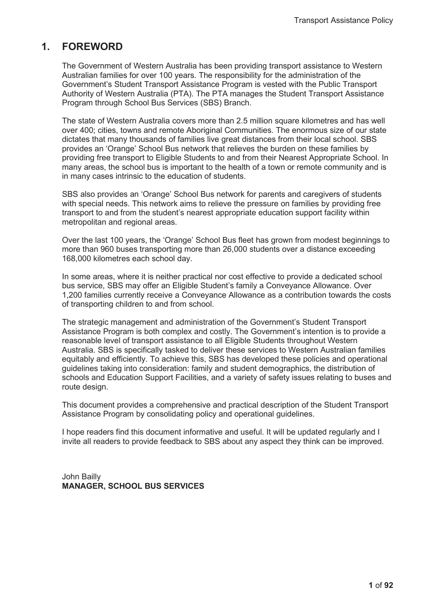# **1. FOREWORD**

The Government of Western Australia has been providing transport assistance to Western Australian families for over 100 years. The responsibility for the administration of the Government's Student Transport Assistance Program is vested with the Public Transport Authority of Western Australia (PTA). The PTA manages the Student Transport Assistance Program through School Bus Services (SBS) Branch.

The state of Western Australia covers more than 2.5 million square kilometres and has well over 400; cities, towns and remote Aboriginal Communities. The enormous size of our state dictates that many thousands of families live great distances from their local school. SBS provides an 'Orange' School Bus network that relieves the burden on these families by providing free transport to Eligible Students to and from their Nearest Appropriate School. In many areas, the school bus is important to the health of a town or remote community and is in many cases intrinsic to the education of students.

SBS also provides an 'Orange' School Bus network for parents and caregivers of students with special needs. This network aims to relieve the pressure on families by providing free transport to and from the student's nearest appropriate education support facility within metropolitan and regional areas.

Over the last 100 years, the 'Orange' School Bus fleet has grown from modest beginnings to more than 960 buses transporting more than 26,000 students over a distance exceeding 168,000 kilometres each school day.

In some areas, where it is neither practical nor cost effective to provide a dedicated school bus service, SBS may offer an Eligible Student's family a Conveyance Allowance. Over 1,200 families currently receive a Conveyance Allowance as a contribution towards the costs of transporting children to and from school.

The strategic management and administration of the Government's Student Transport Assistance Program is both complex and costly. The Government's intention is to provide a reasonable level of transport assistance to all Eligible Students throughout Western Australia. SBS is specifically tasked to deliver these services to Western Australian families equitably and efficiently. To achieve this, SBS has developed these policies and operational guidelines taking into consideration: family and student demographics, the distribution of schools and Education Support Facilities, and a variety of safety issues relating to buses and route design.

This document provides a comprehensive and practical description of the Student Transport Assistance Program by consolidating policy and operational guidelines.

I hope readers find this document informative and useful. It will be updated regularly and I invite all readers to provide feedback to SBS about any aspect they think can be improved.

John Bailly **MANAGER, SCHOOL BUS SERVICES**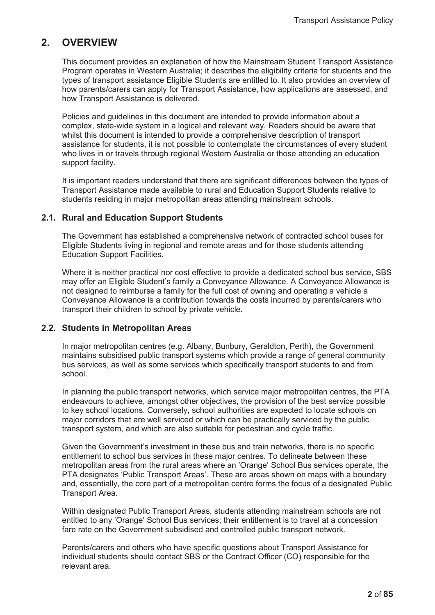# **2. OVERVIEW**

This document provides an explanation of how the Mainstream Student Transport Assistance Program operates in Western Australia; it describes the eligibility criteria for students and the types of transport assistance Eligible Students are entitled to. It also provides an overview of how parents/carers can apply for Transport Assistance, how applications are assessed, and how Transport Assistance is delivered.

Policies and guidelines in this document are intended to provide information about a complex, state-wide system in a logical and relevant way. Readers should be aware that whilst this document is intended to provide a comprehensive description of transport assistance for students, it is not possible to contemplate the circumstances of every student who lives in or travels through regional Western Australia or those attending an education support facility.

It is important readers understand that there are significant differences between the types of Transport Assistance made available to rural and Education Support Students relative to students residing in major metropolitan areas attending mainstream schools.

# **2.1. Rural and Education Support Students**

The Government has established a comprehensive network of contracted school buses for Eligible Students living in regional and remote areas and for those students attending Education Support Facilities.

Where it is neither practical nor cost effective to provide a dedicated school bus service, SBS may offer an Eligible Student's family a Conveyance Allowance. A Conveyance Allowance is not designed to reimburse a family for the full cost of owning and operating a vehicle a Conveyance Allowance is a contribution towards the costs incurred by parents/carers who transport their children to school by private vehicle.

#### **2.2. Students in Metropolitan Areas**

In major metropolitan centres (e.g. Albany, Bunbury, Geraldton, Perth), the Government maintains subsidised public transport systems which provide a range of general community bus services, as well as some services which specifically transport students to and from school.

In planning the public transport networks, which service major metropolitan centres, the PTA endeavours to achieve, amongst other objectives, the provision of the best service possible to key school locations. Conversely, school authorities are expected to locate schools on major corridors that are well serviced or which can be practically serviced by the public transport system, and which are also suitable for pedestrian and cycle traffic.

Given the Government's investment in these bus and train networks, there is no specific entitlement to school bus services in these major centres. To delineate between these metropolitan areas from the rural areas where an 'Orange' School Bus services operate, the PTA designates 'Public Transport Areas'. These are areas shown on maps with a boundary and, essentially, the core part of a metropolitan centre forms the focus of a designated Public Transport Area.

Within designated Public Transport Areas, students attending mainstream schools are not entitled to any 'Orange' School Bus services; their entitlement is to travel at a concession fare rate on the Government subsidised and controlled public transport network.

Parents/carers and others who have specific questions about Transport Assistance for individual students should contact SBS or the Contract Officer (CO) responsible for the relevant area.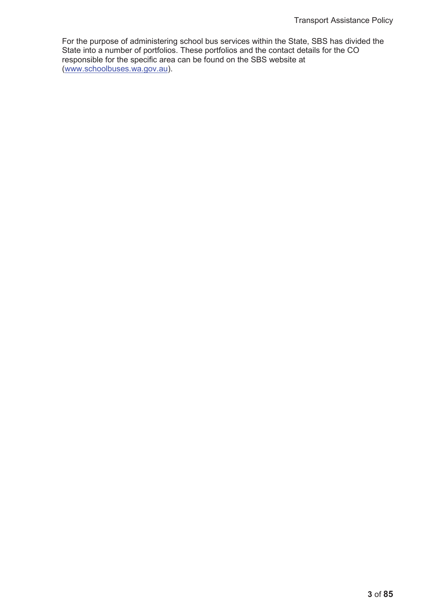For the purpose of administering school bus services within the State, SBS has divided the State into a number of portfolios. These portfolios and the contact details for the CO responsible for the specific area can be found on the SBS website at (www.schoolbuses.wa.gov.au).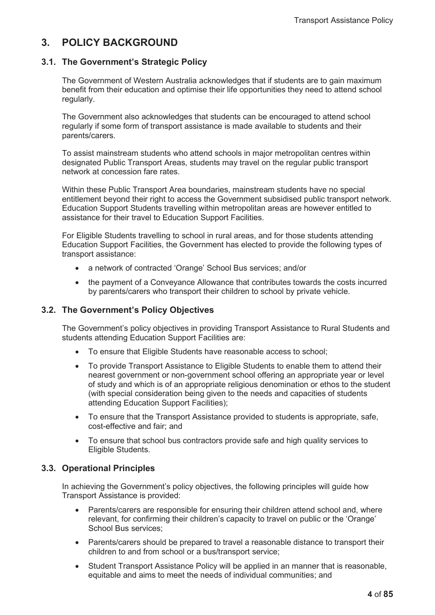# **3. POLICY BACKGROUND**

# **3.1. The Government's Strategic Policy**

The Government of Western Australia acknowledges that if students are to gain maximum benefit from their education and optimise their life opportunities they need to attend school regularly.

The Government also acknowledges that students can be encouraged to attend school regularly if some form of transport assistance is made available to students and their parents/carers.

To assist mainstream students who attend schools in major metropolitan centres within designated Public Transport Areas, students may travel on the regular public transport network at concession fare rates.

Within these Public Transport Area boundaries, mainstream students have no special entitlement beyond their right to access the Government subsidised public transport network. Education Support Students travelling within metropolitan areas are however entitled to assistance for their travel to Education Support Facilities.

For Eligible Students travelling to school in rural areas, and for those students attending Education Support Facilities, the Government has elected to provide the following types of transport assistance:

- a network of contracted 'Orange' School Bus services; and/or
- the payment of a Conveyance Allowance that contributes towards the costs incurred by parents/carers who transport their children to school by private vehicle.

# **3.2. The Government's Policy Objectives**

The Government's policy objectives in providing Transport Assistance to Rural Students and students attending Education Support Facilities are:

- To ensure that Eligible Students have reasonable access to school:
- To provide Transport Assistance to Eligible Students to enable them to attend their nearest government or non-government school offering an appropriate year or level of study and which is of an appropriate religious denomination or ethos to the student (with special consideration being given to the needs and capacities of students attending Education Support Facilities);
- To ensure that the Transport Assistance provided to students is appropriate, safe, cost-effective and fair; and
- To ensure that school bus contractors provide safe and high quality services to Eligible Students.

# **3.3. Operational Principles**

In achieving the Government's policy objectives, the following principles will guide how Transport Assistance is provided:

- Parents/carers are responsible for ensuring their children attend school and, where relevant, for confirming their children's capacity to travel on public or the 'Orange' School Bus services;
- Parents/carers should be prepared to travel a reasonable distance to transport their children to and from school or a bus/transport service;
- Student Transport Assistance Policy will be applied in an manner that is reasonable, equitable and aims to meet the needs of individual communities; and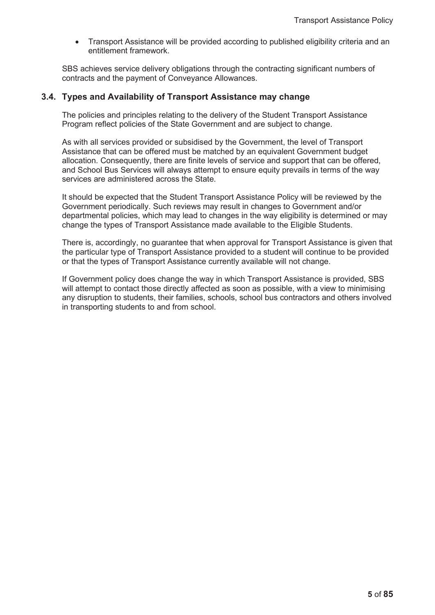Transport Assistance will be provided according to published eligibility criteria and an entitlement framework.

SBS achieves service delivery obligations through the contracting significant numbers of contracts and the payment of Conveyance Allowances.

### **3.4. Types and Availability of Transport Assistance may change**

The policies and principles relating to the delivery of the Student Transport Assistance Program reflect policies of the State Government and are subject to change.

As with all services provided or subsidised by the Government, the level of Transport Assistance that can be offered must be matched by an equivalent Government budget allocation. Consequently, there are finite levels of service and support that can be offered, and School Bus Services will always attempt to ensure equity prevails in terms of the way services are administered across the State.

It should be expected that the Student Transport Assistance Policy will be reviewed by the Government periodically. Such reviews may result in changes to Government and/or departmental policies, which may lead to changes in the way eligibility is determined or may change the types of Transport Assistance made available to the Eligible Students.

There is, accordingly, no guarantee that when approval for Transport Assistance is given that the particular type of Transport Assistance provided to a student will continue to be provided or that the types of Transport Assistance currently available will not change.

If Government policy does change the way in which Transport Assistance is provided, SBS will attempt to contact those directly affected as soon as possible, with a view to minimising any disruption to students, their families, schools, school bus contractors and others involved in transporting students to and from school.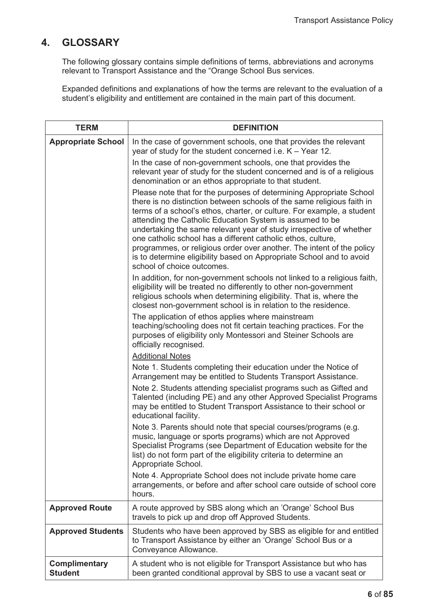# **4. GLOSSARY**

The following glossary contains simple definitions of terms, abbreviations and acronyms relevant to Transport Assistance and the "Orange School Bus services.

Expanded definitions and explanations of how the terms are relevant to the evaluation of a student's eligibility and entitlement are contained in the main part of this document.

| <b>TERM</b>                            | <b>DEFINITION</b>                                                                                                                                                                                                                                                                                                                                                                                                                                                                                                                                                                                         |  |
|----------------------------------------|-----------------------------------------------------------------------------------------------------------------------------------------------------------------------------------------------------------------------------------------------------------------------------------------------------------------------------------------------------------------------------------------------------------------------------------------------------------------------------------------------------------------------------------------------------------------------------------------------------------|--|
| <b>Appropriate School</b>              | In the case of government schools, one that provides the relevant<br>year of study for the student concerned i.e. $K - Year$ 12.                                                                                                                                                                                                                                                                                                                                                                                                                                                                          |  |
|                                        | In the case of non-government schools, one that provides the<br>relevant year of study for the student concerned and is of a religious<br>denomination or an ethos appropriate to that student.                                                                                                                                                                                                                                                                                                                                                                                                           |  |
|                                        | Please note that for the purposes of determining Appropriate School<br>there is no distinction between schools of the same religious faith in<br>terms of a school's ethos, charter, or culture. For example, a student<br>attending the Catholic Education System is assumed to be<br>undertaking the same relevant year of study irrespective of whether<br>one catholic school has a different catholic ethos, culture,<br>programmes, or religious order over another. The intent of the policy<br>is to determine eligibility based on Appropriate School and to avoid<br>school of choice outcomes. |  |
|                                        | In addition, for non-government schools not linked to a religious faith,<br>eligibility will be treated no differently to other non-government<br>religious schools when determining eligibility. That is, where the<br>closest non-government school is in relation to the residence.                                                                                                                                                                                                                                                                                                                    |  |
|                                        | The application of ethos applies where mainstream<br>teaching/schooling does not fit certain teaching practices. For the<br>purposes of eligibility only Montessori and Steiner Schools are<br>officially recognised.                                                                                                                                                                                                                                                                                                                                                                                     |  |
|                                        | <b>Additional Notes</b>                                                                                                                                                                                                                                                                                                                                                                                                                                                                                                                                                                                   |  |
|                                        | Note 1. Students completing their education under the Notice of<br>Arrangement may be entitled to Students Transport Assistance.                                                                                                                                                                                                                                                                                                                                                                                                                                                                          |  |
|                                        | Note 2. Students attending specialist programs such as Gifted and<br>Talented (including PE) and any other Approved Specialist Programs<br>may be entitled to Student Transport Assistance to their school or<br>educational facility.                                                                                                                                                                                                                                                                                                                                                                    |  |
|                                        | Note 3. Parents should note that special courses/programs (e.g.<br>music, language or sports programs) which are not Approved<br>Specialist Programs (see Department of Education website for the<br>list) do not form part of the eligibility criteria to determine an<br>Appropriate School.                                                                                                                                                                                                                                                                                                            |  |
|                                        | Note 4. Appropriate School does not include private home care<br>arrangements, or before and after school care outside of school core<br>hours.                                                                                                                                                                                                                                                                                                                                                                                                                                                           |  |
| <b>Approved Route</b>                  | A route approved by SBS along which an 'Orange' School Bus<br>travels to pick up and drop off Approved Students.                                                                                                                                                                                                                                                                                                                                                                                                                                                                                          |  |
| <b>Approved Students</b>               | Students who have been approved by SBS as eligible for and entitled<br>to Transport Assistance by either an 'Orange' School Bus or a<br>Conveyance Allowance.                                                                                                                                                                                                                                                                                                                                                                                                                                             |  |
| <b>Complimentary</b><br><b>Student</b> | A student who is not eligible for Transport Assistance but who has<br>been granted conditional approval by SBS to use a vacant seat or                                                                                                                                                                                                                                                                                                                                                                                                                                                                    |  |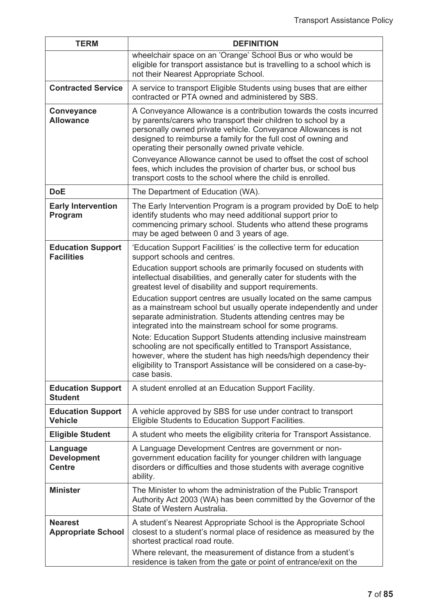| <b>TERM</b>                                     | <b>DEFINITION</b>                                                                                                                                                                                                                                                                                                                                                                                                                                                     |  |
|-------------------------------------------------|-----------------------------------------------------------------------------------------------------------------------------------------------------------------------------------------------------------------------------------------------------------------------------------------------------------------------------------------------------------------------------------------------------------------------------------------------------------------------|--|
|                                                 | wheelchair space on an 'Orange' School Bus or who would be<br>eligible for transport assistance but is travelling to a school which is<br>not their Nearest Appropriate School.                                                                                                                                                                                                                                                                                       |  |
| <b>Contracted Service</b>                       | A service to transport Eligible Students using buses that are either<br>contracted or PTA owned and administered by SBS.                                                                                                                                                                                                                                                                                                                                              |  |
| <b>Conveyance</b><br><b>Allowance</b>           | A Conveyance Allowance is a contribution towards the costs incurred<br>by parents/carers who transport their children to school by a<br>personally owned private vehicle. Conveyance Allowances is not<br>designed to reimburse a family for the full cost of owning and<br>operating their personally owned private vehicle.<br>Conveyance Allowance cannot be used to offset the cost of school<br>fees, which includes the provision of charter bus, or school bus |  |
|                                                 | transport costs to the school where the child is enrolled.                                                                                                                                                                                                                                                                                                                                                                                                            |  |
| <b>DoE</b>                                      | The Department of Education (WA).                                                                                                                                                                                                                                                                                                                                                                                                                                     |  |
| <b>Early Intervention</b><br>Program            | The Early Intervention Program is a program provided by DoE to help<br>identify students who may need additional support prior to<br>commencing primary school. Students who attend these programs<br>may be aged between 0 and 3 years of age.                                                                                                                                                                                                                       |  |
| <b>Education Support</b><br><b>Facilities</b>   | 'Education Support Facilities' is the collective term for education<br>support schools and centres.                                                                                                                                                                                                                                                                                                                                                                   |  |
|                                                 | Education support schools are primarily focused on students with<br>intellectual disabilities, and generally cater for students with the<br>greatest level of disability and support requirements.                                                                                                                                                                                                                                                                    |  |
|                                                 | Education support centres are usually located on the same campus<br>as a mainstream school but usually operate independently and under<br>separate administration. Students attending centres may be<br>integrated into the mainstream school for some programs.                                                                                                                                                                                                      |  |
|                                                 | Note: Education Support Students attending inclusive mainstream<br>schooling are not specifically entitled to Transport Assistance,<br>however, where the student has high needs/high dependency their<br>eligibility to Transport Assistance will be considered on a case-by-<br>case basis.                                                                                                                                                                         |  |
| <b>Education Support</b><br><b>Student</b>      | A student enrolled at an Education Support Facility.                                                                                                                                                                                                                                                                                                                                                                                                                  |  |
| <b>Education Support</b><br><b>Vehicle</b>      | A vehicle approved by SBS for use under contract to transport<br>Eligible Students to Education Support Facilities.                                                                                                                                                                                                                                                                                                                                                   |  |
| <b>Eligible Student</b>                         | A student who meets the eligibility criteria for Transport Assistance.                                                                                                                                                                                                                                                                                                                                                                                                |  |
| Language<br><b>Development</b><br><b>Centre</b> | A Language Development Centres are government or non-<br>government education facility for younger children with language<br>disorders or difficulties and those students with average cognitive<br>ability.                                                                                                                                                                                                                                                          |  |
| <b>Minister</b>                                 | The Minister to whom the administration of the Public Transport<br>Authority Act 2003 (WA) has been committed by the Governor of the<br>State of Western Australia.                                                                                                                                                                                                                                                                                                   |  |
| <b>Nearest</b><br><b>Appropriate School</b>     | A student's Nearest Appropriate School is the Appropriate School<br>closest to a student's normal place of residence as measured by the<br>shortest practical road route.<br>Where relevant, the measurement of distance from a student's                                                                                                                                                                                                                             |  |
|                                                 | residence is taken from the gate or point of entrance/exit on the                                                                                                                                                                                                                                                                                                                                                                                                     |  |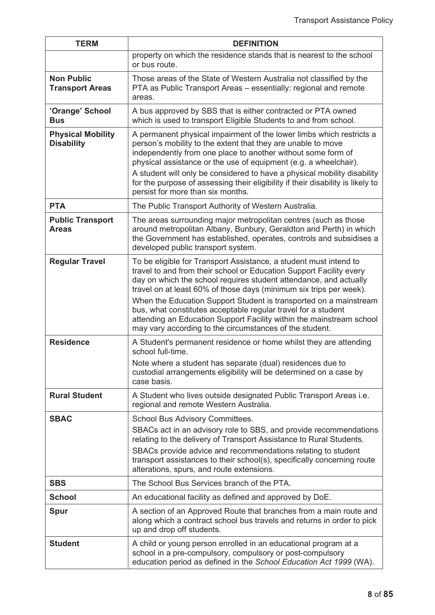| <b>TERM</b>                                                                                                | <b>DEFINITION</b>                                                                                                                                                                                                                                                                                                                                                                                                                                                                                                                                            |  |
|------------------------------------------------------------------------------------------------------------|--------------------------------------------------------------------------------------------------------------------------------------------------------------------------------------------------------------------------------------------------------------------------------------------------------------------------------------------------------------------------------------------------------------------------------------------------------------------------------------------------------------------------------------------------------------|--|
|                                                                                                            | property on which the residence stands that is nearest to the school<br>or bus route.                                                                                                                                                                                                                                                                                                                                                                                                                                                                        |  |
| <b>Non Public</b><br><b>Transport Areas</b>                                                                | Those areas of the State of Western Australia not classified by the<br>PTA as Public Transport Areas - essentially: regional and remote<br>areas.                                                                                                                                                                                                                                                                                                                                                                                                            |  |
| 'Orange' School<br><b>Bus</b>                                                                              | A bus approved by SBS that is either contracted or PTA owned<br>which is used to transport Eligible Students to and from school.                                                                                                                                                                                                                                                                                                                                                                                                                             |  |
| <b>Physical Mobility</b><br><b>Disability</b>                                                              | A permanent physical impairment of the lower limbs which restricts a<br>person's mobility to the extent that they are unable to move<br>independently from one place to another without some form of<br>physical assistance or the use of equipment (e.g. a wheelchair).<br>A student will only be considered to have a physical mobility disability<br>for the purpose of assessing their eligibility if their disability is likely to<br>persist for more than six months.                                                                                 |  |
| <b>PTA</b>                                                                                                 | The Public Transport Authority of Western Australia.                                                                                                                                                                                                                                                                                                                                                                                                                                                                                                         |  |
|                                                                                                            |                                                                                                                                                                                                                                                                                                                                                                                                                                                                                                                                                              |  |
| <b>Public Transport</b><br><b>Areas</b>                                                                    | The areas surrounding major metropolitan centres (such as those<br>around metropolitan Albany, Bunbury, Geraldton and Perth) in which<br>the Government has established, operates, controls and subsidises a<br>developed public transport system.                                                                                                                                                                                                                                                                                                           |  |
| <b>Regular Travel</b>                                                                                      | To be eligible for Transport Assistance, a student must intend to<br>travel to and from their school or Education Support Facility every<br>day on which the school requires student attendance, and actually<br>travel on at least 60% of those days (minimum six trips per week).<br>When the Education Support Student is transported on a mainstream<br>bus, what constitutes acceptable regular travel for a student<br>attending an Education Support Facility within the mainstream school<br>may vary according to the circumstances of the student. |  |
| <b>Residence</b><br>A Student's permanent residence or home whilst they are attending<br>school full-time. |                                                                                                                                                                                                                                                                                                                                                                                                                                                                                                                                                              |  |
|                                                                                                            | Note where a student has separate (dual) residences due to<br>custodial arrangements eligibility will be determined on a case by<br>case basis.                                                                                                                                                                                                                                                                                                                                                                                                              |  |
| <b>Rural Student</b>                                                                                       | A Student who lives outside designated Public Transport Areas i.e.<br>regional and remote Western Australia.                                                                                                                                                                                                                                                                                                                                                                                                                                                 |  |
| <b>SBAC</b>                                                                                                | School Bus Advisory Committees.                                                                                                                                                                                                                                                                                                                                                                                                                                                                                                                              |  |
|                                                                                                            | SBACs act in an advisory role to SBS, and provide recommendations<br>relating to the delivery of Transport Assistance to Rural Students.<br>SBACs provide advice and recommendations relating to student<br>transport assistances to their school(s), specifically concerning route<br>alterations, spurs, and route extensions.                                                                                                                                                                                                                             |  |
| <b>SBS</b>                                                                                                 | The School Bus Services branch of the PTA.                                                                                                                                                                                                                                                                                                                                                                                                                                                                                                                   |  |
| <b>School</b>                                                                                              | An educational facility as defined and approved by DoE.                                                                                                                                                                                                                                                                                                                                                                                                                                                                                                      |  |
| <b>Spur</b>                                                                                                | A section of an Approved Route that branches from a main route and<br>along which a contract school bus travels and returns in order to pick<br>up and drop off students.                                                                                                                                                                                                                                                                                                                                                                                    |  |
| <b>Student</b>                                                                                             | A child or young person enrolled in an educational program at a<br>school in a pre-compulsory, compulsory or post-compulsory<br>education period as defined in the School Education Act 1999 (WA).                                                                                                                                                                                                                                                                                                                                                           |  |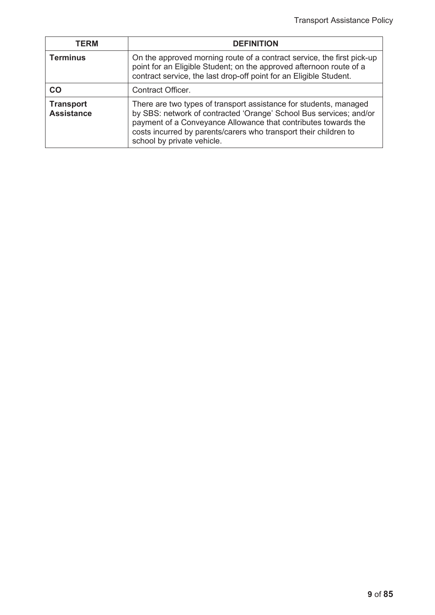| TERM                                  | <b>DEFINITION</b>                                                                                                                                                                                                                                                                                           |  |
|---------------------------------------|-------------------------------------------------------------------------------------------------------------------------------------------------------------------------------------------------------------------------------------------------------------------------------------------------------------|--|
| <b>Terminus</b>                       | On the approved morning route of a contract service, the first pick-up<br>point for an Eligible Student; on the approved afternoon route of a<br>contract service, the last drop-off point for an Eligible Student.                                                                                         |  |
| CO                                    | <b>Contract Officer.</b>                                                                                                                                                                                                                                                                                    |  |
| <b>Transport</b><br><b>Assistance</b> | There are two types of transport assistance for students, managed<br>by SBS: network of contracted 'Orange' School Bus services; and/or<br>payment of a Conveyance Allowance that contributes towards the<br>costs incurred by parents/carers who transport their children to<br>school by private vehicle. |  |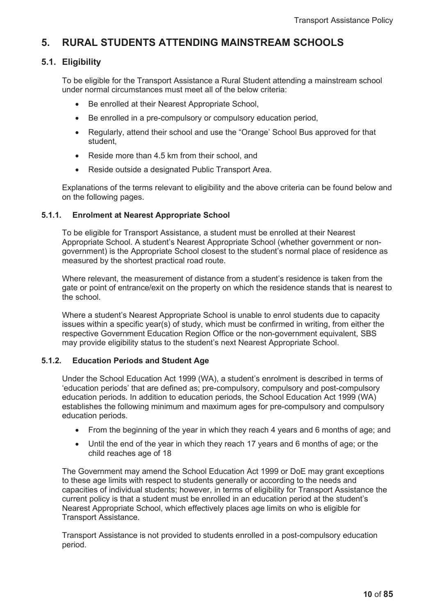# **5. RURAL STUDENTS ATTENDING MAINSTREAM SCHOOLS**

# **5.1. Eligibility**

To be eligible for the Transport Assistance a Rural Student attending a mainstream school under normal circumstances must meet all of the below criteria:

- Be enrolled at their Nearest Appropriate School,
- Be enrolled in a pre-compulsory or compulsory education period,
- Regularly, attend their school and use the "Orange' School Bus approved for that student,
- Reside more than 4.5 km from their school, and
- Reside outside a designated Public Transport Area.

Explanations of the terms relevant to eligibility and the above criteria can be found below and on the following pages.

### **5.1.1. Enrolment at Nearest Appropriate School**

To be eligible for Transport Assistance, a student must be enrolled at their Nearest Appropriate School. A student's Nearest Appropriate School (whether government or nongovernment) is the Appropriate School closest to the student's normal place of residence as measured by the shortest practical road route.

Where relevant, the measurement of distance from a student's residence is taken from the gate or point of entrance/exit on the property on which the residence stands that is nearest to the school.

Where a student's Nearest Appropriate School is unable to enrol students due to capacity issues within a specific year(s) of study, which must be confirmed in writing, from either the respective Government Education Region Office or the non-government equivalent, SBS may provide eligibility status to the student's next Nearest Appropriate School.

#### **5.1.2. Education Periods and Student Age**

Under the School Education Act 1999 (WA), a student's enrolment is described in terms of 'education periods' that are defined as; pre-compulsory, compulsory and post-compulsory education periods. In addition to education periods, the School Education Act 1999 (WA) establishes the following minimum and maximum ages for pre-compulsory and compulsory education periods.

- $\bullet$  From the beginning of the year in which they reach 4 years and 6 months of age; and
- $\bullet$  Until the end of the year in which they reach 17 years and 6 months of age; or the child reaches age of 18

The Government may amend the School Education Act 1999 or DoE may grant exceptions to these age limits with respect to students generally or according to the needs and capacities of individual students; however, in terms of eligibility for Transport Assistance the current policy is that a student must be enrolled in an education period at the student's Nearest Appropriate School, which effectively places age limits on who is eligible for Transport Assistance.

Transport Assistance is not provided to students enrolled in a post-compulsory education period.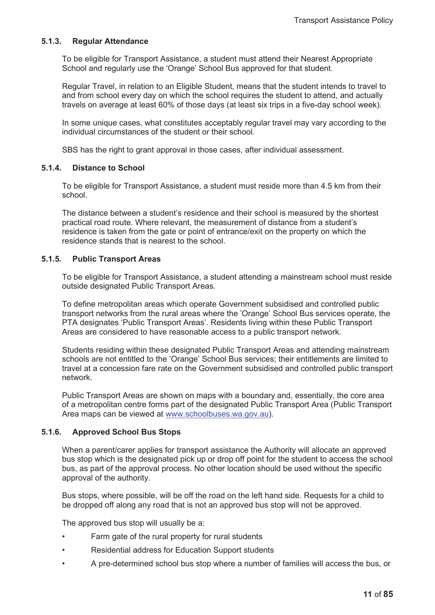#### **5.1.3. Regular Attendance**

To be eligible for Transport Assistance, a student must attend their Nearest Appropriate School and regularly use the 'Orange' School Bus approved for that student.

Regular Travel, in relation to an Eligible Student, means that the student intends to travel to and from school every day on which the school requires the student to attend, and actually travels on average at least 60% of those days (at least six trips in a five-day school week).

In some unique cases, what constitutes acceptably regular travel may vary according to the individual circumstances of the student or their school.

SBS has the right to grant approval in those cases, after individual assessment.

#### **5.1.4. Distance to School**

To be eligible for Transport Assistance, a student must reside more than 4.5 km from their school.

The distance between a student's residence and their school is measured by the shortest practical road route. Where relevant, the measurement of distance from a student's residence is taken from the gate or point of entrance/exit on the property on which the residence stands that is nearest to the school.

#### **5.1.5. Public Transport Areas**

To be eligible for Transport Assistance, a student attending a mainstream school must reside outside designated Public Transport Areas.

To define metropolitan areas which operate Government subsidised and controlled public transport networks from the rural areas where the 'Orange' School Bus services operate, the PTA designates 'Public Transport Areas'. Residents living within these Public Transport Areas are considered to have reasonable access to a public transport network.

Students residing within these designated Public Transport Areas and attending mainstream schools are not entitled to the 'Orange' School Bus services; their entitlements are limited to travel at a concession fare rate on the Government subsidised and controlled public transport network.

Public Transport Areas are shown on maps with a boundary and, essentially, the core area of a metropolitan centre forms part of the designated Public Transport Area (Public Transport Area maps can be viewed at www.schoolbuses.wa.gov.au).

#### **5.1.6. Approved School Bus Stops**

When a parent/carer applies for transport assistance the Authority will allocate an approved bus stop which is the designated pick up or drop off point for the student to access the school bus, as part of the approval process. No other location should be used without the specific approval of the authority.

Bus stops, where possible, will be off the road on the left hand side. Requests for a child to be dropped off along any road that is not an approved bus stop will not be approved.

The approved bus stop will usually be a:

- Farm gate of the rural property for rural students
- Residential address for Education Support students
- A pre-determined school bus stop where a number of families will access the bus, or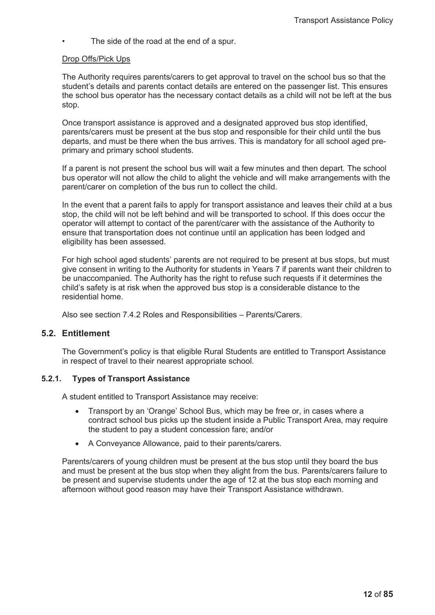The side of the road at the end of a spur.

#### Drop Offs/Pick Ups

The Authority requires parents/carers to get approval to travel on the school bus so that the student's details and parents contact details are entered on the passenger list. This ensures the school bus operator has the necessary contact details as a child will not be left at the bus stop.

Once transport assistance is approved and a designated approved bus stop identified, parents/carers must be present at the bus stop and responsible for their child until the bus departs, and must be there when the bus arrives. This is mandatory for all school aged preprimary and primary school students.

If a parent is not present the school bus will wait a few minutes and then depart. The school bus operator will not allow the child to alight the vehicle and will make arrangements with the parent/carer on completion of the bus run to collect the child.

In the event that a parent fails to apply for transport assistance and leaves their child at a bus stop, the child will not be left behind and will be transported to school. If this does occur the operator will attempt to contact of the parent/carer with the assistance of the Authority to ensure that transportation does not continue until an application has been lodged and eligibility has been assessed.

For high school aged students' parents are not required to be present at bus stops, but must give consent in writing to the Authority for students in Years 7 if parents want their children to be unaccompanied. The Authority has the right to refuse such requests if it determines the child's safety is at risk when the approved bus stop is a considerable distance to the residential home.

Also see section 7.4.2 Roles and Responsibilities – Parents/Carers.

# **5.2. Entitlement**

The Government's policy is that eligible Rural Students are entitled to Transport Assistance in respect of travel to their nearest appropriate school.

#### **5.2.1. Types of Transport Assistance**

A student entitled to Transport Assistance may receive:

- Transport by an 'Orange' School Bus, which may be free or, in cases where a contract school bus picks up the student inside a Public Transport Area, may require the student to pay a student concession fare; and/or
- A Convevance Allowance, paid to their parents/carers.

Parents/carers of young children must be present at the bus stop until they board the bus and must be present at the bus stop when they alight from the bus. Parents/carers failure to be present and supervise students under the age of 12 at the bus stop each morning and afternoon without good reason may have their Transport Assistance withdrawn.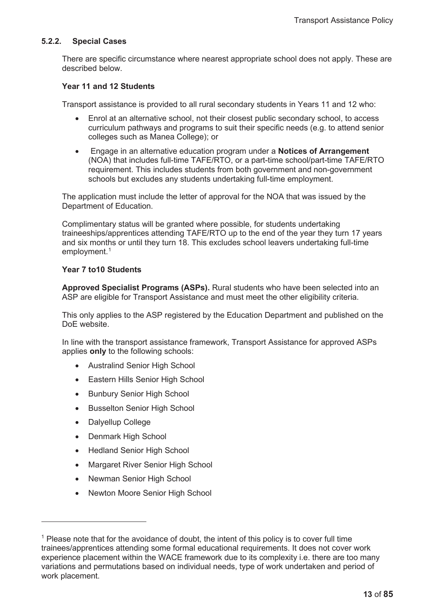#### **5.2.2. Special Cases**

There are specific circumstance where nearest appropriate school does not apply. These are described below.

#### **Year 11 and 12 Students**

Transport assistance is provided to all rural secondary students in Years 11 and 12 who:

- Enrol at an alternative school, not their closest public secondary school, to access curriculum pathways and programs to suit their specific needs (e.g. to attend senior colleges such as Manea College); or
- x Engage in an alternative education program under a **Notices of Arrangement** (NOA) that includes full-time TAFE/RTO, or a part-time school/part-time TAFE/RTO requirement. This includes students from both government and non-government schools but excludes any students undertaking full-time employment.

The application must include the letter of approval for the NOA that was issued by the Department of Education.

Complimentary status will be granted where possible, for students undertaking traineeships/apprentices attending TAFE/RTO up to the end of the year they turn 17 years and six months or until they turn 18. This excludes school leavers undertaking full-time employment.<sup>1</sup>

#### **Year 7 to10 Students**

**Approved Specialist Programs (ASPs).** Rural students who have been selected into an ASP are eligible for Transport Assistance and must meet the other eligibility criteria.

This only applies to the ASP registered by the Education Department and published on the DoE website.

In line with the transport assistance framework, Transport Assistance for approved ASPs applies **only** to the following schools:

- Australind Senior High School
- Eastern Hills Senior High School
- Bunbury Senior High School
- Busselton Senior High School
- Dalyellup College
- Denmark High School
- Hedland Senior High School
- Margaret River Senior High School
- Newman Senior High School
- Newton Moore Senior High School

 $<sup>1</sup>$  Please note that for the avoidance of doubt, the intent of this policy is to cover full time</sup> trainees/apprentices attending some formal educational requirements. It does not cover work experience placement within the WACE framework due to its complexity i.e. there are too many variations and permutations based on individual needs, type of work undertaken and period of work placement.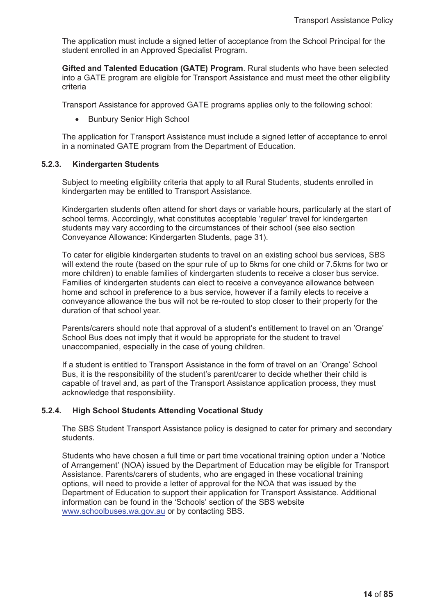The application must include a signed letter of acceptance from the School Principal for the student enrolled in an Approved Specialist Program.

**Gifted and Talented Education (GATE) Program**. Rural students who have been selected into a GATE program are eligible for Transport Assistance and must meet the other eligibility criteria

Transport Assistance for approved GATE programs applies only to the following school:

• Bunbury Senior High School

The application for Transport Assistance must include a signed letter of acceptance to enrol in a nominated GATE program from the Department of Education.

#### **5.2.3. Kindergarten Students**

Subject to meeting eligibility criteria that apply to all Rural Students, students enrolled in kindergarten may be entitled to Transport Assistance.

Kindergarten students often attend for short days or variable hours, particularly at the start of school terms. Accordingly, what constitutes acceptable 'regular' travel for kindergarten students may vary according to the circumstances of their school (see also section Conveyance Allowance: Kindergarten Students, page 31).

To cater for eligible kindergarten students to travel on an existing school bus services, SBS will extend the route (based on the spur rule of up to 5kms for one child or 7.5kms for two or more children) to enable families of kindergarten students to receive a closer bus service. Families of kindergarten students can elect to receive a conveyance allowance between home and school in preference to a bus service, however if a family elects to receive a conveyance allowance the bus will not be re-routed to stop closer to their property for the duration of that school year.

Parents/carers should note that approval of a student's entitlement to travel on an 'Orange' School Bus does not imply that it would be appropriate for the student to travel unaccompanied, especially in the case of young children.

If a student is entitled to Transport Assistance in the form of travel on an 'Orange' School Bus, it is the responsibility of the student's parent/carer to decide whether their child is capable of travel and, as part of the Transport Assistance application process, they must acknowledge that responsibility.

#### **5.2.4. High School Students Attending Vocational Study**

The SBS Student Transport Assistance policy is designed to cater for primary and secondary students.

Students who have chosen a full time or part time vocational training option under a 'Notice of Arrangement' (NOA) issued by the Department of Education may be eligible for Transport Assistance. Parents/carers of students, who are engaged in these vocational training options, will need to provide a letter of approval for the NOA that was issued by the Department of Education to support their application for Transport Assistance. Additional information can be found in the 'Schools' section of the SBS website www.schoolbuses.wa.gov.au or by contacting SBS.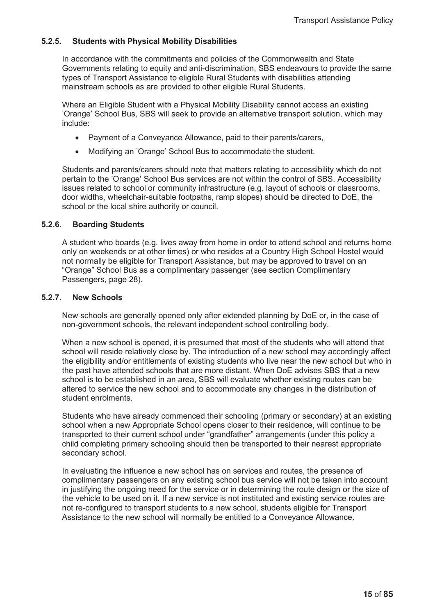### **5.2.5. Students with Physical Mobility Disabilities**

In accordance with the commitments and policies of the Commonwealth and State Governments relating to equity and anti-discrimination, SBS endeavours to provide the same types of Transport Assistance to eligible Rural Students with disabilities attending mainstream schools as are provided to other eligible Rural Students.

Where an Eligible Student with a Physical Mobility Disability cannot access an existing 'Orange' School Bus, SBS will seek to provide an alternative transport solution, which may include:

- Payment of a Conveyance Allowance, paid to their parents/carers,
- Modifying an 'Orange' School Bus to accommodate the student.

Students and parents/carers should note that matters relating to accessibility which do not pertain to the 'Orange' School Bus services are not within the control of SBS. Accessibility issues related to school or community infrastructure (e.g. layout of schools or classrooms, door widths, wheelchair-suitable footpaths, ramp slopes) should be directed to DoE, the school or the local shire authority or council.

#### **5.2.6. Boarding Students**

A student who boards (e.g. lives away from home in order to attend school and returns home only on weekends or at other times) or who resides at a Country High School Hostel would not normally be eligible for Transport Assistance, but may be approved to travel on an "Orange" School Bus as a complimentary passenger (see section Complimentary Passengers, page 28).

#### **5.2.7. New Schools**

New schools are generally opened only after extended planning by DoE or, in the case of non-government schools, the relevant independent school controlling body.

When a new school is opened, it is presumed that most of the students who will attend that school will reside relatively close by. The introduction of a new school may accordingly affect the eligibility and/or entitlements of existing students who live near the new school but who in the past have attended schools that are more distant. When DoE advises SBS that a new school is to be established in an area, SBS will evaluate whether existing routes can be altered to service the new school and to accommodate any changes in the distribution of student enrolments.

Students who have already commenced their schooling (primary or secondary) at an existing school when a new Appropriate School opens closer to their residence, will continue to be transported to their current school under "grandfather" arrangements (under this policy a child completing primary schooling should then be transported to their nearest appropriate secondary school.

In evaluating the influence a new school has on services and routes, the presence of complimentary passengers on any existing school bus service will not be taken into account in justifying the ongoing need for the service or in determining the route design or the size of the vehicle to be used on it. If a new service is not instituted and existing service routes are not re-configured to transport students to a new school, students eligible for Transport Assistance to the new school will normally be entitled to a Conveyance Allowance.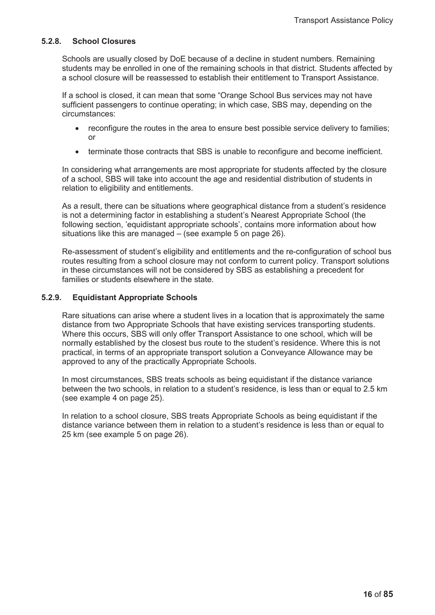#### **5.2.8. School Closures**

Schools are usually closed by DoE because of a decline in student numbers. Remaining students may be enrolled in one of the remaining schools in that district. Students affected by a school closure will be reassessed to establish their entitlement to Transport Assistance.

If a school is closed, it can mean that some "Orange School Bus services may not have sufficient passengers to continue operating; in which case, SBS may, depending on the circumstances:

- reconfigure the routes in the area to ensure best possible service delivery to families; or
- terminate those contracts that SBS is unable to reconfigure and become inefficient.

In considering what arrangements are most appropriate for students affected by the closure of a school, SBS will take into account the age and residential distribution of students in relation to eligibility and entitlements.

As a result, there can be situations where geographical distance from a student's residence is not a determining factor in establishing a student's Nearest Appropriate School (the following section, 'equidistant appropriate schools', contains more information about how situations like this are managed – (see example 5 on page 26).

Re-assessment of student's eligibility and entitlements and the re-configuration of school bus routes resulting from a school closure may not conform to current policy. Transport solutions in these circumstances will not be considered by SBS as establishing a precedent for families or students elsewhere in the state.

#### **5.2.9. Equidistant Appropriate Schools**

Rare situations can arise where a student lives in a location that is approximately the same distance from two Appropriate Schools that have existing services transporting students. Where this occurs, SBS will only offer Transport Assistance to one school, which will be normally established by the closest bus route to the student's residence. Where this is not practical, in terms of an appropriate transport solution a Conveyance Allowance may be approved to any of the practically Appropriate Schools.

In most circumstances, SBS treats schools as being equidistant if the distance variance between the two schools, in relation to a student's residence, is less than or equal to 2.5 km (see example 4 on page 25).

In relation to a school closure, SBS treats Appropriate Schools as being equidistant if the distance variance between them in relation to a student's residence is less than or equal to 25 km (see example 5 on page 26).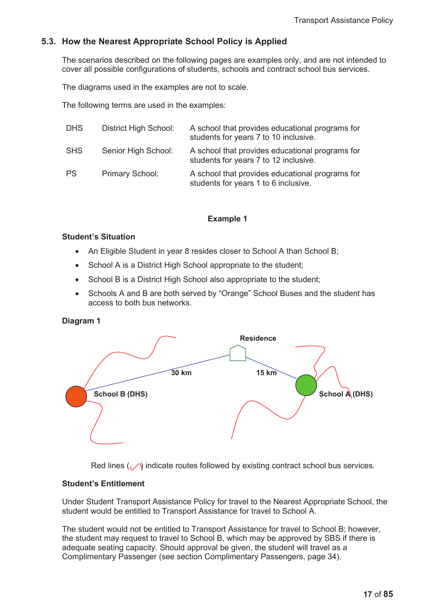# **5.3. How the Nearest Appropriate School Policy is Applied**

The scenarios described on the following pages are examples only, and are not intended to cover all possible configurations of students, schools and contract school bus services.

The diagrams used in the examples are not to scale.

The following terms are used in the examples:

| <b>DHS</b> | District High School: | A school that provides educational programs for<br>students for years 7 to 10 inclusive. |
|------------|-----------------------|------------------------------------------------------------------------------------------|
| <b>SHS</b> | Senior High School:   | A school that provides educational programs for<br>students for years 7 to 12 inclusive. |
| <b>PS</b>  | Primary School:       | A school that provides educational programs for<br>students for years 1 to 6 inclusive.  |

#### **Example 1**

#### **Student's Situation**

- An Eligible Student in year 8 resides closer to School A than School B;
- School A is a District High School appropriate to the student;
- School B is a District High School also appropriate to the student;
- Schools A and B are both served by "Orange" School Buses and the student has access to both bus networks.

**Diagram 1** 



Red lines  $\binom{n}{k}$  indicate routes followed by existing contract school bus services.

#### **Student's Entitlement**

Under Student Transport Assistance Policy for travel to the Nearest Appropriate School, the student would be entitled to Transport Assistance for travel to School A.

The student would not be entitled to Transport Assistance for travel to School B; however, the student may request to travel to School B, which may be approved by SBS if there is adequate seating capacity. Should approval be given, the student will travel as a Complimentary Passenger (see section Complimentary Passengers, page 34).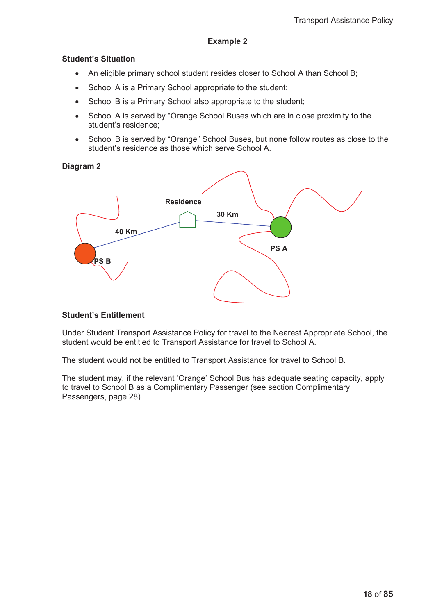#### **Example 2**

#### **Student's Situation**

- An eligible primary school student resides closer to School A than School B;
- School A is a Primary School appropriate to the student;
- School B is a Primary School also appropriate to the student;
- School A is served by "Orange School Buses which are in close proximity to the student's residence;
- School B is served by "Orange" School Buses, but none follow routes as close to the student's residence as those which serve School A.

**Diagram 2**



#### **Student's Entitlement**

Under Student Transport Assistance Policy for travel to the Nearest Appropriate School, the student would be entitled to Transport Assistance for travel to School A.

The student would not be entitled to Transport Assistance for travel to School B.

The student may, if the relevant 'Orange' School Bus has adequate seating capacity, apply to travel to School B as a Complimentary Passenger (see section Complimentary Passengers, page 28).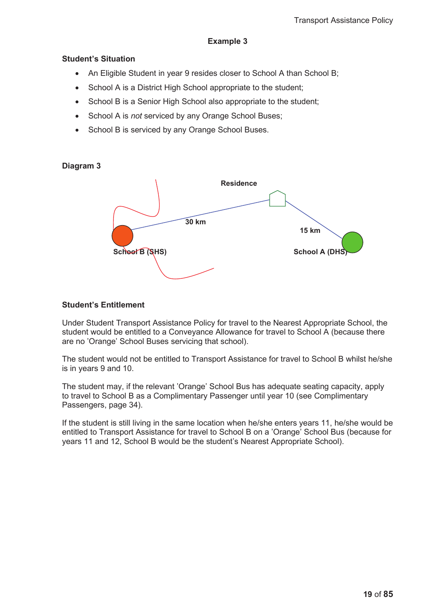## **Example 3**

#### **Student's Situation**

- An Eligible Student in year 9 resides closer to School A than School B;
- School A is a District High School appropriate to the student;
- School B is a Senior High School also appropriate to the student;
- School A is *not* serviced by any Orange School Buses;
- School B is serviced by any Orange School Buses.

### **Diagram 3**



#### **Student's Entitlement**

Under Student Transport Assistance Policy for travel to the Nearest Appropriate School, the student would be entitled to a Conveyance Allowance for travel to School A (because there are no 'Orange' School Buses servicing that school).

The student would not be entitled to Transport Assistance for travel to School B whilst he/she is in years 9 and 10.

The student may, if the relevant 'Orange' School Bus has adequate seating capacity, apply to travel to School B as a Complimentary Passenger until year 10 (see Complimentary Passengers, page 34).

If the student is still living in the same location when he/she enters years 11, he/she would be entitled to Transport Assistance for travel to School B on a 'Orange' School Bus (because for years 11 and 12, School B would be the student's Nearest Appropriate School).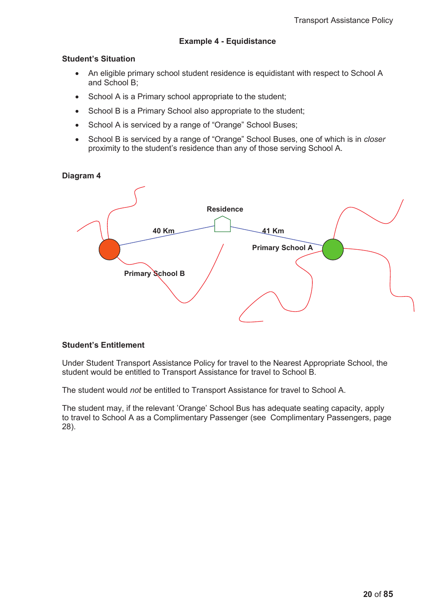# **Example 4 - Equidistance**

#### **Student's Situation**

- An eligible primary school student residence is equidistant with respect to School A and School B;
- School A is a Primary school appropriate to the student;
- School B is a Primary School also appropriate to the student;
- School A is serviced by a range of "Orange" School Buses;
- School B is serviced by a range of "Orange" School Buses, one of which is in *closer* proximity to the student's residence than any of those serving School A.

#### **Diagram 4**



#### **Student's Entitlement**

Under Student Transport Assistance Policy for travel to the Nearest Appropriate School, the student would be entitled to Transport Assistance for travel to School B.

The student would *not* be entitled to Transport Assistance for travel to School A.

The student may, if the relevant 'Orange' School Bus has adequate seating capacity, apply to travel to School A as a Complimentary Passenger (see Complimentary Passengers, page 28).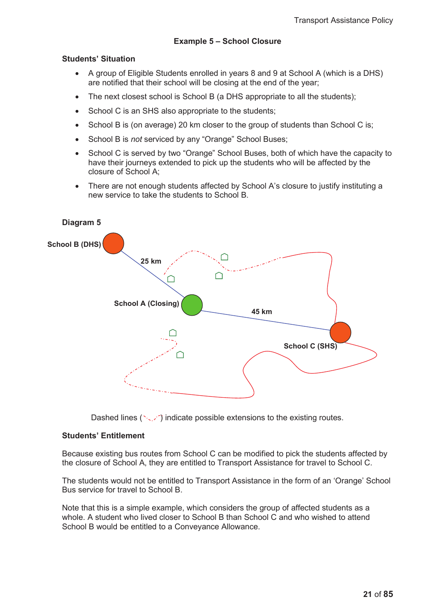## **Example 5 – School Closure**

#### **Students' Situation**

- A group of Eligible Students enrolled in years 8 and 9 at School A (which is a DHS) are notified that their school will be closing at the end of the year;
- The next closest school is School B (a DHS appropriate to all the students);
- School C is an SHS also appropriate to the students;
- School B is (on average) 20 km closer to the group of students than School C is;
- **•** School B is *not* serviced by any "Orange" School Buses;
- School C is served by two "Orange" School Buses, both of which have the capacity to have their journeys extended to pick up the students who will be affected by the closure of School A;
- There are not enough students affected by School A's closure to justify instituting a new service to take the students to School B.



Dashed lines ( $\sim$  ) indicate possible extensions to the existing routes.

#### **Students' Entitlement**

Because existing bus routes from School C can be modified to pick the students affected by the closure of School A, they are entitled to Transport Assistance for travel to School C.

The students would not be entitled to Transport Assistance in the form of an 'Orange' School Bus service for travel to School B.

Note that this is a simple example, which considers the group of affected students as a whole. A student who lived closer to School B than School C and who wished to attend School B would be entitled to a Conveyance Allowance.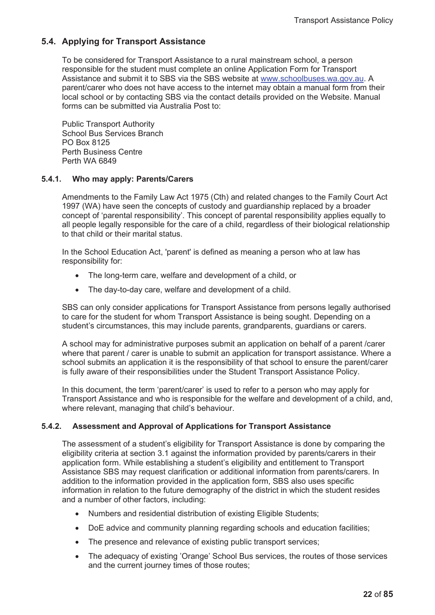# **5.4. Applying for Transport Assistance**

To be considered for Transport Assistance to a rural mainstream school, a person responsible for the student must complete an online Application Form for Transport Assistance and submit it to SBS via the SBS website at www.schoolbuses.wa.gov.au. A parent/carer who does not have access to the internet may obtain a manual form from their local school or by contacting SBS via the contact details provided on the Website. Manual forms can be submitted via Australia Post to:

Public Transport Authority School Bus Services Branch PO Box 8125 Perth Business Centre Perth WA 6849

### **5.4.1. Who may apply: Parents/Carers**

Amendments to the Family Law Act 1975 (Cth) and related changes to the Family Court Act 1997 (WA) have seen the concepts of custody and guardianship replaced by a broader concept of 'parental responsibility'. This concept of parental responsibility applies equally to all people legally responsible for the care of a child, regardless of their biological relationship to that child or their marital status.

In the School Education Act, 'parent' is defined as meaning a person who at law has responsibility for:

- The long-term care, welfare and development of a child, or
- The day-to-day care, welfare and development of a child.

SBS can only consider applications for Transport Assistance from persons legally authorised to care for the student for whom Transport Assistance is being sought. Depending on a student's circumstances, this may include parents, grandparents, guardians or carers.

A school may for administrative purposes submit an application on behalf of a parent /carer where that parent / carer is unable to submit an application for transport assistance. Where a school submits an application it is the responsibility of that school to ensure the parent/carer is fully aware of their responsibilities under the Student Transport Assistance Policy.

In this document, the term 'parent/carer' is used to refer to a person who may apply for Transport Assistance and who is responsible for the welfare and development of a child, and, where relevant, managing that child's behaviour.

# **5.4.2. Assessment and Approval of Applications for Transport Assistance**

The assessment of a student's eligibility for Transport Assistance is done by comparing the eligibility criteria at section 3.1 against the information provided by parents/carers in their application form. While establishing a student's eligibility and entitlement to Transport Assistance SBS may request clarification or additional information from parents/carers. In addition to the information provided in the application form, SBS also uses specific information in relation to the future demography of the district in which the student resides and a number of other factors, including:

- Numbers and residential distribution of existing Eligible Students;
- DoE advice and community planning regarding schools and education facilities;
- The presence and relevance of existing public transport services;
- The adequacy of existing 'Orange' School Bus services, the routes of those services and the current journey times of those routes;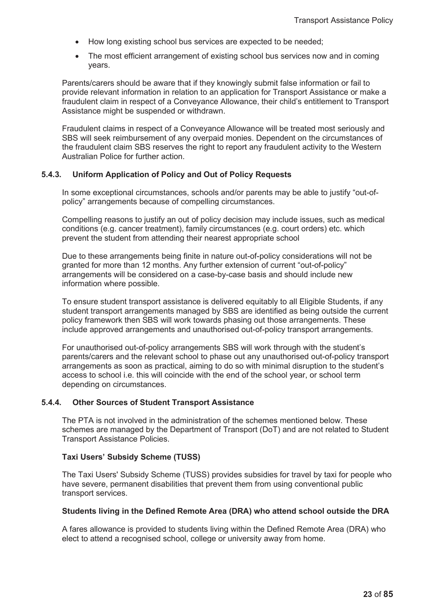- How long existing school bus services are expected to be needed;
- The most efficient arrangement of existing school bus services now and in coming years.

Parents/carers should be aware that if they knowingly submit false information or fail to provide relevant information in relation to an application for Transport Assistance or make a fraudulent claim in respect of a Conveyance Allowance, their child's entitlement to Transport Assistance might be suspended or withdrawn.

Fraudulent claims in respect of a Conveyance Allowance will be treated most seriously and SBS will seek reimbursement of any overpaid monies. Dependent on the circumstances of the fraudulent claim SBS reserves the right to report any fraudulent activity to the Western Australian Police for further action.

#### **5.4.3. Uniform Application of Policy and Out of Policy Requests**

In some exceptional circumstances, schools and/or parents may be able to justify "out-ofpolicy" arrangements because of compelling circumstances.

Compelling reasons to justify an out of policy decision may include issues, such as medical conditions (e.g. cancer treatment), family circumstances (e.g. court orders) etc. which prevent the student from attending their nearest appropriate school

Due to these arrangements being finite in nature out-of-policy considerations will not be granted for more than 12 months. Any further extension of current "out-of-policy" arrangements will be considered on a case-by-case basis and should include new information where possible.

To ensure student transport assistance is delivered equitably to all Eligible Students, if any student transport arrangements managed by SBS are identified as being outside the current policy framework then SBS will work towards phasing out those arrangements. These include approved arrangements and unauthorised out-of-policy transport arrangements.

For unauthorised out-of-policy arrangements SBS will work through with the student's parents/carers and the relevant school to phase out any unauthorised out-of-policy transport arrangements as soon as practical, aiming to do so with minimal disruption to the student's access to school i.e. this will coincide with the end of the school year, or school term depending on circumstances.

#### **5.4.4. Other Sources of Student Transport Assistance**

The PTA is not involved in the administration of the schemes mentioned below. These schemes are managed by the Department of Transport (DoT) and are not related to Student Transport Assistance Policies.

#### **Taxi Users' Subsidy Scheme (TUSS)**

The Taxi Users' Subsidy Scheme (TUSS) provides subsidies for travel by taxi for people who have severe, permanent disabilities that prevent them from using conventional public transport services.

#### **Students living in the Defined Remote Area (DRA) who attend school outside the DRA**

A fares allowance is provided to students living within the Defined Remote Area (DRA) who elect to attend a recognised school, college or university away from home.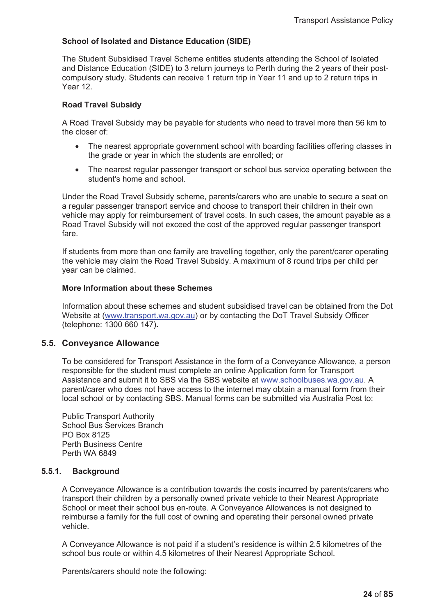# **School of Isolated and Distance Education (SIDE)**

The Student Subsidised Travel Scheme entitles students attending the School of Isolated and Distance Education (SIDE) to 3 return journeys to Perth during the 2 years of their postcompulsory study. Students can receive 1 return trip in Year 11 and up to 2 return trips in Year 12.

## **Road Travel Subsidy**

A Road Travel Subsidy may be payable for students who need to travel more than 56 km to the closer of:

- The nearest appropriate government school with boarding facilities offering classes in the grade or year in which the students are enrolled; or
- The nearest regular passenger transport or school bus service operating between the student's home and school.

Under the Road Travel Subsidy scheme, parents/carers who are unable to secure a seat on a regular passenger transport service and choose to transport their children in their own vehicle may apply for reimbursement of travel costs. In such cases, the amount payable as a Road Travel Subsidy will not exceed the cost of the approved regular passenger transport fare.

If students from more than one family are travelling together, only the parent/carer operating the vehicle may claim the Road Travel Subsidy. A maximum of 8 round trips per child per year can be claimed.

#### **More Information about these Schemes**

Information about these schemes and student subsidised travel can be obtained from the Dot Website at (www.transport.wa.gov.au) or by contacting the DoT Travel Subsidy Officer (telephone: 1300 660 147)**.**

#### **5.5. Conveyance Allowance**

To be considered for Transport Assistance in the form of a Conveyance Allowance, a person responsible for the student must complete an online Application form for Transport Assistance and submit it to SBS via the SBS website at www.schoolbuses.wa.gov.au. A parent/carer who does not have access to the internet may obtain a manual form from their local school or by contacting SBS. Manual forms can be submitted via Australia Post to:

Public Transport Authority School Bus Services Branch PO Box 8125 Perth Business Centre Perth WA 6849

#### **5.5.1. Background**

A Conveyance Allowance is a contribution towards the costs incurred by parents/carers who transport their children by a personally owned private vehicle to their Nearest Appropriate School or meet their school bus en-route. A Conveyance Allowances is not designed to reimburse a family for the full cost of owning and operating their personal owned private vehicle.

A Conveyance Allowance is not paid if a student's residence is within 2.5 kilometres of the school bus route or within 4.5 kilometres of their Nearest Appropriate School.

Parents/carers should note the following: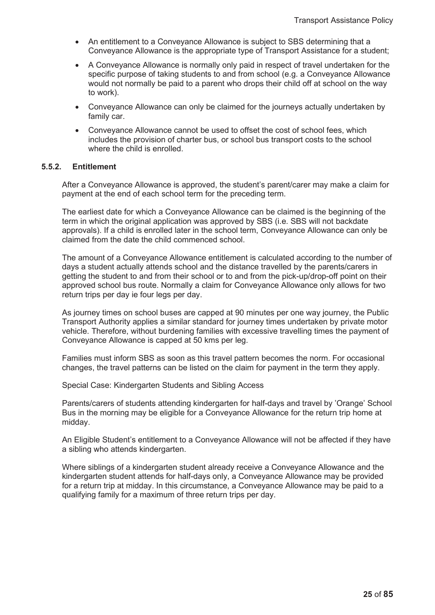- An entitlement to a Conveyance Allowance is subject to SBS determining that a Conveyance Allowance is the appropriate type of Transport Assistance for a student;
- A Conveyance Allowance is normally only paid in respect of travel undertaken for the specific purpose of taking students to and from school (e.g. a Conveyance Allowance would not normally be paid to a parent who drops their child off at school on the way to work).
- Conveyance Allowance can only be claimed for the journeys actually undertaken by family car.
- Conveyance Allowance cannot be used to offset the cost of school fees, which includes the provision of charter bus, or school bus transport costs to the school where the child is enrolled.

#### **5.5.2. Entitlement**

After a Conveyance Allowance is approved, the student's parent/carer may make a claim for payment at the end of each school term for the preceding term.

The earliest date for which a Conveyance Allowance can be claimed is the beginning of the term in which the original application was approved by SBS (i.e. SBS will not backdate approvals). If a child is enrolled later in the school term, Conveyance Allowance can only be claimed from the date the child commenced school.

The amount of a Conveyance Allowance entitlement is calculated according to the number of days a student actually attends school and the distance travelled by the parents/carers in getting the student to and from their school or to and from the pick-up/drop-off point on their approved school bus route. Normally a claim for Conveyance Allowance only allows for two return trips per day ie four legs per day.

As journey times on school buses are capped at 90 minutes per one way journey, the Public Transport Authority applies a similar standard for journey times undertaken by private motor vehicle. Therefore, without burdening families with excessive travelling times the payment of Conveyance Allowance is capped at 50 kms per leg.

Families must inform SBS as soon as this travel pattern becomes the norm. For occasional changes, the travel patterns can be listed on the claim for payment in the term they apply.

Special Case: Kindergarten Students and Sibling Access

Parents/carers of students attending kindergarten for half-days and travel by 'Orange' School Bus in the morning may be eligible for a Conveyance Allowance for the return trip home at midday.

An Eligible Student's entitlement to a Conveyance Allowance will not be affected if they have a sibling who attends kindergarten.

Where siblings of a kindergarten student already receive a Conveyance Allowance and the kindergarten student attends for half-days only, a Conveyance Allowance may be provided for a return trip at midday. In this circumstance, a Conveyance Allowance may be paid to a qualifying family for a maximum of three return trips per day.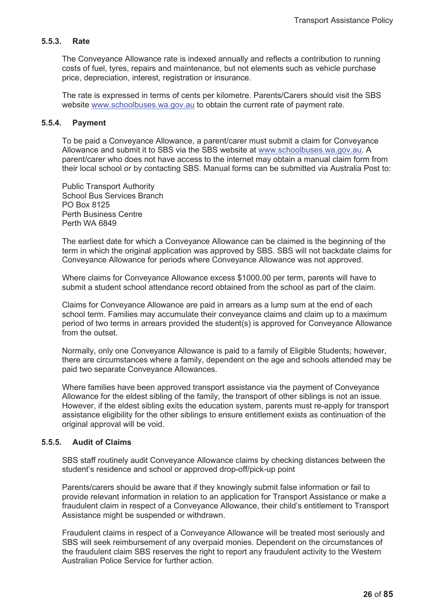## **5.5.3. Rate**

The Conveyance Allowance rate is indexed annually and reflects a contribution to running costs of fuel, tyres, repairs and maintenance, but not elements such as vehicle purchase price, depreciation, interest, registration or insurance.

The rate is expressed in terms of cents per kilometre. Parents/Carers should visit the SBS website www.schoolbuses.wa.gov.au to obtain the current rate of payment rate.

#### **5.5.4. Payment**

To be paid a Conveyance Allowance, a parent/carer must submit a claim for Conveyance Allowance and submit it to SBS via the SBS website at www.schoolbuses.wa.gov.au. A parent/carer who does not have access to the internet may obtain a manual claim form from their local school or by contacting SBS. Manual forms can be submitted via Australia Post to:

Public Transport Authority School Bus Services Branch PO Box 8125 Perth Business Centre Perth WA 6849

The earliest date for which a Conveyance Allowance can be claimed is the beginning of the term in which the original application was approved by SBS. SBS will not backdate claims for Conveyance Allowance for periods where Conveyance Allowance was not approved.

Where claims for Conveyance Allowance excess \$1000.00 per term, parents will have to submit a student school attendance record obtained from the school as part of the claim.

Claims for Conveyance Allowance are paid in arrears as a lump sum at the end of each school term. Families may accumulate their conveyance claims and claim up to a maximum period of two terms in arrears provided the student(s) is approved for Conveyance Allowance from the outset

Normally, only one Conveyance Allowance is paid to a family of Eligible Students; however, there are circumstances where a family, dependent on the age and schools attended may be paid two separate Conveyance Allowances.

Where families have been approved transport assistance via the payment of Conveyance Allowance for the eldest sibling of the family, the transport of other siblings is not an issue. However, if the eldest sibling exits the education system, parents must re-apply for transport assistance eligibility for the other siblings to ensure entitlement exists as continuation of the original approval will be void.

#### **5.5.5. Audit of Claims**

SBS staff routinely audit Conveyance Allowance claims by checking distances between the student's residence and school or approved drop-off/pick-up point

Parents/carers should be aware that if they knowingly submit false information or fail to provide relevant information in relation to an application for Transport Assistance or make a fraudulent claim in respect of a Conveyance Allowance, their child's entitlement to Transport Assistance might be suspended or withdrawn.

Fraudulent claims in respect of a Conveyance Allowance will be treated most seriously and SBS will seek reimbursement of any overpaid monies. Dependent on the circumstances of the fraudulent claim SBS reserves the right to report any fraudulent activity to the Western Australian Police Service for further action.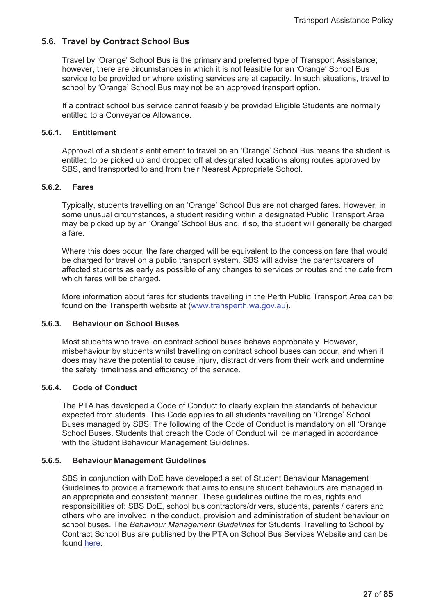# **5.6. Travel by Contract School Bus**

Travel by 'Orange' School Bus is the primary and preferred type of Transport Assistance; however, there are circumstances in which it is not feasible for an 'Orange' School Bus service to be provided or where existing services are at capacity. In such situations, travel to school by 'Orange' School Bus may not be an approved transport option.

If a contract school bus service cannot feasibly be provided Eligible Students are normally entitled to a Conveyance Allowance.

#### **5.6.1. Entitlement**

Approval of a student's entitlement to travel on an 'Orange' School Bus means the student is entitled to be picked up and dropped off at designated locations along routes approved by SBS, and transported to and from their Nearest Appropriate School.

### **5.6.2. Fares**

Typically, students travelling on an 'Orange' School Bus are not charged fares. However, in some unusual circumstances, a student residing within a designated Public Transport Area may be picked up by an 'Orange' School Bus and, if so, the student will generally be charged a fare.

Where this does occur, the fare charged will be equivalent to the concession fare that would be charged for travel on a public transport system. SBS will advise the parents/carers of affected students as early as possible of any changes to services or routes and the date from which fares will be charged.

More information about fares for students travelling in the Perth Public Transport Area can be found on the Transperth website at (www.transperth.wa.gov.au).

#### **5.6.3. Behaviour on School Buses**

Most students who travel on contract school buses behave appropriately. However, misbehaviour by students whilst travelling on contract school buses can occur, and when it does may have the potential to cause injury, distract drivers from their work and undermine the safety, timeliness and efficiency of the service.

#### **5.6.4. Code of Conduct**

The PTA has developed a Code of Conduct to clearly explain the standards of behaviour expected from students. This Code applies to all students travelling on 'Orange' School Buses managed by SBS. The following of the Code of Conduct is mandatory on all 'Orange' School Buses. Students that breach the Code of Conduct will be managed in accordance with the Student Behaviour Management Guidelines.

# **5.6.5. Behaviour Management Guidelines**

SBS in conjunction with DoE have developed a set of Student Behaviour Management Guidelines to provide a framework that aims to ensure student behaviours are managed in an appropriate and consistent manner. These guidelines outline the roles, rights and responsibilities of: SBS DoE, school bus contractors/drivers, students, parents / carers and others who are involved in the conduct, provision and administration of student behaviour on school buses. The *Behaviour Management Guidelines* for Students Travelling to School by Contract School Bus are published by the PTA on School Bus Services Website and can be found here.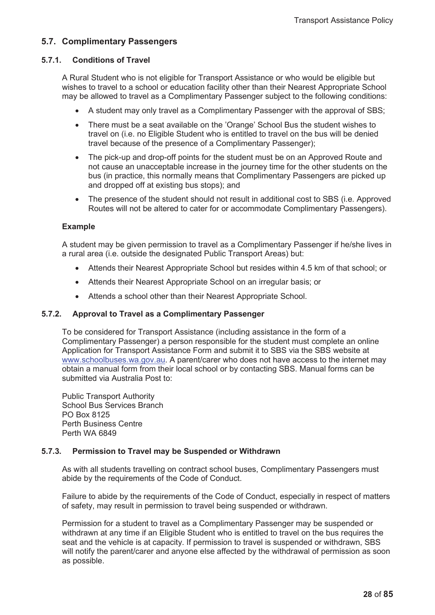# **5.7. Complimentary Passengers**

#### **5.7.1. Conditions of Travel**

A Rural Student who is not eligible for Transport Assistance or who would be eligible but wishes to travel to a school or education facility other than their Nearest Appropriate School may be allowed to travel as a Complimentary Passenger subject to the following conditions:

- A student may only travel as a Complimentary Passenger with the approval of SBS;
- There must be a seat available on the 'Orange' School Bus the student wishes to travel on (i.e. no Eligible Student who is entitled to travel on the bus will be denied travel because of the presence of a Complimentary Passenger);
- The pick-up and drop-off points for the student must be on an Approved Route and not cause an unacceptable increase in the journey time for the other students on the bus (in practice, this normally means that Complimentary Passengers are picked up and dropped off at existing bus stops); and
- The presence of the student should not result in additional cost to SBS (i.e. Approved Routes will not be altered to cater for or accommodate Complimentary Passengers).

#### **Example**

A student may be given permission to travel as a Complimentary Passenger if he/she lives in a rural area (i.e. outside the designated Public Transport Areas) but:

- Attends their Nearest Appropriate School but resides within 4.5 km of that school; or
- Attends their Nearest Appropriate School on an irregular basis; or
- Attends a school other than their Nearest Appropriate School.

#### **5.7.2. Approval to Travel as a Complimentary Passenger**

To be considered for Transport Assistance (including assistance in the form of a Complimentary Passenger) a person responsible for the student must complete an online Application for Transport Assistance Form and submit it to SBS via the SBS website at www.schoolbuses.wa.gov.au. A parent/carer who does not have access to the internet may obtain a manual form from their local school or by contacting SBS. Manual forms can be submitted via Australia Post to:

Public Transport Authority School Bus Services Branch PO Box 8125 Perth Business Centre Perth WA 6849

#### **5.7.3. Permission to Travel may be Suspended or Withdrawn**

As with all students travelling on contract school buses, Complimentary Passengers must abide by the requirements of the Code of Conduct.

Failure to abide by the requirements of the Code of Conduct, especially in respect of matters of safety, may result in permission to travel being suspended or withdrawn.

Permission for a student to travel as a Complimentary Passenger may be suspended or withdrawn at any time if an Eligible Student who is entitled to travel on the bus requires the seat and the vehicle is at capacity. If permission to travel is suspended or withdrawn, SBS will notify the parent/carer and anyone else affected by the withdrawal of permission as soon as possible.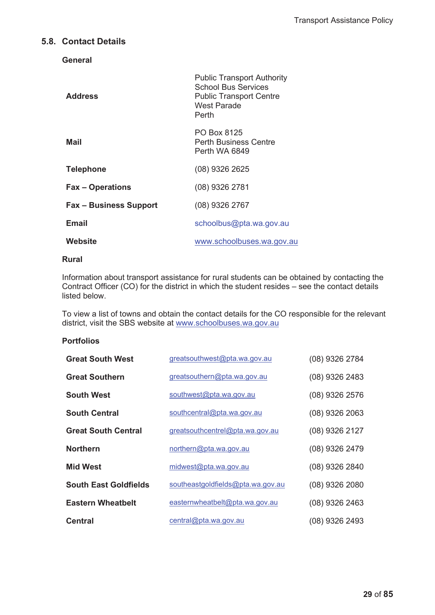# **5.8. Contact Details**

**General** 

| <b>Address</b>                | <b>Public Transport Authority</b><br><b>School Bus Services</b><br><b>Public Transport Centre</b><br>West Parade<br>Perth |
|-------------------------------|---------------------------------------------------------------------------------------------------------------------------|
| Mail                          | PO Box 8125<br><b>Perth Business Centre</b><br>Perth WA 6849                                                              |
| <b>Telephone</b>              | $(08)$ 9326 2625                                                                                                          |
| <b>Fax – Operations</b>       | (08) 9326 2781                                                                                                            |
| <b>Fax - Business Support</b> | $(08)$ 9326 2767                                                                                                          |
| Email                         | schoolbus@pta.wa.gov.au                                                                                                   |
| Website                       | www.schoolbuses.wa.gov.au                                                                                                 |

#### **Rural**

Information about transport assistance for rural students can be obtained by contacting the Contract Officer (CO) for the district in which the student resides – see the contact details listed below.

To view a list of towns and obtain the contact details for the CO responsible for the relevant district, visit the SBS website at www.schoolbuses.wa.gov.au

### **Portfolios**

| <b>Great South West</b>      | greatsouthwest@pta.wa.gov.au      | (08) 9326 2784   |
|------------------------------|-----------------------------------|------------------|
| <b>Great Southern</b>        | greatsouthern@pta.wa.gov.au       | (08) 9326 2483   |
| <b>South West</b>            | southwest@pta.wa.gov.au           | (08) 9326 2576   |
| <b>South Central</b>         | southcentral@pta.wa.gov.au        | $(08)$ 9326 2063 |
| <b>Great South Central</b>   | greatsouthcentrel@pta.wa.gov.au   | (08) 9326 2127   |
| <b>Northern</b>              | northern@pta.wa.gov.au            | (08) 9326 2479   |
| <b>Mid West</b>              | midwest@pta.wa.gov.au             | (08) 9326 2840   |
| <b>South East Goldfields</b> | southeastgoldfields@pta.wa.gov.au | $(08)$ 9326 2080 |
| <b>Eastern Wheatbelt</b>     | easternwheatbelt@pta.wa.gov.au    | $(08)$ 9326 2463 |
| <b>Central</b>               | central@pta.wa.gov.au             | (08) 9326 2493   |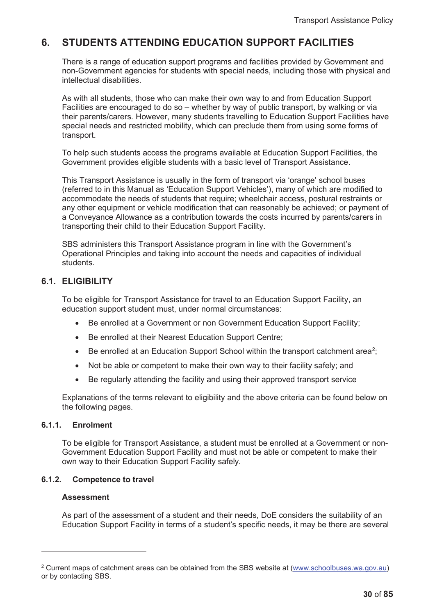# **6. STUDENTS ATTENDING EDUCATION SUPPORT FACILITIES**

There is a range of education support programs and facilities provided by Government and non-Government agencies for students with special needs, including those with physical and intellectual disabilities.

As with all students, those who can make their own way to and from Education Support Facilities are encouraged to do so – whether by way of public transport, by walking or via their parents/carers. However, many students travelling to Education Support Facilities have special needs and restricted mobility, which can preclude them from using some forms of transport.

To help such students access the programs available at Education Support Facilities, the Government provides eligible students with a basic level of Transport Assistance.

This Transport Assistance is usually in the form of transport via 'orange' school buses (referred to in this Manual as 'Education Support Vehicles'), many of which are modified to accommodate the needs of students that require; wheelchair access, postural restraints or any other equipment or vehicle modification that can reasonably be achieved; or payment of a Conveyance Allowance as a contribution towards the costs incurred by parents/carers in transporting their child to their Education Support Facility.

SBS administers this Transport Assistance program in line with the Government's Operational Principles and taking into account the needs and capacities of individual students.

# **6.1. ELIGIBILITY**

To be eligible for Transport Assistance for travel to an Education Support Facility, an education support student must, under normal circumstances:

- Be enrolled at a Government or non Government Education Support Facility;
- Be enrolled at their Nearest Education Support Centre;
- Be enrolled at an Education Support School within the transport catchment area<sup>2</sup>;
- Not be able or competent to make their own way to their facility safely; and
- Be regularly attending the facility and using their approved transport service

Explanations of the terms relevant to eligibility and the above criteria can be found below on the following pages.

#### **6.1.1. Enrolment**

To be eligible for Transport Assistance, a student must be enrolled at a Government or non-Government Education Support Facility and must not be able or competent to make their own way to their Education Support Facility safely.

#### **6.1.2. Competence to travel**

#### **Assessment**

As part of the assessment of a student and their needs, DoE considers the suitability of an Education Support Facility in terms of a student's specific needs, it may be there are several

<sup>2</sup> Current maps of catchment areas can be obtained from the SBS website at (www.schoolbuses.wa.gov.au) or by contacting SBS.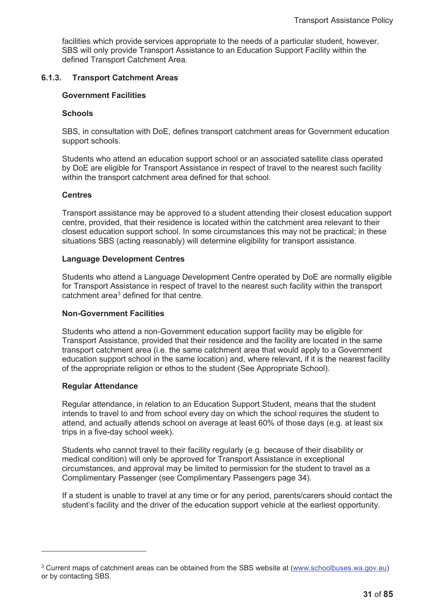facilities which provide services appropriate to the needs of a particular student, however, SBS will only provide Transport Assistance to an Education Support Facility within the defined Transport Catchment Area.

# **6.1.3. Transport Catchment Areas**

# **Government Facilities**

### **Schools**

SBS, in consultation with DoE, defines transport catchment areas for Government education support schools.

Students who attend an education support school or an associated satellite class operated by DoE are eligible for Transport Assistance in respect of travel to the nearest such facility within the transport catchment area defined for that school.

### **Centres**

Transport assistance may be approved to a student attending their closest education support centre, provided, that their residence is located within the catchment area relevant to their closest education support school. In some circumstances this may not be practical; in these situations SBS (acting reasonably) will determine eligibility for transport assistance.

# **Language Development Centres**

Students who attend a Language Development Centre operated by DoE are normally eligible for Transport Assistance in respect of travel to the nearest such facility within the transport catchment area<sup>3</sup> defined for that centre.

# **Non-Government Facilities**

Students who attend a non-Government education support facility may be eligible for Transport Assistance, provided that their residence and the facility are located in the same transport catchment area (i.e. the same catchment area that would apply to a Government education support school in the same location) and, where relevant, if it is the nearest facility of the appropriate religion or ethos to the student (See Appropriate School).

# **Regular Attendance**

Regular attendance, in relation to an Education Support Student, means that the student intends to travel to and from school every day on which the school requires the student to attend, and actually attends school on average at least 60% of those days (e.g. at least six trips in a five-day school week).

Students who cannot travel to their facility regularly (e.g. because of their disability or medical condition) will only be approved for Transport Assistance in exceptional circumstances, and approval may be limited to permission for the student to travel as a Complimentary Passenger (see Complimentary Passengers page 34).

If a student is unable to travel at any time or for any period, parents/carers should contact the student's facility and the driver of the education support vehicle at the earliest opportunity.

<sup>3</sup> Current maps of catchment areas can be obtained from the SBS website at (www.schoolbuses.wa.gov.au) or by contacting SBS.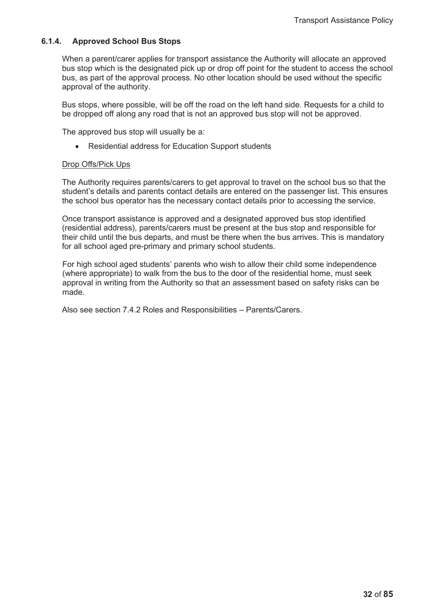# **6.1.4. Approved School Bus Stops**

When a parent/carer applies for transport assistance the Authority will allocate an approved bus stop which is the designated pick up or drop off point for the student to access the school bus, as part of the approval process. No other location should be used without the specific approval of the authority.

Bus stops, where possible, will be off the road on the left hand side. Requests for a child to be dropped off along any road that is not an approved bus stop will not be approved.

The approved bus stop will usually be a:

• Residential address for Education Support students

# Drop Offs/Pick Ups

The Authority requires parents/carers to get approval to travel on the school bus so that the student's details and parents contact details are entered on the passenger list. This ensures the school bus operator has the necessary contact details prior to accessing the service.

Once transport assistance is approved and a designated approved bus stop identified (residential address), parents/carers must be present at the bus stop and responsible for their child until the bus departs, and must be there when the bus arrives. This is mandatory for all school aged pre-primary and primary school students.

For high school aged students' parents who wish to allow their child some independence (where appropriate) to walk from the bus to the door of the residential home, must seek approval in writing from the Authority so that an assessment based on safety risks can be made.

Also see section 7.4.2 Roles and Responsibilities – Parents/Carers.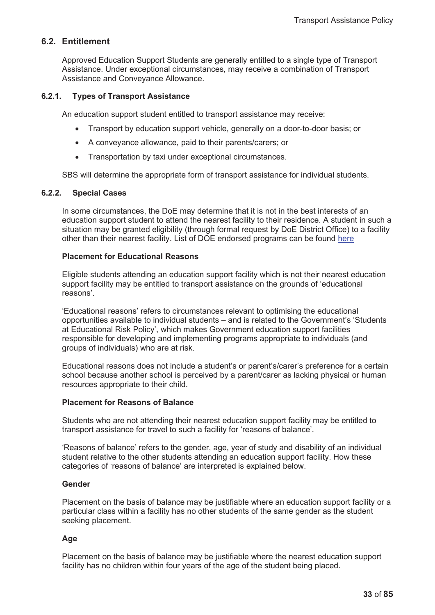# **6.2. Entitlement**

Approved Education Support Students are generally entitled to a single type of Transport Assistance. Under exceptional circumstances, may receive a combination of Transport Assistance and Conveyance Allowance.

# **6.2.1. Types of Transport Assistance**

An education support student entitled to transport assistance may receive:

- x Transport by education support vehicle, generally on a door-to-door basis; or
- A conveyance allowance, paid to their parents/carers; or
- Transportation by taxi under exceptional circumstances.

SBS will determine the appropriate form of transport assistance for individual students.

# **6.2.2. Special Cases**

In some circumstances, the DoE may determine that it is not in the best interests of an education support student to attend the nearest facility to their residence. A student in such a situation may be granted eligibility (through formal request by DoE District Office) to a facility other than their nearest facility. List of DOE endorsed programs can be found here

### **Placement for Educational Reasons**

Eligible students attending an education support facility which is not their nearest education support facility may be entitled to transport assistance on the grounds of 'educational reasons'.

'Educational reasons' refers to circumstances relevant to optimising the educational opportunities available to individual students – and is related to the Government's 'Students at Educational Risk Policy', which makes Government education support facilities responsible for developing and implementing programs appropriate to individuals (and groups of individuals) who are at risk.

Educational reasons does not include a student's or parent's/carer's preference for a certain school because another school is perceived by a parent/carer as lacking physical or human resources appropriate to their child.

# **Placement for Reasons of Balance**

Students who are not attending their nearest education support facility may be entitled to transport assistance for travel to such a facility for 'reasons of balance'.

'Reasons of balance' refers to the gender, age, year of study and disability of an individual student relative to the other students attending an education support facility. How these categories of 'reasons of balance' are interpreted is explained below.

### **Gender**

Placement on the basis of balance may be justifiable where an education support facility or a particular class within a facility has no other students of the same gender as the student seeking placement.

# **Age**

Placement on the basis of balance may be justifiable where the nearest education support facility has no children within four years of the age of the student being placed.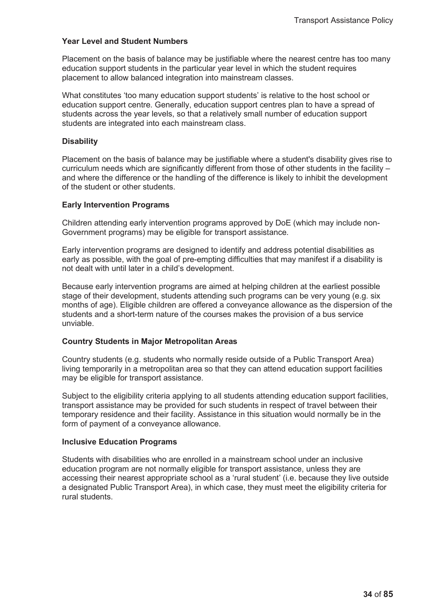# **Year Level and Student Numbers**

Placement on the basis of balance may be justifiable where the nearest centre has too many education support students in the particular year level in which the student requires placement to allow balanced integration into mainstream classes.

What constitutes 'too many education support students' is relative to the host school or education support centre. Generally, education support centres plan to have a spread of students across the year levels, so that a relatively small number of education support students are integrated into each mainstream class.

# **Disability**

Placement on the basis of balance may be justifiable where a student's disability gives rise to curriculum needs which are significantly different from those of other students in the facility – and where the difference or the handling of the difference is likely to inhibit the development of the student or other students.

### **Early Intervention Programs**

Children attending early intervention programs approved by DoE (which may include non-Government programs) may be eligible for transport assistance.

Early intervention programs are designed to identify and address potential disabilities as early as possible, with the goal of pre-empting difficulties that may manifest if a disability is not dealt with until later in a child's development.

Because early intervention programs are aimed at helping children at the earliest possible stage of their development, students attending such programs can be very young (e.g. six months of age). Eligible children are offered a conveyance allowance as the dispersion of the students and a short-term nature of the courses makes the provision of a bus service unviable.

# **Country Students in Major Metropolitan Areas**

Country students (e.g. students who normally reside outside of a Public Transport Area) living temporarily in a metropolitan area so that they can attend education support facilities may be eligible for transport assistance.

Subject to the eligibility criteria applying to all students attending education support facilities, transport assistance may be provided for such students in respect of travel between their temporary residence and their facility. Assistance in this situation would normally be in the form of payment of a conveyance allowance.

#### **Inclusive Education Programs**

Students with disabilities who are enrolled in a mainstream school under an inclusive education program are not normally eligible for transport assistance, unless they are accessing their nearest appropriate school as a 'rural student' (i.e. because they live outside a designated Public Transport Area), in which case, they must meet the eligibility criteria for rural students.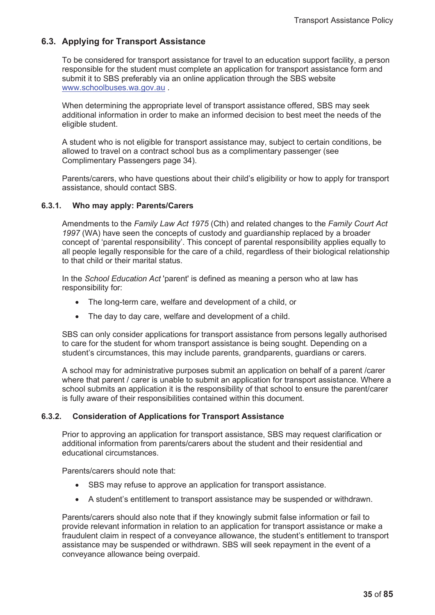# **6.3. Applying for Transport Assistance**

To be considered for transport assistance for travel to an education support facility, a person responsible for the student must complete an application for transport assistance form and submit it to SBS preferably via an online application through the SBS website www.schoolbuses.wa.gov.au .

When determining the appropriate level of transport assistance offered, SBS may seek additional information in order to make an informed decision to best meet the needs of the eligible student.

A student who is not eligible for transport assistance may, subject to certain conditions, be allowed to travel on a contract school bus as a complimentary passenger (see Complimentary Passengers page 34).

Parents/carers, who have questions about their child's eligibility or how to apply for transport assistance, should contact SBS.

### **6.3.1. Who may apply: Parents/Carers**

Amendments to the *Family Law Act 1975* (Cth) and related changes to the *Family Court Act 1997* (WA) have seen the concepts of custody and guardianship replaced by a broader concept of 'parental responsibility'. This concept of parental responsibility applies equally to all people legally responsible for the care of a child, regardless of their biological relationship to that child or their marital status.

In the *School Education Act* 'parent' is defined as meaning a person who at law has responsibility for:

- The long-term care, welfare and development of a child, or
- The day to day care, welfare and development of a child.

SBS can only consider applications for transport assistance from persons legally authorised to care for the student for whom transport assistance is being sought. Depending on a student's circumstances, this may include parents, grandparents, guardians or carers.

A school may for administrative purposes submit an application on behalf of a parent /carer where that parent / carer is unable to submit an application for transport assistance. Where a school submits an application it is the responsibility of that school to ensure the parent/carer is fully aware of their responsibilities contained within this document.

# **6.3.2. Consideration of Applications for Transport Assistance**

Prior to approving an application for transport assistance, SBS may request clarification or additional information from parents/carers about the student and their residential and educational circumstances.

Parents/carers should note that:

- SBS may refuse to approve an application for transport assistance.
- A student's entitlement to transport assistance may be suspended or withdrawn.

Parents/carers should also note that if they knowingly submit false information or fail to provide relevant information in relation to an application for transport assistance or make a fraudulent claim in respect of a conveyance allowance, the student's entitlement to transport assistance may be suspended or withdrawn. SBS will seek repayment in the event of a conveyance allowance being overpaid.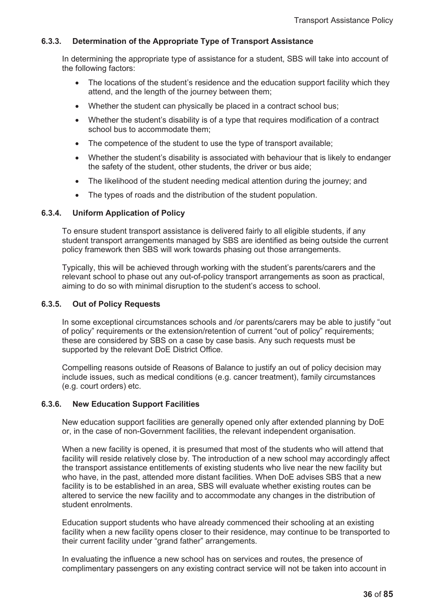# **6.3.3. Determination of the Appropriate Type of Transport Assistance**

In determining the appropriate type of assistance for a student, SBS will take into account of the following factors:

- The locations of the student's residence and the education support facility which they attend, and the length of the journey between them;
- Whether the student can physically be placed in a contract school bus;
- Whether the student's disability is of a type that requires modification of a contract school bus to accommodate them;
- The competence of the student to use the type of transport available;
- Whether the student's disability is associated with behaviour that is likely to endanger the safety of the student, other students, the driver or bus aide;
- The likelihood of the student needing medical attention during the journey; and
- The types of roads and the distribution of the student population.

# **6.3.4. Uniform Application of Policy**

To ensure student transport assistance is delivered fairly to all eligible students, if any student transport arrangements managed by SBS are identified as being outside the current policy framework then SBS will work towards phasing out those arrangements.

Typically, this will be achieved through working with the student's parents/carers and the relevant school to phase out any out-of-policy transport arrangements as soon as practical, aiming to do so with minimal disruption to the student's access to school.

# **6.3.5. Out of Policy Requests**

In some exceptional circumstances schools and /or parents/carers may be able to justify "out of policy" requirements or the extension/retention of current "out of policy" requirements; these are considered by SBS on a case by case basis. Any such requests must be supported by the relevant DoE District Office.

Compelling reasons outside of Reasons of Balance to justify an out of policy decision may include issues, such as medical conditions (e.g. cancer treatment), family circumstances (e.g. court orders) etc.

# **6.3.6. New Education Support Facilities**

New education support facilities are generally opened only after extended planning by DoE or, in the case of non-Government facilities, the relevant independent organisation.

When a new facility is opened, it is presumed that most of the students who will attend that facility will reside relatively close by. The introduction of a new school may accordingly affect the transport assistance entitlements of existing students who live near the new facility but who have, in the past, attended more distant facilities. When DoE advises SBS that a new facility is to be established in an area, SBS will evaluate whether existing routes can be altered to service the new facility and to accommodate any changes in the distribution of student enrolments.

Education support students who have already commenced their schooling at an existing facility when a new facility opens closer to their residence, may continue to be transported to their current facility under "grand father" arrangements.

In evaluating the influence a new school has on services and routes, the presence of complimentary passengers on any existing contract service will not be taken into account in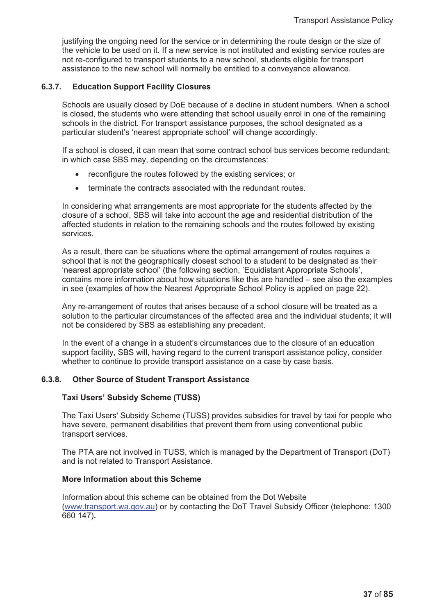justifying the ongoing need for the service or in determining the route design or the size of the vehicle to be used on it. If a new service is not instituted and existing service routes are not re-configured to transport students to a new school, students eligible for transport assistance to the new school will normally be entitled to a conveyance allowance.

### **6.3.7. Education Support Facility Closures**

Schools are usually closed by DoE because of a decline in student numbers. When a school is closed, the students who were attending that school usually enrol in one of the remaining schools in the district. For transport assistance purposes, the school designated as a particular student's 'nearest appropriate school' will change accordingly.

If a school is closed, it can mean that some contract school bus services become redundant; in which case SBS may, depending on the circumstances:

- reconfigure the routes followed by the existing services; or
- terminate the contracts associated with the redundant routes.

In considering what arrangements are most appropriate for the students affected by the closure of a school, SBS will take into account the age and residential distribution of the affected students in relation to the remaining schools and the routes followed by existing services.

As a result, there can be situations where the optimal arrangement of routes requires a school that is not the geographically closest school to a student to be designated as their 'nearest appropriate school' (the following section, 'Equidistant Appropriate Schools', contains more information about how situations like this are handled – see also the examples in see (examples of how the Nearest Appropriate School Policy is applied on page 22).

Any re-arrangement of routes that arises because of a school closure will be treated as a solution to the particular circumstances of the affected area and the individual students; it will not be considered by SBS as establishing any precedent.

In the event of a change in a student's circumstances due to the closure of an education support facility, SBS will, having regard to the current transport assistance policy, consider whether to continue to provide transport assistance on a case by case basis.

# **6.3.8. Other Source of Student Transport Assistance**

#### **Taxi Users' Subsidy Scheme (TUSS)**

The Taxi Users' Subsidy Scheme (TUSS) provides subsidies for travel by taxi for people who have severe, permanent disabilities that prevent them from using conventional public transport services.

The PTA are not involved in TUSS, which is managed by the Department of Transport (DoT) and is not related to Transport Assistance.

# **More Information about this Scheme**

Information about this scheme can be obtained from the Dot Website (www.transport.wa.gov.au) or by contacting the DoT Travel Subsidy Officer (telephone: 1300 660 147)**.**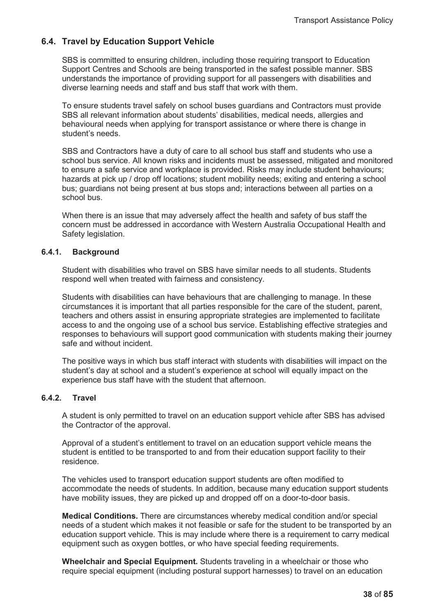# **6.4. Travel by Education Support Vehicle**

SBS is committed to ensuring children, including those requiring transport to Education Support Centres and Schools are being transported in the safest possible manner. SBS understands the importance of providing support for all passengers with disabilities and diverse learning needs and staff and bus staff that work with them.

To ensure students travel safely on school buses guardians and Contractors must provide SBS all relevant information about students' disabilities, medical needs, allergies and behavioural needs when applying for transport assistance or where there is change in student's needs.

SBS and Contractors have a duty of care to all school bus staff and students who use a school bus service. All known risks and incidents must be assessed, mitigated and monitored to ensure a safe service and workplace is provided. Risks may include student behaviours; hazards at pick up / drop off locations; student mobility needs; exiting and entering a school bus; guardians not being present at bus stops and; interactions between all parties on a school bus.

When there is an issue that may adversely affect the health and safety of bus staff the concern must be addressed in accordance with Western Australia Occupational Health and Safety legislation.

# **6.4.1. Background**

Student with disabilities who travel on SBS have similar needs to all students. Students respond well when treated with fairness and consistency.

Students with disabilities can have behaviours that are challenging to manage. In these circumstances it is important that all parties responsible for the care of the student, parent, teachers and others assist in ensuring appropriate strategies are implemented to facilitate access to and the ongoing use of a school bus service. Establishing effective strategies and responses to behaviours will support good communication with students making their journey safe and without incident.

The positive ways in which bus staff interact with students with disabilities will impact on the student's day at school and a student's experience at school will equally impact on the experience bus staff have with the student that afternoon.

# **6.4.2. Travel**

A student is only permitted to travel on an education support vehicle after SBS has advised the Contractor of the approval.

Approval of a student's entitlement to travel on an education support vehicle means the student is entitled to be transported to and from their education support facility to their residence.

The vehicles used to transport education support students are often modified to accommodate the needs of students. In addition, because many education support students have mobility issues, they are picked up and dropped off on a door-to-door basis.

**Medical Conditions.** There are circumstances whereby medical condition and/or special needs of a student which makes it not feasible or safe for the student to be transported by an education support vehicle. This is may include where there is a requirement to carry medical equipment such as oxygen bottles, or who have special feeding requirements.

**Wheelchair and Special Equipment.** Students traveling in a wheelchair or those who require special equipment (including postural support harnesses) to travel on an education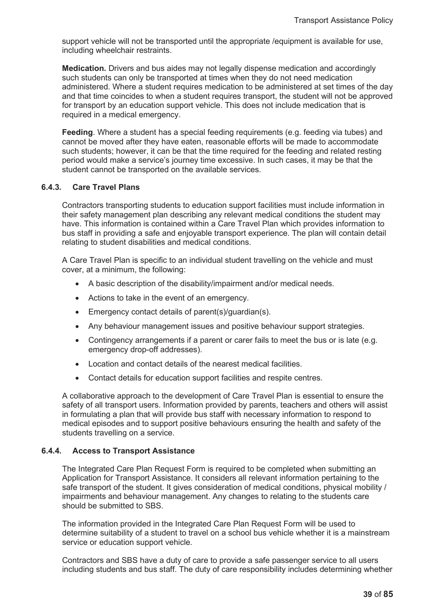support vehicle will not be transported until the appropriate /equipment is available for use, including wheelchair restraints.

**Medication.** Drivers and bus aides may not legally dispense medication and accordingly such students can only be transported at times when they do not need medication administered. Where a student requires medication to be administered at set times of the day and that time coincides to when a student requires transport, the student will not be approved for transport by an education support vehicle. This does not include medication that is required in a medical emergency.

**Feeding**. Where a student has a special feeding requirements (e.g. feeding via tubes) and cannot be moved after they have eaten, reasonable efforts will be made to accommodate such students; however, it can be that the time required for the feeding and related resting period would make a service's journey time excessive. In such cases, it may be that the student cannot be transported on the available services.

# **6.4.3. Care Travel Plans**

Contractors transporting students to education support facilities must include information in their safety management plan describing any relevant medical conditions the student may have. This information is contained within a Care Travel Plan which provides information to bus staff in providing a safe and enjoyable transport experience. The plan will contain detail relating to student disabilities and medical conditions.

A Care Travel Plan is specific to an individual student travelling on the vehicle and must cover, at a minimum, the following:

- A basic description of the disability/impairment and/or medical needs.
- Actions to take in the event of an emergency.
- $\bullet$  Emergency contact details of parent(s)/guardian(s).
- Any behaviour management issues and positive behaviour support strategies.
- Contingency arrangements if a parent or carer fails to meet the bus or is late (e.g. emergency drop-off addresses).
- Location and contact details of the nearest medical facilities.
- Contact details for education support facilities and respite centres.

A collaborative approach to the development of Care Travel Plan is essential to ensure the safety of all transport users. Information provided by parents, teachers and others will assist in formulating a plan that will provide bus staff with necessary information to respond to medical episodes and to support positive behaviours ensuring the health and safety of the students travelling on a service.

# **6.4.4. Access to Transport Assistance**

The Integrated Care Plan Request Form is required to be completed when submitting an Application for Transport Assistance. It considers all relevant information pertaining to the safe transport of the student. It gives consideration of medical conditions, physical mobility / impairments and behaviour management. Any changes to relating to the students care should be submitted to SBS.

The information provided in the Integrated Care Plan Request Form will be used to determine suitability of a student to travel on a school bus vehicle whether it is a mainstream service or education support vehicle.

Contractors and SBS have a duty of care to provide a safe passenger service to all users including students and bus staff. The duty of care responsibility includes determining whether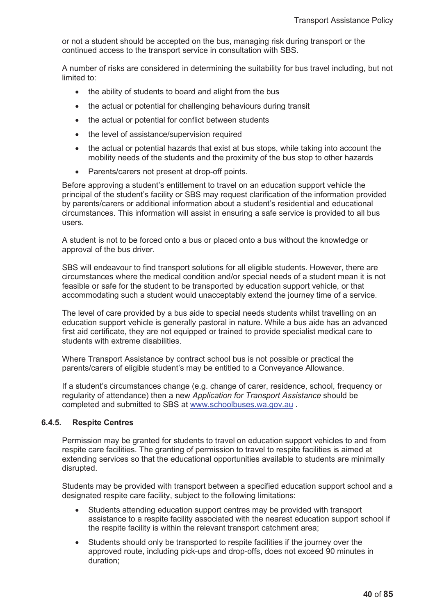or not a student should be accepted on the bus, managing risk during transport or the continued access to the transport service in consultation with SBS.

A number of risks are considered in determining the suitability for bus travel including, but not limited to:

- the ability of students to board and alight from the bus
- the actual or potential for challenging behaviours during transit
- the actual or potential for conflict between students
- the level of assistance/supervision required
- the actual or potential hazards that exist at bus stops, while taking into account the mobility needs of the students and the proximity of the bus stop to other hazards
- Parents/carers not present at drop-off points.

Before approving a student's entitlement to travel on an education support vehicle the principal of the student's facility or SBS may request clarification of the information provided by parents/carers or additional information about a student's residential and educational circumstances. This information will assist in ensuring a safe service is provided to all bus users.

A student is not to be forced onto a bus or placed onto a bus without the knowledge or approval of the bus driver.

SBS will endeavour to find transport solutions for all eligible students. However, there are circumstances where the medical condition and/or special needs of a student mean it is not feasible or safe for the student to be transported by education support vehicle, or that accommodating such a student would unacceptably extend the journey time of a service.

The level of care provided by a bus aide to special needs students whilst travelling on an education support vehicle is generally pastoral in nature. While a bus aide has an advanced first aid certificate, they are not equipped or trained to provide specialist medical care to students with extreme disabilities.

Where Transport Assistance by contract school bus is not possible or practical the parents/carers of eligible student's may be entitled to a Conveyance Allowance.

If a student's circumstances change (e.g. change of carer, residence, school, frequency or regularity of attendance) then a new *Application for Transport Assistance* should be completed and submitted to SBS at www.schoolbuses.wa.gov.au .

#### **6.4.5. Respite Centres**

Permission may be granted for students to travel on education support vehicles to and from respite care facilities. The granting of permission to travel to respite facilities is aimed at extending services so that the educational opportunities available to students are minimally disrupted.

Students may be provided with transport between a specified education support school and a designated respite care facility, subject to the following limitations:

- Students attending education support centres may be provided with transport assistance to a respite facility associated with the nearest education support school if the respite facility is within the relevant transport catchment area;
- Students should only be transported to respite facilities if the journey over the approved route, including pick-ups and drop-offs, does not exceed 90 minutes in duration;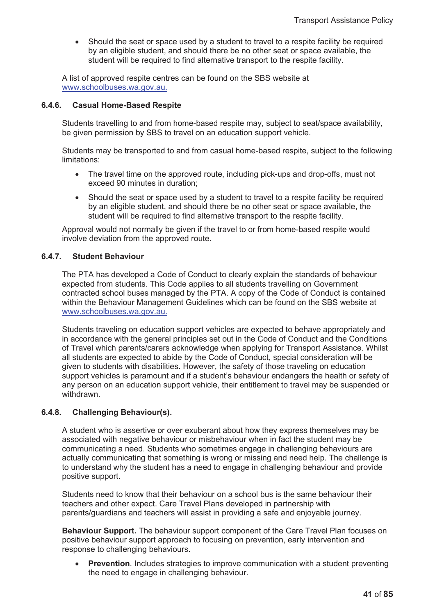• Should the seat or space used by a student to travel to a respite facility be required by an eligible student, and should there be no other seat or space available, the student will be required to find alternative transport to the respite facility.

A list of approved respite centres can be found on the SBS website at www.schoolbuses.wa.gov.au.

# **6.4.6. Casual Home-Based Respite**

Students travelling to and from home-based respite may, subject to seat/space availability, be given permission by SBS to travel on an education support vehicle.

Students may be transported to and from casual home-based respite, subject to the following limitations:

- The travel time on the approved route, including pick-ups and drop-offs, must not exceed 90 minutes in duration;
- Should the seat or space used by a student to travel to a respite facility be required by an eligible student, and should there be no other seat or space available, the student will be required to find alternative transport to the respite facility.

Approval would not normally be given if the travel to or from home-based respite would involve deviation from the approved route.

# **6.4.7. Student Behaviour**

The PTA has developed a Code of Conduct to clearly explain the standards of behaviour expected from students. This Code applies to all students travelling on Government contracted school buses managed by the PTA. A copy of the Code of Conduct is contained within the Behaviour Management Guidelines which can be found on the SBS website at www.schoolbuses.wa.gov.au.

Students traveling on education support vehicles are expected to behave appropriately and in accordance with the general principles set out in the Code of Conduct and the Conditions of Travel which parents/carers acknowledge when applying for Transport Assistance. Whilst all students are expected to abide by the Code of Conduct, special consideration will be given to students with disabilities. However, the safety of those traveling on education support vehicles is paramount and if a student's behaviour endangers the health or safety of any person on an education support vehicle, their entitlement to travel may be suspended or withdrawn.

# **6.4.8. Challenging Behaviour(s).**

A student who is assertive or over exuberant about how they express themselves may be associated with negative behaviour or misbehaviour when in fact the student may be communicating a need. Students who sometimes engage in challenging behaviours are actually communicating that something is wrong or missing and need help. The challenge is to understand why the student has a need to engage in challenging behaviour and provide positive support.

Students need to know that their behaviour on a school bus is the same behaviour their teachers and other expect. Care Travel Plans developed in partnership with parents/guardians and teachers will assist in providing a safe and enjoyable journey.

**Behaviour Support.** The behaviour support component of the Care Travel Plan focuses on positive behaviour support approach to focusing on prevention, early intervention and response to challenging behaviours.

**Prevention**. Includes strategies to improve communication with a student preventing the need to engage in challenging behaviour.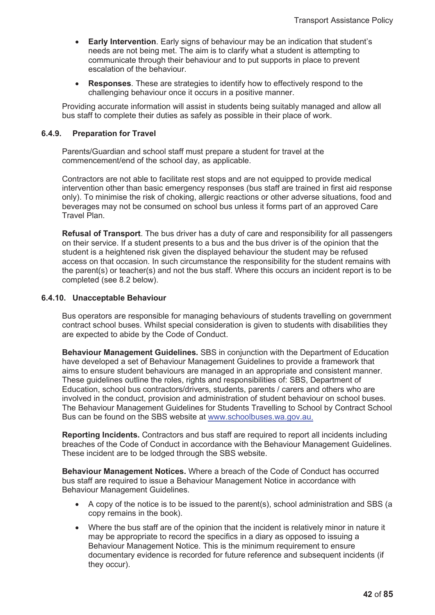- **Early Intervention**. Early signs of behaviour may be an indication that student's needs are not being met. The aim is to clarify what a student is attempting to communicate through their behaviour and to put supports in place to prevent escalation of the behaviour.
- **Responses**. These are strategies to identify how to effectively respond to the challenging behaviour once it occurs in a positive manner.

Providing accurate information will assist in students being suitably managed and allow all bus staff to complete their duties as safely as possible in their place of work.

### **6.4.9. Preparation for Travel**

Parents/Guardian and school staff must prepare a student for travel at the commencement/end of the school day, as applicable.

Contractors are not able to facilitate rest stops and are not equipped to provide medical intervention other than basic emergency responses (bus staff are trained in first aid response only). To minimise the risk of choking, allergic reactions or other adverse situations, food and beverages may not be consumed on school bus unless it forms part of an approved Care Travel Plan.

**Refusal of Transport**. The bus driver has a duty of care and responsibility for all passengers on their service. If a student presents to a bus and the bus driver is of the opinion that the student is a heightened risk given the displayed behaviour the student may be refused access on that occasion. In such circumstance the responsibility for the student remains with the parent(s) or teacher(s) and not the bus staff. Where this occurs an incident report is to be completed (see 8.2 below).

#### **6.4.10. Unacceptable Behaviour**

Bus operators are responsible for managing behaviours of students travelling on government contract school buses. Whilst special consideration is given to students with disabilities they are expected to abide by the Code of Conduct.

**Behaviour Management Guidelines.** SBS in conjunction with the Department of Education have developed a set of Behaviour Management Guidelines to provide a framework that aims to ensure student behaviours are managed in an appropriate and consistent manner. These guidelines outline the roles, rights and responsibilities of: SBS, Department of Education, school bus contractors/drivers, students, parents / carers and others who are involved in the conduct, provision and administration of student behaviour on school buses. The Behaviour Management Guidelines for Students Travelling to School by Contract School Bus can be found on the SBS website at www.schoolbuses.wa.gov.au.

**Reporting Incidents.** Contractors and bus staff are required to report all incidents including breaches of the Code of Conduct in accordance with the Behaviour Management Guidelines. These incident are to be lodged through the SBS website.

**Behaviour Management Notices.** Where a breach of the Code of Conduct has occurred bus staff are required to issue a Behaviour Management Notice in accordance with Behaviour Management Guidelines.

- $\bullet$  A copy of the notice is to be issued to the parent(s), school administration and SBS (a copy remains in the book).
- Where the bus staff are of the opinion that the incident is relatively minor in nature it may be appropriate to record the specifics in a diary as opposed to issuing a Behaviour Management Notice. This is the minimum requirement to ensure documentary evidence is recorded for future reference and subsequent incidents (if they occur).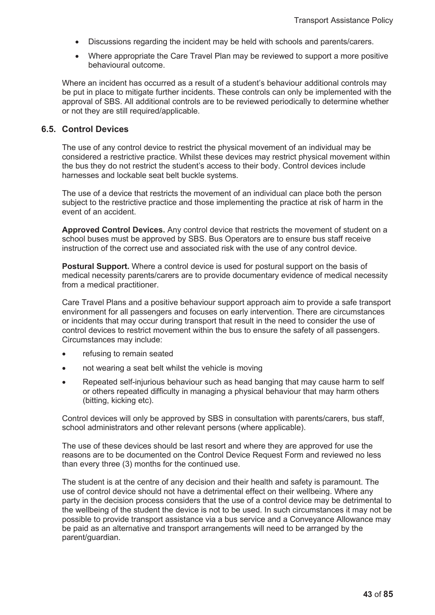- Discussions regarding the incident may be held with schools and parents/carers.
- Where appropriate the Care Travel Plan may be reviewed to support a more positive behavioural outcome.

Where an incident has occurred as a result of a student's behaviour additional controls may be put in place to mitigate further incidents. These controls can only be implemented with the approval of SBS. All additional controls are to be reviewed periodically to determine whether or not they are still required/applicable.

# **6.5. Control Devices**

The use of any control device to restrict the physical movement of an individual may be considered a restrictive practice. Whilst these devices may restrict physical movement within the bus they do not restrict the student's access to their body. Control devices include harnesses and lockable seat belt buckle systems.

The use of a device that restricts the movement of an individual can place both the person subject to the restrictive practice and those implementing the practice at risk of harm in the event of an accident.

**Approved Control Devices.** Any control device that restricts the movement of student on a school buses must be approved by SBS. Bus Operators are to ensure bus staff receive instruction of the correct use and associated risk with the use of any control device.

**Postural Support.** Where a control device is used for postural support on the basis of medical necessity parents/carers are to provide documentary evidence of medical necessity from a medical practitioner.

Care Travel Plans and a positive behaviour support approach aim to provide a safe transport environment for all passengers and focuses on early intervention. There are circumstances or incidents that may occur during transport that result in the need to consider the use of control devices to restrict movement within the bus to ensure the safety of all passengers. Circumstances may include:

- refusing to remain seated
- not wearing a seat belt whilst the vehicle is moving
- Repeated self-injurious behaviour such as head banging that may cause harm to self or others repeated difficulty in managing a physical behaviour that may harm others (bitting, kicking etc).

Control devices will only be approved by SBS in consultation with parents/carers, bus staff, school administrators and other relevant persons (where applicable).

The use of these devices should be last resort and where they are approved for use the reasons are to be documented on the Control Device Request Form and reviewed no less than every three (3) months for the continued use.

The student is at the centre of any decision and their health and safety is paramount. The use of control device should not have a detrimental effect on their wellbeing. Where any party in the decision process considers that the use of a control device may be detrimental to the wellbeing of the student the device is not to be used. In such circumstances it may not be possible to provide transport assistance via a bus service and a Conveyance Allowance may be paid as an alternative and transport arrangements will need to be arranged by the parent/guardian.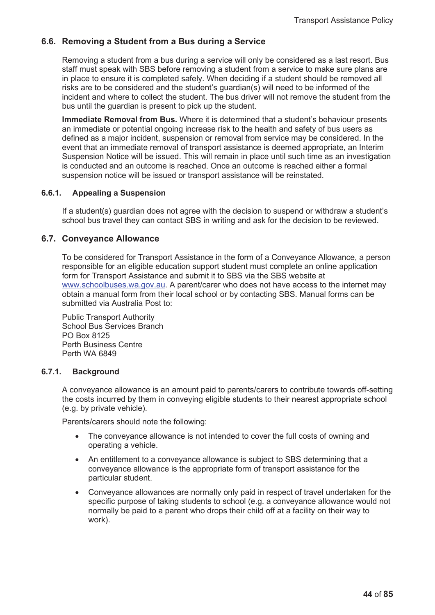# **6.6. Removing a Student from a Bus during a Service**

Removing a student from a bus during a service will only be considered as a last resort. Bus staff must speak with SBS before removing a student from a service to make sure plans are in place to ensure it is completed safely. When deciding if a student should be removed all risks are to be considered and the student's guardian(s) will need to be informed of the incident and where to collect the student. The bus driver will not remove the student from the bus until the guardian is present to pick up the student.

**Immediate Removal from Bus.** Where it is determined that a student's behaviour presents an immediate or potential ongoing increase risk to the health and safety of bus users as defined as a major incident, suspension or removal from service may be considered. In the event that an immediate removal of transport assistance is deemed appropriate, an Interim Suspension Notice will be issued. This will remain in place until such time as an investigation is conducted and an outcome is reached. Once an outcome is reached either a formal suspension notice will be issued or transport assistance will be reinstated.

# **6.6.1. Appealing a Suspension**

If a student(s) guardian does not agree with the decision to suspend or withdraw a student's school bus travel they can contact SBS in writing and ask for the decision to be reviewed.

# **6.7. Conveyance Allowance**

To be considered for Transport Assistance in the form of a Conveyance Allowance, a person responsible for an eligible education support student must complete an online application form for Transport Assistance and submit it to SBS via the SBS website at www.schoolbuses.wa.gov.au. A parent/carer who does not have access to the internet may obtain a manual form from their local school or by contacting SBS. Manual forms can be submitted via Australia Post to:

Public Transport Authority School Bus Services Branch PO Box 8125 Perth Business Centre Perth WA 6849

# **6.7.1. Background**

A conveyance allowance is an amount paid to parents/carers to contribute towards off-setting the costs incurred by them in conveying eligible students to their nearest appropriate school (e.g. by private vehicle).

Parents/carers should note the following:

- The convevance allowance is not intended to cover the full costs of owning and operating a vehicle.
- An entitlement to a conveyance allowance is subject to SBS determining that a conveyance allowance is the appropriate form of transport assistance for the particular student.
- Conveyance allowances are normally only paid in respect of travel undertaken for the specific purpose of taking students to school (e.g. a conveyance allowance would not normally be paid to a parent who drops their child off at a facility on their way to work).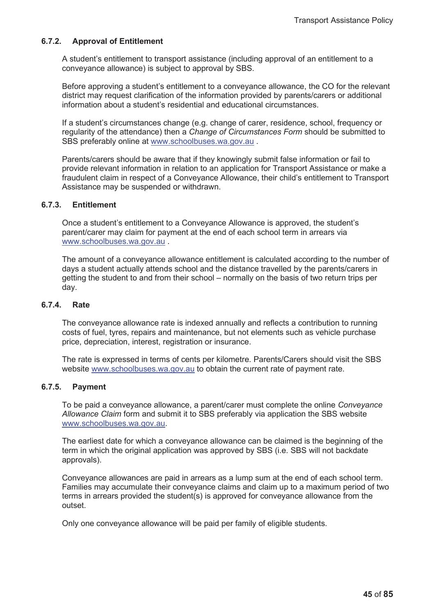# **6.7.2. Approval of Entitlement**

A student's entitlement to transport assistance (including approval of an entitlement to a conveyance allowance) is subject to approval by SBS.

Before approving a student's entitlement to a conveyance allowance, the CO for the relevant district may request clarification of the information provided by parents/carers or additional information about a student's residential and educational circumstances.

If a student's circumstances change (e.g. change of carer, residence, school, frequency or regularity of the attendance) then a *Change of Circumstances Form* should be submitted to SBS preferably online at www.schoolbuses.wa.gov.au .

Parents/carers should be aware that if they knowingly submit false information or fail to provide relevant information in relation to an application for Transport Assistance or make a fraudulent claim in respect of a Conveyance Allowance, their child's entitlement to Transport Assistance may be suspended or withdrawn.

# **6.7.3. Entitlement**

Once a student's entitlement to a Conveyance Allowance is approved, the student's parent/carer may claim for payment at the end of each school term in arrears via www.schoolbuses.wa.gov.au .

The amount of a conveyance allowance entitlement is calculated according to the number of days a student actually attends school and the distance travelled by the parents/carers in getting the student to and from their school – normally on the basis of two return trips per day.

#### **6.7.4. Rate**

The conveyance allowance rate is indexed annually and reflects a contribution to running costs of fuel, tyres, repairs and maintenance, but not elements such as vehicle purchase price, depreciation, interest, registration or insurance.

The rate is expressed in terms of cents per kilometre. Parents/Carers should visit the SBS website www.schoolbuses.wa.gov.au to obtain the current rate of payment rate.

# **6.7.5. Payment**

To be paid a conveyance allowance, a parent/carer must complete the online *Conveyance Allowance Claim* form and submit it to SBS preferably via application the SBS website www.schoolbuses.wa.gov.au.

The earliest date for which a conveyance allowance can be claimed is the beginning of the term in which the original application was approved by SBS (i.e. SBS will not backdate approvals).

Conveyance allowances are paid in arrears as a lump sum at the end of each school term. Families may accumulate their conveyance claims and claim up to a maximum period of two terms in arrears provided the student(s) is approved for conveyance allowance from the outset.

Only one conveyance allowance will be paid per family of eligible students.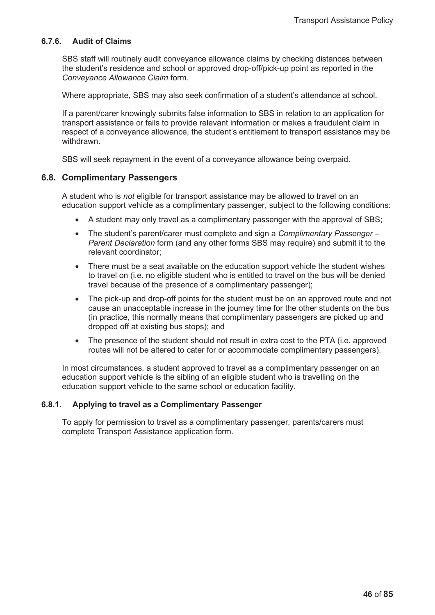# **6.7.6. Audit of Claims**

SBS staff will routinely audit conveyance allowance claims by checking distances between the student's residence and school or approved drop-off/pick-up point as reported in the *Conveyance Allowance Claim* form.

Where appropriate, SBS may also seek confirmation of a student's attendance at school.

If a parent/carer knowingly submits false information to SBS in relation to an application for transport assistance or fails to provide relevant information or makes a fraudulent claim in respect of a conveyance allowance, the student's entitlement to transport assistance may be withdrawn.

SBS will seek repayment in the event of a conveyance allowance being overpaid.

# **6.8. Complimentary Passengers**

A student who is *not* eligible for transport assistance may be allowed to travel on an education support vehicle as a complimentary passenger, subject to the following conditions:

- $\bullet$  A student may only travel as a complimentary passenger with the approval of SBS;
- The student's parent/carer must complete and sign a *Complimentary Passenger Parent Declaration* form (and any other forms SBS may require) and submit it to the relevant coordinator;
- $\bullet$  There must be a seat available on the education support vehicle the student wishes to travel on (i.e. no eligible student who is entitled to travel on the bus will be denied travel because of the presence of a complimentary passenger);
- The pick-up and drop-off points for the student must be on an approved route and not cause an unacceptable increase in the journey time for the other students on the bus (in practice, this normally means that complimentary passengers are picked up and dropped off at existing bus stops); and
- The presence of the student should not result in extra cost to the PTA (i.e. approved routes will not be altered to cater for or accommodate complimentary passengers).

In most circumstances, a student approved to travel as a complimentary passenger on an education support vehicle is the sibling of an eligible student who is travelling on the education support vehicle to the same school or education facility.

# **6.8.1. Applying to travel as a Complimentary Passenger**

To apply for permission to travel as a complimentary passenger, parents/carers must complete Transport Assistance application form.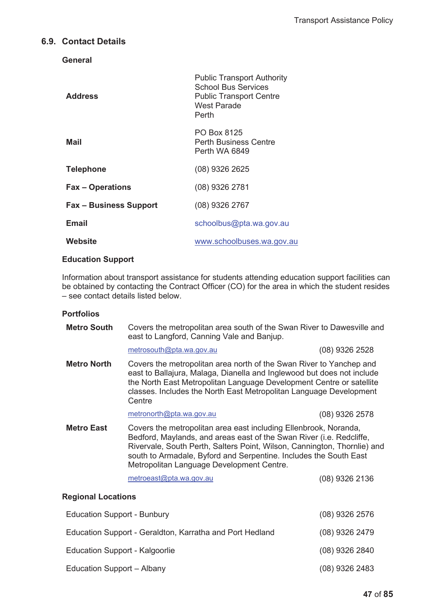# **6.9. Contact Details**

**General** 

| <b>Address</b>                | <b>Public Transport Authority</b><br><b>School Bus Services</b><br><b>Public Transport Centre</b><br>West Parade<br>Perth |
|-------------------------------|---------------------------------------------------------------------------------------------------------------------------|
| Mail                          | PO Box 8125<br>Perth Business Centre<br>Perth WA 6849                                                                     |
| <b>Telephone</b>              | (08) 9326 2625                                                                                                            |
| <b>Fax - Operations</b>       | (08) 9326 2781                                                                                                            |
| <b>Fax – Business Support</b> | $(08)$ 9326 2767                                                                                                          |
| Email                         | schoolbus@pta.wa.gov.au                                                                                                   |
| Website                       | www.schoolbuses.wa.gov.au                                                                                                 |

# **Education Support**

Information about transport assistance for students attending education support facilities can be obtained by contacting the Contract Officer (CO) for the area in which the student resides – see contact details listed below.

# **Portfolios**

| <b>Metro South</b>                                       | Covers the metropolitan area south of the Swan River to Dawesville and<br>east to Langford, Canning Vale and Banjup.                                                                                                                                                                                                                   |                  |
|----------------------------------------------------------|----------------------------------------------------------------------------------------------------------------------------------------------------------------------------------------------------------------------------------------------------------------------------------------------------------------------------------------|------------------|
|                                                          | metrosouth@pta.wa.gov.au                                                                                                                                                                                                                                                                                                               | (08) 9326 2528   |
| <b>Metro North</b>                                       | Covers the metropolitan area north of the Swan River to Yanchep and<br>east to Ballajura, Malaga, Dianella and Inglewood but does not include<br>the North East Metropolitan Language Development Centre or satellite<br>classes. Includes the North East Metropolitan Language Development<br>Centre                                  |                  |
|                                                          | metronorth@pta.wa.gov.au                                                                                                                                                                                                                                                                                                               | $(08)$ 9326 2578 |
| <b>Metro East</b>                                        | Covers the metropolitan area east including Ellenbrook, Noranda,<br>Bedford, Maylands, and areas east of the Swan River (i.e. Redcliffe,<br>Rivervale, South Perth, Salters Point, Wilson, Cannington, Thornlie) and<br>south to Armadale, Byford and Serpentine. Includes the South East<br>Metropolitan Language Development Centre. |                  |
|                                                          | metroeast@pta.wa.gov.au                                                                                                                                                                                                                                                                                                                | (08) 9326 2136   |
| <b>Regional Locations</b>                                |                                                                                                                                                                                                                                                                                                                                        |                  |
| <b>Education Support - Bunbury</b>                       |                                                                                                                                                                                                                                                                                                                                        | (08) 9326 2576   |
| Education Support - Geraldton, Karratha and Port Hedland |                                                                                                                                                                                                                                                                                                                                        | (08) 9326 2479   |
| <b>Education Support - Kalgoorlie</b>                    |                                                                                                                                                                                                                                                                                                                                        | (08) 9326 2840   |
| Education Support - Albany                               |                                                                                                                                                                                                                                                                                                                                        | (08) 9326 2483   |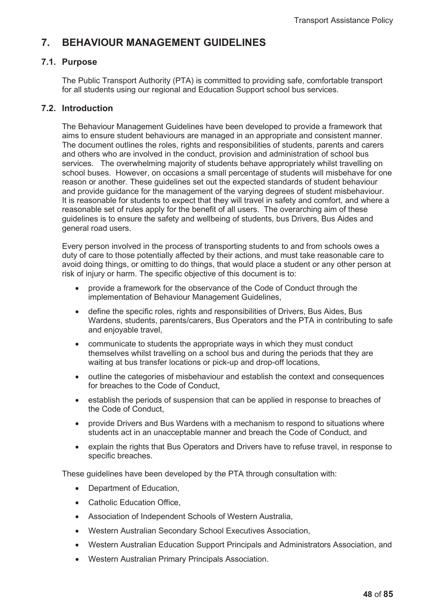# **7. BEHAVIOUR MANAGEMENT GUIDELINES**

# **7.1. Purpose**

The Public Transport Authority (PTA) is committed to providing safe, comfortable transport for all students using our regional and Education Support school bus services.

# **7.2. Introduction**

The Behaviour Management Guidelines have been developed to provide a framework that aims to ensure student behaviours are managed in an appropriate and consistent manner. The document outlines the roles, rights and responsibilities of students, parents and carers and others who are involved in the conduct, provision and administration of school bus services. The overwhelming majority of students behave appropriately whilst travelling on school buses. However, on occasions a small percentage of students will misbehave for one reason or another. These guidelines set out the expected standards of student behaviour and provide guidance for the management of the varying degrees of student misbehaviour. It is reasonable for students to expect that they will travel in safety and comfort, and where a reasonable set of rules apply for the benefit of all users. The overarching aim of these guidelines is to ensure the safety and wellbeing of students, bus Drivers, Bus Aides and general road users.

Every person involved in the process of transporting students to and from schools owes a duty of care to those potentially affected by their actions, and must take reasonable care to avoid doing things, or omitting to do things, that would place a student or any other person at risk of injury or harm. The specific objective of this document is to:

- provide a framework for the observance of the Code of Conduct through the implementation of Behaviour Management Guidelines,
- define the specific roles, rights and responsibilities of Drivers, Bus Aides, Bus Wardens, students, parents/carers, Bus Operators and the PTA in contributing to safe and enjoyable travel,
- x communicate to students the appropriate ways in which they must conduct themselves whilst travelling on a school bus and during the periods that they are waiting at bus transfer locations or pick-up and drop-off locations,
- outline the categories of misbehaviour and establish the context and consequences for breaches to the Code of Conduct,
- establish the periods of suspension that can be applied in response to breaches of the Code of Conduct,
- provide Drivers and Bus Wardens with a mechanism to respond to situations where students act in an unacceptable manner and breach the Code of Conduct, and
- explain the rights that Bus Operators and Drivers have to refuse travel, in response to specific breaches.

These guidelines have been developed by the PTA through consultation with:

- Department of Education,
- Catholic Education Office.
- Association of Independent Schools of Western Australia,
- Western Australian Secondary School Executives Association,
- Western Australian Education Support Principals and Administrators Association, and
- Western Australian Primary Principals Association.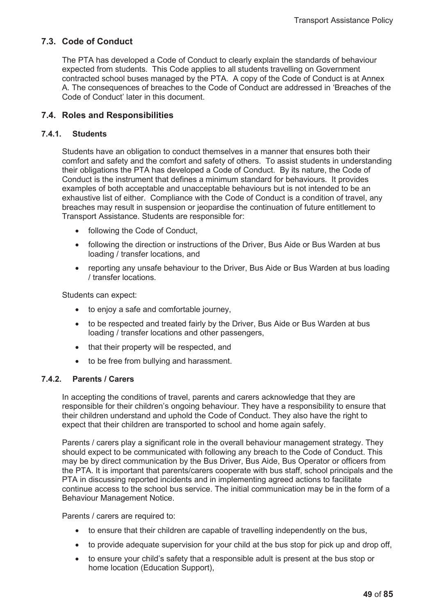# **7.3. Code of Conduct**

The PTA has developed a Code of Conduct to clearly explain the standards of behaviour expected from students. This Code applies to all students travelling on Government contracted school buses managed by the PTA. A copy of the Code of Conduct is at Annex A. The consequences of breaches to the Code of Conduct are addressed in 'Breaches of the Code of Conduct' later in this document.

# **7.4. Roles and Responsibilities**

# **7.4.1. Students**

Students have an obligation to conduct themselves in a manner that ensures both their comfort and safety and the comfort and safety of others. To assist students in understanding their obligations the PTA has developed a Code of Conduct. By its nature, the Code of Conduct is the instrument that defines a minimum standard for behaviours. It provides examples of both acceptable and unacceptable behaviours but is not intended to be an exhaustive list of either. Compliance with the Code of Conduct is a condition of travel, any breaches may result in suspension or jeopardise the continuation of future entitlement to Transport Assistance. Students are responsible for:

- following the Code of Conduct,
- following the direction or instructions of the Driver, Bus Aide or Bus Warden at bus loading / transfer locations, and
- reporting any unsafe behaviour to the Driver, Bus Aide or Bus Warden at bus loading / transfer locations.

Students can expect:

- $\bullet$  to enjoy a safe and comfortable journey,
- to be respected and treated fairly by the Driver, Bus Aide or Bus Warden at bus loading / transfer locations and other passengers,
- that their property will be respected, and
- to be free from bullying and harassment.

# **7.4.2. Parents / Carers**

In accepting the conditions of travel, parents and carers acknowledge that they are responsible for their children's ongoing behaviour. They have a responsibility to ensure that their children understand and uphold the Code of Conduct. They also have the right to expect that their children are transported to school and home again safely.

Parents / carers play a significant role in the overall behaviour management strategy. They should expect to be communicated with following any breach to the Code of Conduct. This may be by direct communication by the Bus Driver, Bus Aide, Bus Operator or officers from the PTA. It is important that parents/carers cooperate with bus staff, school principals and the PTA in discussing reported incidents and in implementing agreed actions to facilitate continue access to the school bus service. The initial communication may be in the form of a Behaviour Management Notice.

Parents / carers are required to:

- to ensure that their children are capable of travelling independently on the bus,
- to provide adequate supervision for your child at the bus stop for pick up and drop off,
- to ensure your child's safety that a responsible adult is present at the bus stop or home location (Education Support),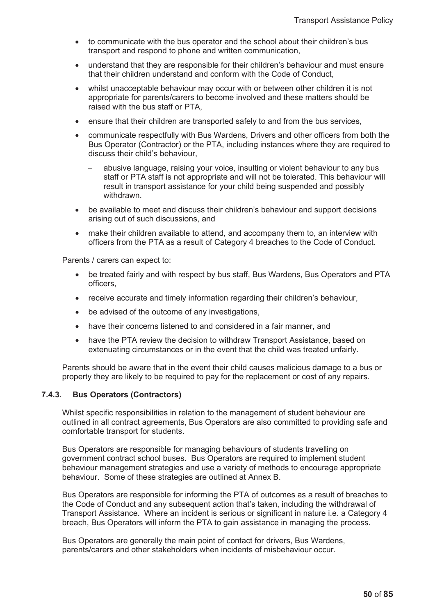- to communicate with the bus operator and the school about their children's bus transport and respond to phone and written communication,
- understand that they are responsible for their children's behaviour and must ensure that their children understand and conform with the Code of Conduct,
- whilst unacceptable behaviour may occur with or between other children it is not appropriate for parents/carers to become involved and these matters should be raised with the bus staff or PTA,
- ensure that their children are transported safely to and from the bus services,
- communicate respectfully with Bus Wardens, Drivers and other officers from both the Bus Operator (Contractor) or the PTA, including instances where they are required to discuss their child's behaviour,
	- abusive language, raising your voice, insulting or violent behaviour to any bus staff or PTA staff is not appropriate and will not be tolerated. This behaviour will result in transport assistance for your child being suspended and possibly withdrawn.
- be available to meet and discuss their children's behaviour and support decisions arising out of such discussions, and
- make their children available to attend, and accompany them to, an interview with officers from the PTA as a result of Category 4 breaches to the Code of Conduct.

Parents / carers can expect to:

- be treated fairly and with respect by bus staff, Bus Wardens, Bus Operators and PTA officers,
- receive accurate and timely information regarding their children's behaviour,
- be advised of the outcome of any investigations,
- have their concerns listened to and considered in a fair manner, and
- have the PTA review the decision to withdraw Transport Assistance, based on extenuating circumstances or in the event that the child was treated unfairly.

Parents should be aware that in the event their child causes malicious damage to a bus or property they are likely to be required to pay for the replacement or cost of any repairs.

### **7.4.3. Bus Operators (Contractors)**

Whilst specific responsibilities in relation to the management of student behaviour are outlined in all contract agreements, Bus Operators are also committed to providing safe and comfortable transport for students.

Bus Operators are responsible for managing behaviours of students travelling on government contract school buses. Bus Operators are required to implement student behaviour management strategies and use a variety of methods to encourage appropriate behaviour. Some of these strategies are outlined at Annex B.

Bus Operators are responsible for informing the PTA of outcomes as a result of breaches to the Code of Conduct and any subsequent action that's taken, including the withdrawal of Transport Assistance. Where an incident is serious or significant in nature i.e. a Category 4 breach, Bus Operators will inform the PTA to gain assistance in managing the process.

Bus Operators are generally the main point of contact for drivers, Bus Wardens, parents/carers and other stakeholders when incidents of misbehaviour occur.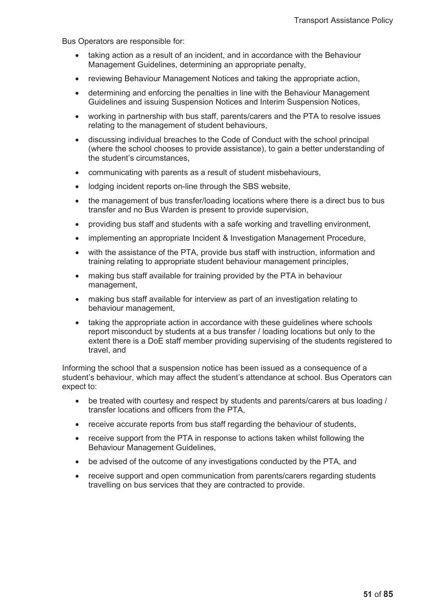Bus Operators are responsible for:

- taking action as a result of an incident, and in accordance with the Behaviour Management Guidelines, determining an appropriate penalty,
- reviewing Behaviour Management Notices and taking the appropriate action,
- determining and enforcing the penalties in line with the Behaviour Management Guidelines and issuing Suspension Notices and Interim Suspension Notices,
- working in partnership with bus staff, parents/carers and the PTA to resolve issues relating to the management of student behaviours,
- discussing individual breaches to the Code of Conduct with the school principal (where the school chooses to provide assistance), to gain a better understanding of the student's circumstances,
- communicating with parents as a result of student misbehaviours,
- lodging incident reports on-line through the SBS website,
- $\bullet$  the management of bus transfer/loading locations where there is a direct bus to bus transfer and no Bus Warden is present to provide supervision,
- providing bus staff and students with a safe working and travelling environment,
- implementing an appropriate Incident & Investigation Management Procedure,
- with the assistance of the PTA, provide bus staff with instruction, information and training relating to appropriate student behaviour management principles,
- making bus staff available for training provided by the PTA in behaviour management,
- making bus staff available for interview as part of an investigation relating to behaviour management,
- taking the appropriate action in accordance with these guidelines where schools report misconduct by students at a bus transfer / loading locations but only to the extent there is a DoE staff member providing supervising of the students registered to travel, and

Informing the school that a suspension notice has been issued as a consequence of a student's behaviour, which may affect the student's attendance at school. Bus Operators can expect to:

- be treated with courtesy and respect by students and parents/carers at bus loading / transfer locations and officers from the PTA,
- receive accurate reports from bus staff regarding the behaviour of students,
- receive support from the PTA in response to actions taken whilst following the Behaviour Management Guidelines,
- be advised of the outcome of any investigations conducted by the PTA, and
- receive support and open communication from parents/carers regarding students travelling on bus services that they are contracted to provide.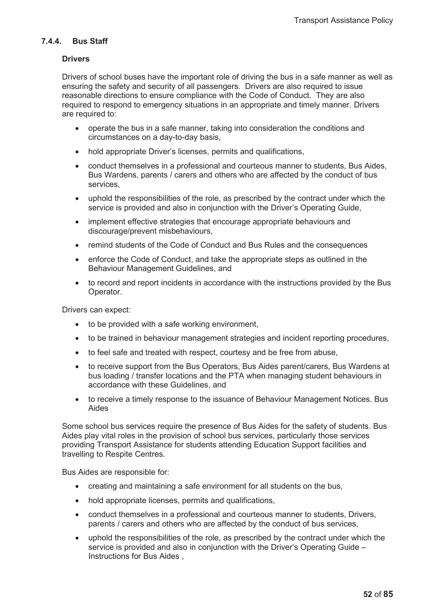# **7.4.4. Bus Staff**

# **Drivers**

Drivers of school buses have the important role of driving the bus in a safe manner as well as ensuring the safety and security of all passengers. Drivers are also required to issue reasonable directions to ensure compliance with the Code of Conduct. They are also required to respond to emergency situations in an appropriate and timely manner. Drivers are required to:

- operate the bus in a safe manner, taking into consideration the conditions and circumstances on a day-to-day basis,
- hold appropriate Driver's licenses, permits and qualifications,
- conduct themselves in a professional and courteous manner to students, Bus Aides, Bus Wardens, parents / carers and others who are affected by the conduct of bus services,
- uphold the responsibilities of the role, as prescribed by the contract under which the service is provided and also in conjunction with the Driver's Operating Guide,
- implement effective strategies that encourage appropriate behaviours and discourage/prevent misbehaviours,
- remind students of the Code of Conduct and Bus Rules and the consequences
- enforce the Code of Conduct, and take the appropriate steps as outlined in the Behaviour Management Guidelines, and
- to record and report incidents in accordance with the instructions provided by the Bus Operator.

Drivers can expect:

- $\bullet$  to be provided with a safe working environment,
- to be trained in behaviour management strategies and incident reporting procedures,
- to feel safe and treated with respect, courtesy and be free from abuse,
- to receive support from the Bus Operators, Bus Aides parent/carers, Bus Wardens at bus loading / transfer locations and the PTA when managing student behaviours in accordance with these Guidelines, and
- to receive a timely response to the issuance of Behaviour Management Notices. Bus Aides

Some school bus services require the presence of Bus Aides for the safety of students. Bus Aides play vital roles in the provision of school bus services, particularly those services providing Transport Assistance for students attending Education Support facilities and travelling to Respite Centres.

Bus Aides are responsible for:

- creating and maintaining a safe environment for all students on the bus,
- hold appropriate licenses, permits and qualifications,
- conduct themselves in a professional and courteous manner to students, Drivers, parents / carers and others who are affected by the conduct of bus services,
- uphold the responsibilities of the role, as prescribed by the contract under which the service is provided and also in conjunction with the Driver's Operating Guide – Instructions for Bus Aides ,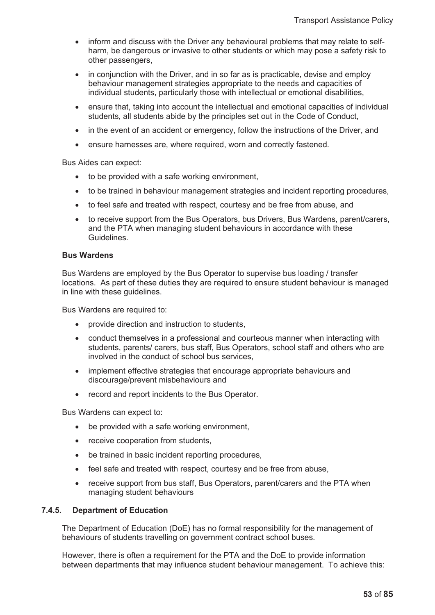- inform and discuss with the Driver any behavioural problems that may relate to selfharm, be dangerous or invasive to other students or which may pose a safety risk to other passengers,
- in conjunction with the Driver, and in so far as is practicable, devise and employ behaviour management strategies appropriate to the needs and capacities of individual students, particularly those with intellectual or emotional disabilities,
- ensure that, taking into account the intellectual and emotional capacities of individual students, all students abide by the principles set out in the Code of Conduct,
- in the event of an accident or emergency, follow the instructions of the Driver, and
- ensure harnesses are, where required, worn and correctly fastened.

Bus Aides can expect:

- $\bullet$  to be provided with a safe working environment,
- to be trained in behaviour management strategies and incident reporting procedures,
- to feel safe and treated with respect, courtesy and be free from abuse, and
- to receive support from the Bus Operators, bus Drivers, Bus Wardens, parent/carers, and the PTA when managing student behaviours in accordance with these Guidelines.

### **Bus Wardens**

Bus Wardens are employed by the Bus Operator to supervise bus loading / transfer locations. As part of these duties they are required to ensure student behaviour is managed in line with these guidelines.

Bus Wardens are required to:

- provide direction and instruction to students,
- conduct themselves in a professional and courteous manner when interacting with students, parents/ carers, bus staff, Bus Operators, school staff and others who are involved in the conduct of school bus services,
- implement effective strategies that encourage appropriate behaviours and discourage/prevent misbehaviours and
- record and report incidents to the Bus Operator.

Bus Wardens can expect to:

- $\bullet$  be provided with a safe working environment,
- receive cooperation from students,
- be trained in basic incident reporting procedures,
- feel safe and treated with respect, courtesy and be free from abuse,
- receive support from bus staff, Bus Operators, parent/carers and the PTA when managing student behaviours

#### **7.4.5. Department of Education**

The Department of Education (DoE) has no formal responsibility for the management of behaviours of students travelling on government contract school buses.

However, there is often a requirement for the PTA and the DoE to provide information between departments that may influence student behaviour management. To achieve this: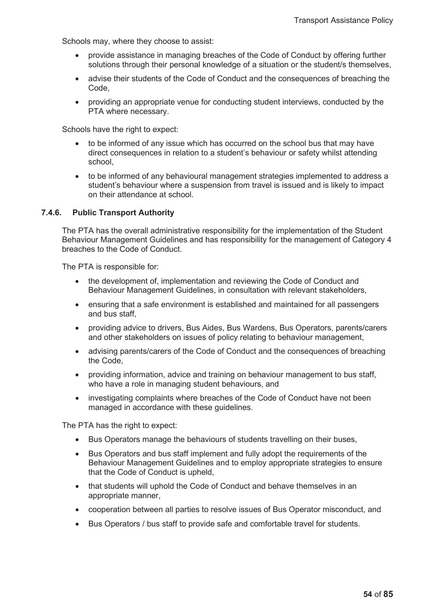Schools may, where they choose to assist:

- provide assistance in managing breaches of the Code of Conduct by offering further solutions through their personal knowledge of a situation or the student/s themselves,
- advise their students of the Code of Conduct and the consequences of breaching the Code,
- providing an appropriate venue for conducting student interviews, conducted by the PTA where necessary.

Schools have the right to expect:

- to be informed of any issue which has occurred on the school bus that may have direct consequences in relation to a student's behaviour or safety whilst attending school,
- to be informed of any behavioural management strategies implemented to address a student's behaviour where a suspension from travel is issued and is likely to impact on their attendance at school.

# **7.4.6. Public Transport Authority**

The PTA has the overall administrative responsibility for the implementation of the Student Behaviour Management Guidelines and has responsibility for the management of Category 4 breaches to the Code of Conduct.

The PTA is responsible for:

- the development of, implementation and reviewing the Code of Conduct and Behaviour Management Guidelines, in consultation with relevant stakeholders,
- ensuring that a safe environment is established and maintained for all passengers and bus staff,
- providing advice to drivers, Bus Aides, Bus Wardens, Bus Operators, parents/carers and other stakeholders on issues of policy relating to behaviour management,
- advising parents/carers of the Code of Conduct and the consequences of breaching the Code,
- providing information, advice and training on behaviour management to bus staff. who have a role in managing student behaviours, and
- investigating complaints where breaches of the Code of Conduct have not been managed in accordance with these guidelines.

The PTA has the right to expect:

- Bus Operators manage the behaviours of students travelling on their buses,
- Bus Operators and bus staff implement and fully adopt the requirements of the Behaviour Management Guidelines and to employ appropriate strategies to ensure that the Code of Conduct is upheld,
- that students will uphold the Code of Conduct and behave themselves in an appropriate manner,
- cooperation between all parties to resolve issues of Bus Operator misconduct, and
- Bus Operators / bus staff to provide safe and comfortable travel for students.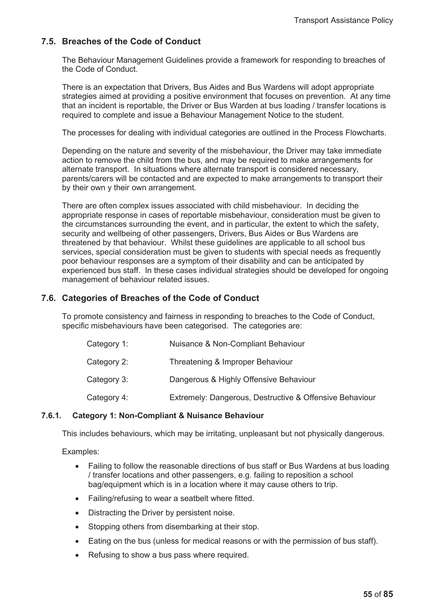# **7.5. Breaches of the Code of Conduct**

The Behaviour Management Guidelines provide a framework for responding to breaches of the Code of Conduct.

There is an expectation that Drivers, Bus Aides and Bus Wardens will adopt appropriate strategies aimed at providing a positive environment that focuses on prevention. At any time that an incident is reportable, the Driver or Bus Warden at bus loading / transfer locations is required to complete and issue a Behaviour Management Notice to the student.

The processes for dealing with individual categories are outlined in the Process Flowcharts.

Depending on the nature and severity of the misbehaviour, the Driver may take immediate action to remove the child from the bus, and may be required to make arrangements for alternate transport. In situations where alternate transport is considered necessary, parents/carers will be contacted and are expected to make arrangements to transport their by their own y their own arrangement.

There are often complex issues associated with child misbehaviour. In deciding the appropriate response in cases of reportable misbehaviour, consideration must be given to the circumstances surrounding the event, and in particular, the extent to which the safety, security and wellbeing of other passengers, Drivers, Bus Aides or Bus Wardens are threatened by that behaviour. Whilst these guidelines are applicable to all school bus services, special consideration must be given to students with special needs as frequently poor behaviour responses are a symptom of their disability and can be anticipated by experienced bus staff. In these cases individual strategies should be developed for ongoing management of behaviour related issues.

# **7.6. Categories of Breaches of the Code of Conduct**

To promote consistency and fairness in responding to breaches to the Code of Conduct, specific misbehaviours have been categorised. The categories are:

| Category 1: | Nuisance & Non-Compliant Behaviour                      |
|-------------|---------------------------------------------------------|
| Category 2: | Threatening & Improper Behaviour                        |
| Category 3: | Dangerous & Highly Offensive Behaviour                  |
| Category 4: | Extremely: Dangerous, Destructive & Offensive Behaviour |

# **7.6.1. Category 1: Non-Compliant & Nuisance Behaviour**

This includes behaviours, which may be irritating, unpleasant but not physically dangerous.

Examples:

- Failing to follow the reasonable directions of bus staff or Bus Wardens at bus loading / transfer locations and other passengers, e.g. failing to reposition a school bag/equipment which is in a location where it may cause others to trip.
- Failing/refusing to wear a seatbelt where fitted.
- Distracting the Driver by persistent noise.
- Stopping others from disembarking at their stop.
- Eating on the bus (unless for medical reasons or with the permission of bus staff).
- Refusing to show a bus pass where required.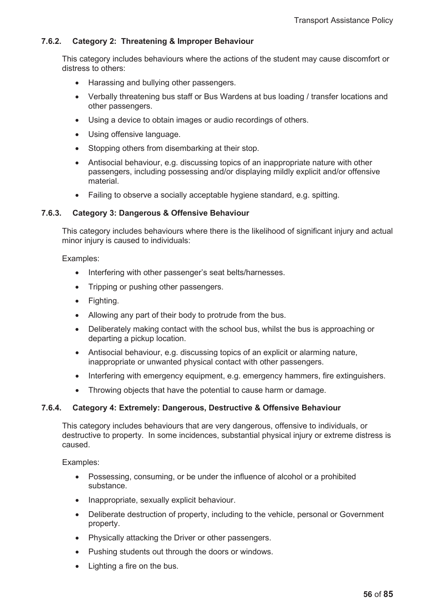# **7.6.2. Category 2: Threatening & Improper Behaviour**

This category includes behaviours where the actions of the student may cause discomfort or distress to others:

- Harassing and bullying other passengers.
- Verbally threatening bus staff or Bus Wardens at bus loading / transfer locations and other passengers.
- Using a device to obtain images or audio recordings of others.
- Using offensive language.
- Stopping others from disembarking at their stop.
- Antisocial behaviour, e.g. discussing topics of an inappropriate nature with other passengers, including possessing and/or displaying mildly explicit and/or offensive material.
- Failing to observe a socially acceptable hygiene standard, e.g. spitting.

### **7.6.3. Category 3: Dangerous & Offensive Behaviour**

This category includes behaviours where there is the likelihood of significant injury and actual minor injury is caused to individuals:

#### Examples:

- Interfering with other passenger's seat belts/harnesses.
- Tripping or pushing other passengers.
- Fighting.
- Allowing any part of their body to protrude from the bus.
- Deliberately making contact with the school bus, whilst the bus is approaching or departing a pickup location.
- Antisocial behaviour, e.g. discussing topics of an explicit or alarming nature, inappropriate or unwanted physical contact with other passengers.
- Interfering with emergency equipment, e.g. emergency hammers, fire extinguishers.
- Throwing objects that have the potential to cause harm or damage.

#### **7.6.4. Category 4: Extremely: Dangerous, Destructive & Offensive Behaviour**

This category includes behaviours that are very dangerous, offensive to individuals, or destructive to property. In some incidences, substantial physical injury or extreme distress is caused.

Examples:

- Possessing, consuming, or be under the influence of alcohol or a prohibited substance.
- Inappropriate, sexually explicit behaviour.
- Deliberate destruction of property, including to the vehicle, personal or Government property.
- Physically attacking the Driver or other passengers.
- Pushing students out through the doors or windows.
- $\bullet$  Lighting a fire on the bus.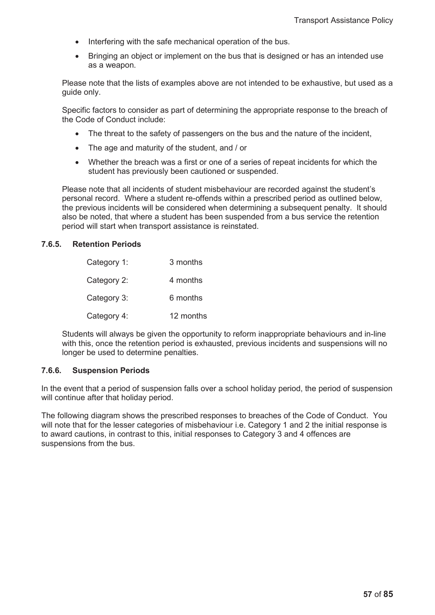- Interfering with the safe mechanical operation of the bus.
- Bringing an object or implement on the bus that is designed or has an intended use as a weapon.

Please note that the lists of examples above are not intended to be exhaustive, but used as a guide only.

Specific factors to consider as part of determining the appropriate response to the breach of the Code of Conduct include:

- The threat to the safety of passengers on the bus and the nature of the incident,
- The age and maturity of the student, and / or
- Whether the breach was a first or one of a series of repeat incidents for which the student has previously been cautioned or suspended.

Please note that all incidents of student misbehaviour are recorded against the student's personal record. Where a student re-offends within a prescribed period as outlined below, the previous incidents will be considered when determining a subsequent penalty. It should also be noted, that where a student has been suspended from a bus service the retention period will start when transport assistance is reinstated.

# **7.6.5. Retention Periods**

| Category 1: | 3 months  |
|-------------|-----------|
| Category 2: | 4 months  |
| Category 3: | 6 months  |
| Category 4: | 12 months |

Students will always be given the opportunity to reform inappropriate behaviours and in-line with this, once the retention period is exhausted, previous incidents and suspensions will no longer be used to determine penalties.

# **7.6.6. Suspension Periods**

In the event that a period of suspension falls over a school holiday period, the period of suspension will continue after that holiday period.

The following diagram shows the prescribed responses to breaches of the Code of Conduct. You will note that for the lesser categories of misbehaviour i.e. Category 1 and 2 the initial response is to award cautions, in contrast to this, initial responses to Category 3 and 4 offences are suspensions from the bus.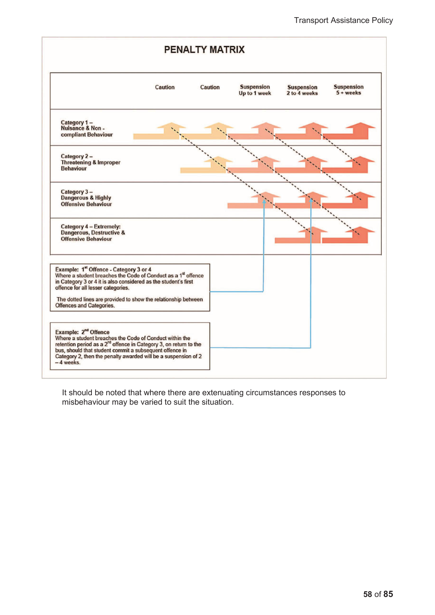

It should be noted that where there are extenuating circumstances responses to misbehaviour may be varied to suit the situation.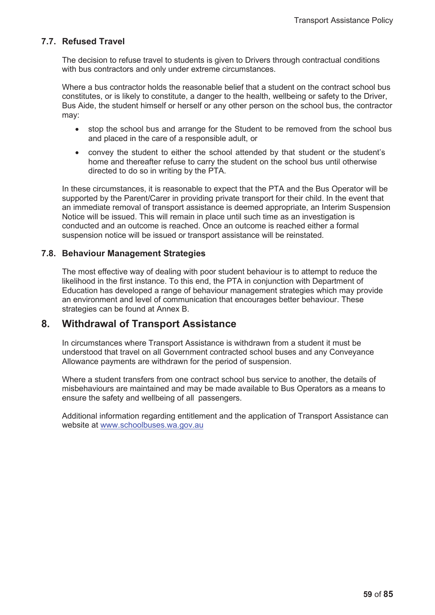# **7.7. Refused Travel**

The decision to refuse travel to students is given to Drivers through contractual conditions with bus contractors and only under extreme circumstances.

Where a bus contractor holds the reasonable belief that a student on the contract school bus constitutes, or is likely to constitute, a danger to the health, wellbeing or safety to the Driver, Bus Aide, the student himself or herself or any other person on the school bus, the contractor may:

- stop the school bus and arrange for the Student to be removed from the school bus and placed in the care of a responsible adult, or
- convey the student to either the school attended by that student or the student's home and thereafter refuse to carry the student on the school bus until otherwise directed to do so in writing by the PTA.

In these circumstances, it is reasonable to expect that the PTA and the Bus Operator will be supported by the Parent/Carer in providing private transport for their child. In the event that an immediate removal of transport assistance is deemed appropriate, an Interim Suspension Notice will be issued. This will remain in place until such time as an investigation is conducted and an outcome is reached. Once an outcome is reached either a formal suspension notice will be issued or transport assistance will be reinstated.

# **7.8. Behaviour Management Strategies**

The most effective way of dealing with poor student behaviour is to attempt to reduce the likelihood in the first instance. To this end, the PTA in conjunction with Department of Education has developed a range of behaviour management strategies which may provide an environment and level of communication that encourages better behaviour. These strategies can be found at Annex B.

# **8. Withdrawal of Transport Assistance**

In circumstances where Transport Assistance is withdrawn from a student it must be understood that travel on all Government contracted school buses and any Conveyance Allowance payments are withdrawn for the period of suspension.

Where a student transfers from one contract school bus service to another, the details of misbehaviours are maintained and may be made available to Bus Operators as a means to ensure the safety and wellbeing of all passengers.

Additional information regarding entitlement and the application of Transport Assistance can website at www.schoolbuses.wa.gov.au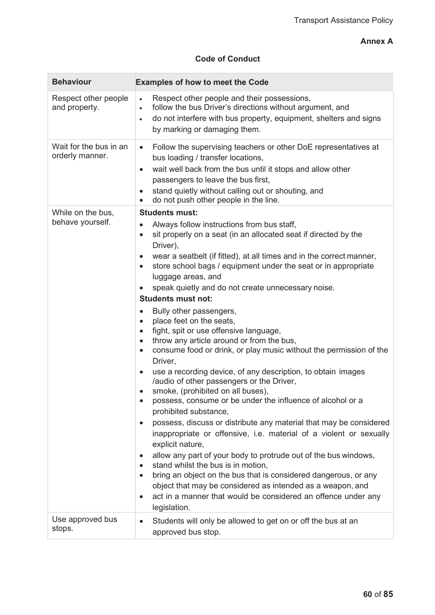# **Annex A**

# **Code of Conduct**

| <b>Behaviour</b>                          | <b>Examples of how to meet the Code</b>                                                                                                                                                                                                                                                                                                                                                                                                                                                                                                                                                                                                                                                                                                                                                                                                                                                                                                                                                                                                                                                                                                                                                                                                                                                                                                                                                                                                                                                                                                                                               |
|-------------------------------------------|---------------------------------------------------------------------------------------------------------------------------------------------------------------------------------------------------------------------------------------------------------------------------------------------------------------------------------------------------------------------------------------------------------------------------------------------------------------------------------------------------------------------------------------------------------------------------------------------------------------------------------------------------------------------------------------------------------------------------------------------------------------------------------------------------------------------------------------------------------------------------------------------------------------------------------------------------------------------------------------------------------------------------------------------------------------------------------------------------------------------------------------------------------------------------------------------------------------------------------------------------------------------------------------------------------------------------------------------------------------------------------------------------------------------------------------------------------------------------------------------------------------------------------------------------------------------------------------|
| Respect other people<br>and property.     | Respect other people and their possessions,<br>$\bullet$<br>follow the bus Driver's directions without argument, and<br>$\bullet$<br>do not interfere with bus property, equipment, shelters and signs<br>$\bullet$<br>by marking or damaging them.                                                                                                                                                                                                                                                                                                                                                                                                                                                                                                                                                                                                                                                                                                                                                                                                                                                                                                                                                                                                                                                                                                                                                                                                                                                                                                                                   |
| Wait for the bus in an<br>orderly manner. | Follow the supervising teachers or other DoE representatives at<br>$\bullet$<br>bus loading / transfer locations,<br>wait well back from the bus until it stops and allow other<br>$\bullet$<br>passengers to leave the bus first,<br>stand quietly without calling out or shouting, and<br>$\bullet$<br>do not push other people in the line.<br>$\bullet$                                                                                                                                                                                                                                                                                                                                                                                                                                                                                                                                                                                                                                                                                                                                                                                                                                                                                                                                                                                                                                                                                                                                                                                                                           |
| While on the bus,<br>behave yourself.     | <b>Students must:</b><br>Always follow instructions from bus staff,<br>$\bullet$<br>sit properly on a seat (in an allocated seat if directed by the<br>$\bullet$<br>Driver),<br>wear a seatbelt (if fitted), at all times and in the correct manner,<br>$\bullet$<br>store school bags / equipment under the seat or in appropriate<br>$\bullet$<br>luggage areas, and<br>speak quietly and do not create unnecessary noise.<br>$\bullet$<br><b>Students must not:</b><br>Bully other passengers,<br>$\bullet$<br>place feet on the seats,<br>$\bullet$<br>fight, spit or use offensive language,<br>$\bullet$<br>throw any article around or from the bus,<br>$\bullet$<br>consume food or drink, or play music without the permission of the<br>$\bullet$<br>Driver,<br>use a recording device, of any description, to obtain images<br>٠<br>/audio of other passengers or the Driver,<br>smoke, (prohibited on all buses),<br>٠<br>possess, consume or be under the influence of alcohol or a<br>$\bullet$<br>prohibited substance,<br>possess, discuss or distribute any material that may be considered<br>inappropriate or offensive, i.e. material of a violent or sexually<br>explicit nature,<br>allow any part of your body to protrude out of the bus windows,<br>$\bullet$<br>stand whilst the bus is in motion.<br>$\bullet$<br>bring an object on the bus that is considered dangerous, or any<br>$\bullet$<br>object that may be considered as intended as a weapon, and<br>act in a manner that would be considered an offence under any<br>$\bullet$<br>legislation. |
| Use approved bus<br>stops.                | Students will only be allowed to get on or off the bus at an<br>$\bullet$<br>approved bus stop.                                                                                                                                                                                                                                                                                                                                                                                                                                                                                                                                                                                                                                                                                                                                                                                                                                                                                                                                                                                                                                                                                                                                                                                                                                                                                                                                                                                                                                                                                       |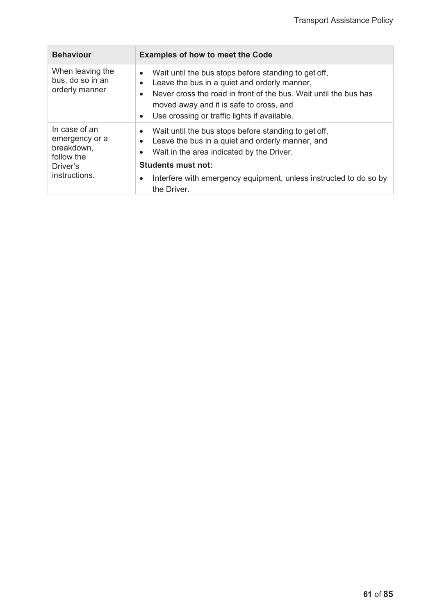| <b>Behaviour</b>                                                                         | <b>Examples of how to meet the Code</b>                                                                                                                                                                                                                                                                                    |
|------------------------------------------------------------------------------------------|----------------------------------------------------------------------------------------------------------------------------------------------------------------------------------------------------------------------------------------------------------------------------------------------------------------------------|
| When leaving the<br>bus, do so in an<br>orderly manner                                   | Wait until the bus stops before standing to get off,<br>$\bullet$<br>Leave the bus in a quiet and orderly manner,<br>$\bullet$<br>Never cross the road in front of the bus. Wait until the bus has<br>$\bullet$<br>moved away and it is safe to cross, and<br>Use crossing or traffic lights if available.<br>$\bullet$    |
| In case of an<br>emergency or a<br>breakdown,<br>follow the<br>Driver's<br>instructions. | Wait until the bus stops before standing to get off,<br>$\bullet$<br>Leave the bus in a quiet and orderly manner, and<br>$\bullet$<br>Wait in the area indicated by the Driver.<br>$\bullet$<br><b>Students must not:</b><br>Interfere with emergency equipment, unless instructed to do so by<br>$\bullet$<br>the Driver. |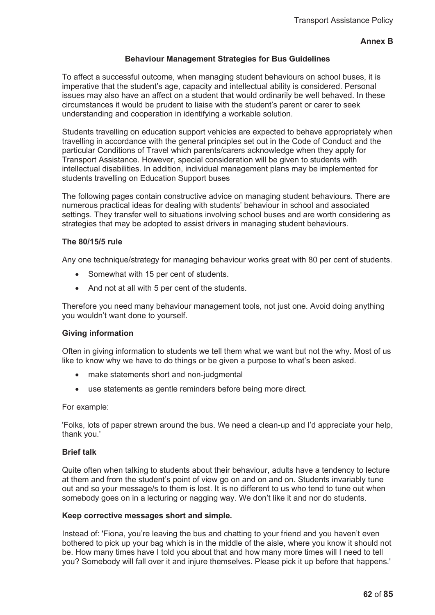# **Annex B**

### **Behaviour Management Strategies for Bus Guidelines**

To affect a successful outcome, when managing student behaviours on school buses, it is imperative that the student's age, capacity and intellectual ability is considered. Personal issues may also have an affect on a student that would ordinarily be well behaved. In these circumstances it would be prudent to liaise with the student's parent or carer to seek understanding and cooperation in identifying a workable solution.

Students travelling on education support vehicles are expected to behave appropriately when travelling in accordance with the general principles set out in the Code of Conduct and the particular Conditions of Travel which parents/carers acknowledge when they apply for Transport Assistance. However, special consideration will be given to students with intellectual disabilities. In addition, individual management plans may be implemented for students travelling on Education Support buses

The following pages contain constructive advice on managing student behaviours. There are numerous practical ideas for dealing with students' behaviour in school and associated settings. They transfer well to situations involving school buses and are worth considering as strategies that may be adopted to assist drivers in managing student behaviours.

### **The 80/15/5 rule**

Any one technique/strategy for managing behaviour works great with 80 per cent of students.

- Somewhat with 15 per cent of students.
- And not at all with 5 per cent of the students.

Therefore you need many behaviour management tools, not just one. Avoid doing anything you wouldn't want done to yourself.

#### **Giving information**

Often in giving information to students we tell them what we want but not the why. Most of us like to know why we have to do things or be given a purpose to what's been asked.

- make statements short and non-judgmental
- use statements as gentle reminders before being more direct.

For example:

'Folks, lots of paper strewn around the bus. We need a clean-up and I'd appreciate your help, thank you.'

#### **Brief talk**

Quite often when talking to students about their behaviour, adults have a tendency to lecture at them and from the student's point of view go on and on and on. Students invariably tune out and so your message/s to them is lost. It is no different to us who tend to tune out when somebody goes on in a lecturing or nagging way. We don't like it and nor do students.

#### **Keep corrective messages short and simple.**

Instead of: 'Fiona, you're leaving the bus and chatting to your friend and you haven't even bothered to pick up your bag which is in the middle of the aisle, where you know it should not be. How many times have I told you about that and how many more times will I need to tell you? Somebody will fall over it and injure themselves. Please pick it up before that happens.'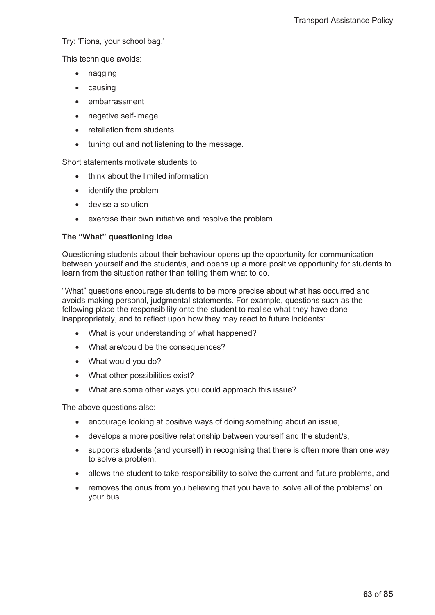Try: 'Fiona, your school bag.'

This technique avoids:

- $\bullet$  nagging
- $\bullet$  causing
- embarrassment
- negative self-image
- retaliation from students
- tuning out and not listening to the message.

Short statements motivate students to:

- think about the limited information
- $\bullet$  identify the problem
- $\bullet$  devise a solution
- exercise their own initiative and resolve the problem.

# **The "What" questioning idea**

Questioning students about their behaviour opens up the opportunity for communication between yourself and the student/s, and opens up a more positive opportunity for students to learn from the situation rather than telling them what to do.

"What" questions encourage students to be more precise about what has occurred and avoids making personal, judgmental statements. For example, questions such as the following place the responsibility onto the student to realise what they have done inappropriately, and to reflect upon how they may react to future incidents:

- What is your understanding of what happened?
- What are/could be the consequences?
- What would you do?
- What other possibilities exist?
- What are some other ways you could approach this issue?

The above questions also:

- encourage looking at positive ways of doing something about an issue,
- develops a more positive relationship between yourself and the student/s,
- supports students (and yourself) in recognising that there is often more than one way to solve a problem,
- allows the student to take responsibility to solve the current and future problems, and
- removes the onus from you believing that you have to 'solve all of the problems' on your bus.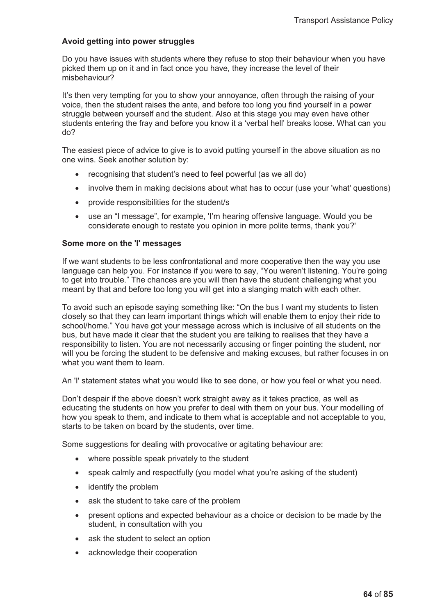# **Avoid getting into power struggles**

Do you have issues with students where they refuse to stop their behaviour when you have picked them up on it and in fact once you have, they increase the level of their misbehaviour?

It's then very tempting for you to show your annoyance, often through the raising of your voice, then the student raises the ante, and before too long you find yourself in a power struggle between yourself and the student. Also at this stage you may even have other students entering the fray and before you know it a 'verbal hell' breaks loose. What can you do?

The easiest piece of advice to give is to avoid putting yourself in the above situation as no one wins. Seek another solution by:

- recognising that student's need to feel powerful (as we all do)
- involve them in making decisions about what has to occur (use your 'what' questions)
- provide responsibilities for the student/s
- use an "I message", for example, 'I'm hearing offensive language. Would you be considerate enough to restate you opinion in more polite terms, thank you?'

# **Some more on the 'I' messages**

If we want students to be less confrontational and more cooperative then the way you use language can help you. For instance if you were to say, "You weren't listening. You're going to get into trouble." The chances are you will then have the student challenging what you meant by that and before too long you will get into a slanging match with each other.

To avoid such an episode saying something like: "On the bus I want my students to listen closely so that they can learn important things which will enable them to enjoy their ride to school/home." You have got your message across which is inclusive of all students on the bus, but have made it clear that the student you are talking to realises that they have a responsibility to listen. You are not necessarily accusing or finger pointing the student, nor will you be forcing the student to be defensive and making excuses, but rather focuses in on what you want them to learn.

An 'I' statement states what you would like to see done, or how you feel or what you need.

Don't despair if the above doesn't work straight away as it takes practice, as well as educating the students on how you prefer to deal with them on your bus. Your modelling of how you speak to them, and indicate to them what is acceptable and not acceptable to you, starts to be taken on board by the students, over time.

Some suggestions for dealing with provocative or agitating behaviour are:

- where possible speak privately to the student
- speak calmly and respectfully (you model what you're asking of the student)
- $\bullet$  identify the problem
- ask the student to take care of the problem
- present options and expected behaviour as a choice or decision to be made by the student, in consultation with you
- ask the student to select an option
- acknowledge their cooperation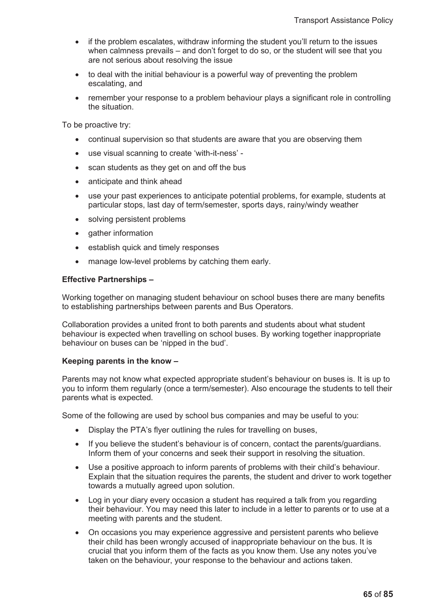- if the problem escalates, withdraw informing the student you'll return to the issues when calmness prevails – and don't forget to do so, or the student will see that you are not serious about resolving the issue
- to deal with the initial behaviour is a powerful way of preventing the problem escalating, and
- remember your response to a problem behaviour plays a significant role in controlling the situation.

To be proactive try:

- continual supervision so that students are aware that you are observing them
- use visual scanning to create 'with-it-ness' -
- $\bullet$  scan students as they get on and off the bus
- anticipate and think ahead
- use your past experiences to anticipate potential problems, for example, students at particular stops, last day of term/semester, sports days, rainy/windy weather
- solving persistent problems
- gather information
- establish quick and timely responses
- manage low-level problems by catching them early.

### **Effective Partnerships –**

Working together on managing student behaviour on school buses there are many benefits to establishing partnerships between parents and Bus Operators.

Collaboration provides a united front to both parents and students about what student behaviour is expected when travelling on school buses. By working together inappropriate behaviour on buses can be 'nipped in the bud'.

#### **Keeping parents in the know –**

Parents may not know what expected appropriate student's behaviour on buses is. It is up to you to inform them regularly (once a term/semester). Also encourage the students to tell their parents what is expected.

Some of the following are used by school bus companies and may be useful to you:

- Display the PTA's flyer outlining the rules for travelling on buses,
- If you believe the student's behaviour is of concern, contact the parents/guardians. Inform them of your concerns and seek their support in resolving the situation.
- Use a positive approach to inform parents of problems with their child's behaviour. Explain that the situation requires the parents, the student and driver to work together towards a mutually agreed upon solution.
- Log in your diary every occasion a student has required a talk from you regarding their behaviour. You may need this later to include in a letter to parents or to use at a meeting with parents and the student.
- On occasions you may experience aggressive and persistent parents who believe their child has been wrongly accused of inappropriate behaviour on the bus. It is crucial that you inform them of the facts as you know them. Use any notes you've taken on the behaviour, your response to the behaviour and actions taken.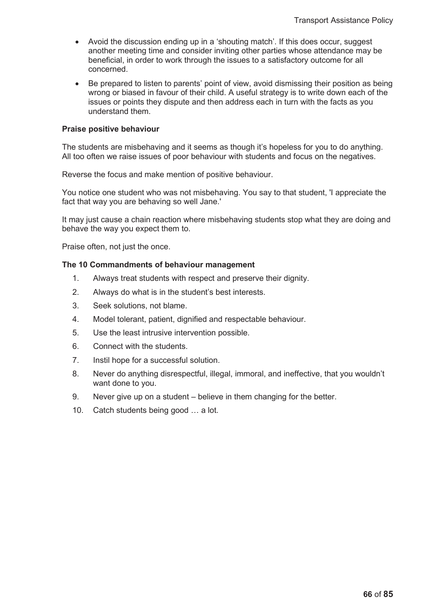- Avoid the discussion ending up in a 'shouting match'. If this does occur, suggest another meeting time and consider inviting other parties whose attendance may be beneficial, in order to work through the issues to a satisfactory outcome for all concerned.
- Be prepared to listen to parents' point of view, avoid dismissing their position as being wrong or biased in favour of their child. A useful strategy is to write down each of the issues or points they dispute and then address each in turn with the facts as you understand them.

#### **Praise positive behaviour**

The students are misbehaving and it seems as though it's hopeless for you to do anything. All too often we raise issues of poor behaviour with students and focus on the negatives.

Reverse the focus and make mention of positive behaviour.

You notice one student who was not misbehaving. You say to that student, 'I appreciate the fact that way you are behaving so well Jane.'

It may just cause a chain reaction where misbehaving students stop what they are doing and behave the way you expect them to.

Praise often, not just the once.

### **The 10 Commandments of behaviour management**

- 1. Always treat students with respect and preserve their dignity.
- 2. Always do what is in the student's best interests.
- 3. Seek solutions, not blame.
- 4. Model tolerant, patient, dignified and respectable behaviour.
- 5. Use the least intrusive intervention possible.
- 6. Connect with the students.
- 7. Instil hope for a successful solution.
- 8. Never do anything disrespectful, illegal, immoral, and ineffective, that you wouldn't want done to you.
- 9. Never give up on a student believe in them changing for the better.
- 10. Catch students being good … a lot.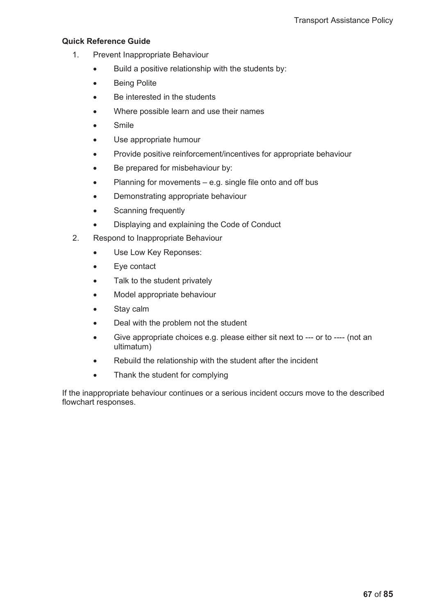## **Quick Reference Guide**

- 1. Prevent Inappropriate Behaviour
	- $\bullet$  Build a positive relationship with the students by:
	- Being Polite
	- Be interested in the students
	- Where possible learn and use their names
	- Smile
	- Use appropriate humour
	- Provide positive reinforcement/incentives for appropriate behaviour
	- Be prepared for misbehaviour by:
	- Planning for movements e.g. single file onto and off bus
	- Demonstrating appropriate behaviour
	- Scanning frequently
	- Displaying and explaining the Code of Conduct
- 2. Respond to Inappropriate Behaviour
	- Use Low Key Reponses:
	- Eye contact
	- Talk to the student privately
	- Model appropriate behaviour
	- Stay calm
	- Deal with the problem not the student
	- Give appropriate choices e.g. please either sit next to --- or to ---- (not an ultimatum)
	- Rebuild the relationship with the student after the incident
	- Thank the student for complying

If the inappropriate behaviour continues or a serious incident occurs move to the described flowchart responses.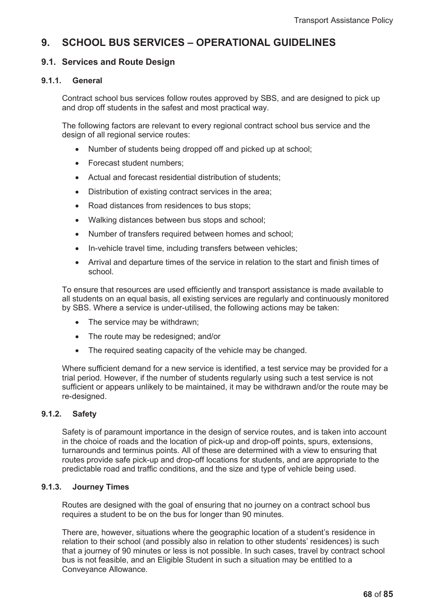# **9. SCHOOL BUS SERVICES – OPERATIONAL GUIDELINES**

## **9.1. Services and Route Design**

### **9.1.1. General**

Contract school bus services follow routes approved by SBS, and are designed to pick up and drop off students in the safest and most practical way.

The following factors are relevant to every regional contract school bus service and the design of all regional service routes:

- Number of students being dropped off and picked up at school:
- Forecast student numbers;
- Actual and forecast residential distribution of students;
- Distribution of existing contract services in the area;
- Road distances from residences to bus stops;
- Walking distances between bus stops and school;
- Number of transfers required between homes and school:
- In-vehicle travel time, including transfers between vehicles;
- Arrival and departure times of the service in relation to the start and finish times of school.

To ensure that resources are used efficiently and transport assistance is made available to all students on an equal basis, all existing services are regularly and continuously monitored by SBS. Where a service is under-utilised, the following actions may be taken:

- The service may be withdrawn;
- The route may be redesigned; and/or
- The required seating capacity of the vehicle may be changed.

Where sufficient demand for a new service is identified, a test service may be provided for a trial period. However, if the number of students regularly using such a test service is not sufficient or appears unlikely to be maintained, it may be withdrawn and/or the route may be re-designed.

## **9.1.2. Safety**

Safety is of paramount importance in the design of service routes, and is taken into account in the choice of roads and the location of pick-up and drop-off points, spurs, extensions, turnarounds and terminus points. All of these are determined with a view to ensuring that routes provide safe pick-up and drop-off locations for students, and are appropriate to the predictable road and traffic conditions, and the size and type of vehicle being used.

### **9.1.3. Journey Times**

Routes are designed with the goal of ensuring that no journey on a contract school bus requires a student to be on the bus for longer than 90 minutes.

There are, however, situations where the geographic location of a student's residence in relation to their school (and possibly also in relation to other students' residences) is such that a journey of 90 minutes or less is not possible. In such cases, travel by contract school bus is not feasible, and an Eligible Student in such a situation may be entitled to a Conveyance Allowance.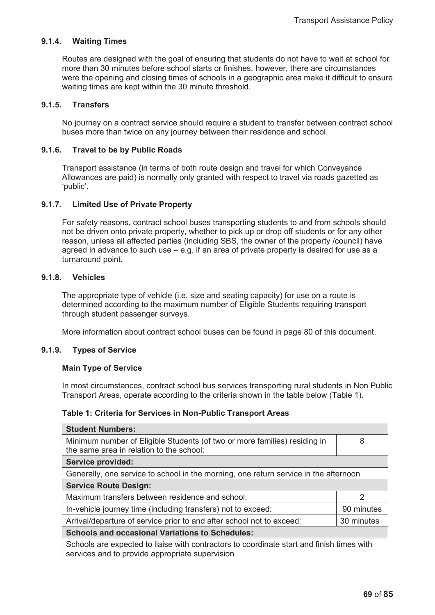## **9.1.4. Waiting Times**

Routes are designed with the goal of ensuring that students do not have to wait at school for more than 30 minutes before school starts or finishes, however, there are circumstances were the opening and closing times of schools in a geographic area make it difficult to ensure waiting times are kept within the 30 minute threshold.

## **9.1.5. Transfers**

No journey on a contract service should require a student to transfer between contract school buses more than twice on any journey between their residence and school.

### **9.1.6. Travel to be by Public Roads**

Transport assistance (in terms of both route design and travel for which Conveyance Allowances are paid) is normally only granted with respect to travel via roads gazetted as 'public'.

### **9.1.7. Limited Use of Private Property**

For safety reasons, contract school buses transporting students to and from schools should not be driven onto private property, whether to pick up or drop off students or for any other reason, unless all affected parties (including SBS, the owner of the property /council) have agreed in advance to such use – e.g. if an area of private property is desired for use as a turnaround point.

### **9.1.8. Vehicles**

The appropriate type of vehicle (i.e. size and seating capacity) for use on a route is determined according to the maximum number of Eligible Students requiring transport through student passenger surveys.

More information about contract school buses can be found in page 80 of this document.

### **9.1.9. Types of Service**

### **Main Type of Service**

In most circumstances, contract school bus services transporting rural students in Non Public Transport Areas, operate according to the criteria shown in the table below (Table 1).

### **Table 1: Criteria for Services in Non-Public Transport Areas**

| <b>Student Numbers:</b>                                                                                                                      |               |  |
|----------------------------------------------------------------------------------------------------------------------------------------------|---------------|--|
| Minimum number of Eligible Students (of two or more families) residing in<br>the same area in relation to the school:                        | 8             |  |
| <b>Service provided:</b>                                                                                                                     |               |  |
| Generally, one service to school in the morning, one return service in the afternoon                                                         |               |  |
| <b>Service Route Design:</b>                                                                                                                 |               |  |
| Maximum transfers between residence and school:                                                                                              | $\mathcal{P}$ |  |
| In-vehicle journey time (including transfers) not to exceed:<br>90 minutes                                                                   |               |  |
| Arrival/departure of service prior to and after school not to exceed:                                                                        | 30 minutes    |  |
| <b>Schools and occasional Variations to Schedules:</b>                                                                                       |               |  |
| Schools are expected to liaise with contractors to coordinate start and finish times with<br>services and to provide appropriate supervision |               |  |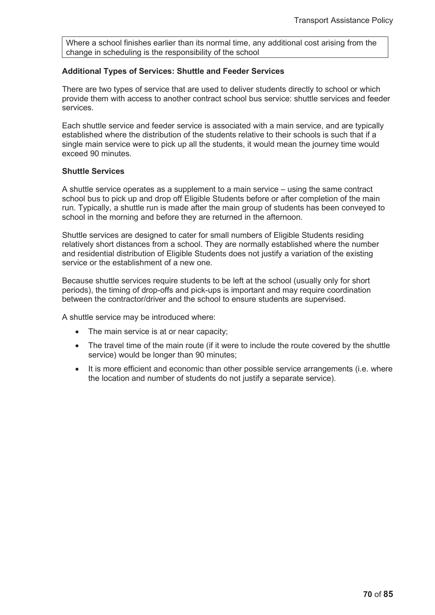Where a school finishes earlier than its normal time, any additional cost arising from the change in scheduling is the responsibility of the school

### **Additional Types of Services: Shuttle and Feeder Services**

There are two types of service that are used to deliver students directly to school or which provide them with access to another contract school bus service: shuttle services and feeder services.

Each shuttle service and feeder service is associated with a main service, and are typically established where the distribution of the students relative to their schools is such that if a single main service were to pick up all the students, it would mean the journey time would exceed 90 minutes.

### **Shuttle Services**

A shuttle service operates as a supplement to a main service – using the same contract school bus to pick up and drop off Eligible Students before or after completion of the main run. Typically, a shuttle run is made after the main group of students has been conveyed to school in the morning and before they are returned in the afternoon.

Shuttle services are designed to cater for small numbers of Eligible Students residing relatively short distances from a school. They are normally established where the number and residential distribution of Eligible Students does not justify a variation of the existing service or the establishment of a new one.

Because shuttle services require students to be left at the school (usually only for short periods), the timing of drop-offs and pick-ups is important and may require coordination between the contractor/driver and the school to ensure students are supervised.

A shuttle service may be introduced where:

- $\bullet$  The main service is at or near capacity;
- The travel time of the main route (if it were to include the route covered by the shuttle service) would be longer than 90 minutes;
- $\bullet$  It is more efficient and economic than other possible service arrangements (i.e. where the location and number of students do not justify a separate service).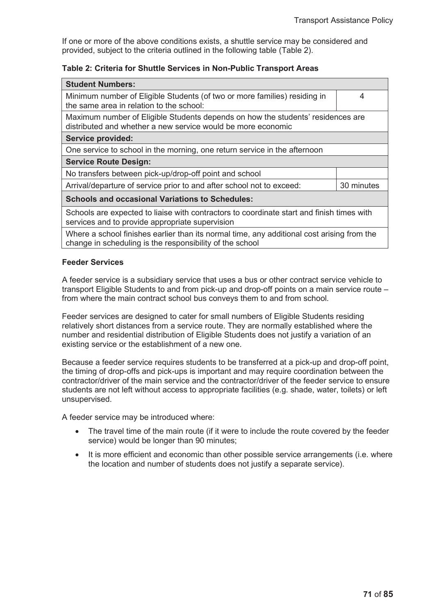If one or more of the above conditions exists, a shuttle service may be considered and provided, subject to the criteria outlined in the following table (Table 2).

## **Table 2: Criteria for Shuttle Services in Non-Public Transport Areas**

| <b>Student Numbers:</b>                                                                                                                                |            |  |
|--------------------------------------------------------------------------------------------------------------------------------------------------------|------------|--|
| Minimum number of Eligible Students (of two or more families) residing in<br>the same area in relation to the school:                                  | 4          |  |
| Maximum number of Eligible Students depends on how the students' residences are<br>distributed and whether a new service would be more economic        |            |  |
| <b>Service provided:</b>                                                                                                                               |            |  |
| One service to school in the morning, one return service in the afternoon                                                                              |            |  |
| <b>Service Route Design:</b>                                                                                                                           |            |  |
| No transfers between pick-up/drop-off point and school                                                                                                 |            |  |
| Arrival/departure of service prior to and after school not to exceed:                                                                                  | 30 minutes |  |
| <b>Schools and occasional Variations to Schedules:</b>                                                                                                 |            |  |
| Schools are expected to liaise with contractors to coordinate start and finish times with<br>services and to provide appropriate supervision           |            |  |
| Where a school finishes earlier than its normal time, any additional cost arising from the<br>change in scheduling is the responsibility of the school |            |  |

### **Feeder Services**

A feeder service is a subsidiary service that uses a bus or other contract service vehicle to transport Eligible Students to and from pick-up and drop-off points on a main service route – from where the main contract school bus conveys them to and from school.

Feeder services are designed to cater for small numbers of Eligible Students residing relatively short distances from a service route. They are normally established where the number and residential distribution of Eligible Students does not justify a variation of an existing service or the establishment of a new one.

Because a feeder service requires students to be transferred at a pick-up and drop-off point, the timing of drop-offs and pick-ups is important and may require coordination between the contractor/driver of the main service and the contractor/driver of the feeder service to ensure students are not left without access to appropriate facilities (e.g. shade, water, toilets) or left unsupervised.

A feeder service may be introduced where:

- The travel time of the main route (if it were to include the route covered by the feeder service) would be longer than 90 minutes;
- It is more efficient and economic than other possible service arrangements (i.e. where the location and number of students does not justify a separate service).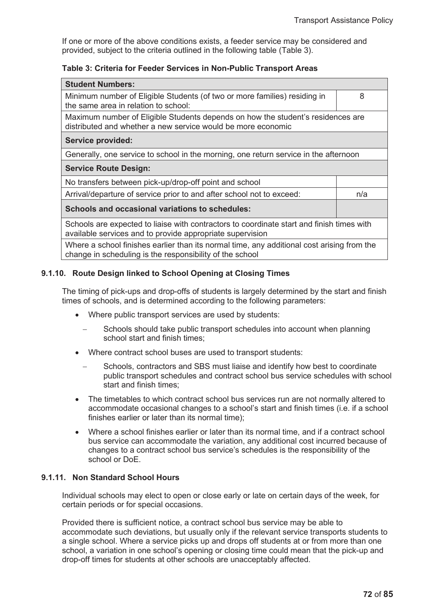If one or more of the above conditions exists, a feeder service may be considered and provided, subject to the criteria outlined in the following table (Table 3).

## **Table 3: Criteria for Feeder Services in Non-Public Transport Areas**

| <b>Student Numbers:</b>                                                                                                                                |     |  |
|--------------------------------------------------------------------------------------------------------------------------------------------------------|-----|--|
| Minimum number of Eligible Students (of two or more families) residing in<br>the same area in relation to school:                                      | 8   |  |
| Maximum number of Eligible Students depends on how the student's residences are<br>distributed and whether a new service would be more economic        |     |  |
| <b>Service provided:</b>                                                                                                                               |     |  |
| Generally, one service to school in the morning, one return service in the afternoon                                                                   |     |  |
| <b>Service Route Design:</b>                                                                                                                           |     |  |
| No transfers between pick-up/drop-off point and school                                                                                                 |     |  |
| Arrival/departure of service prior to and after school not to exceed:                                                                                  | n/a |  |
| Schools and occasional variations to schedules:                                                                                                        |     |  |
| Schools are expected to liaise with contractors to coordinate start and finish times with<br>available services and to provide appropriate supervision |     |  |
| Where a school finishes earlier than its normal time, any additional cost arising from the<br>change in scheduling is the responsibility of the school |     |  |

## **9.1.10. Route Design linked to School Opening at Closing Times**

The timing of pick-ups and drop-offs of students is largely determined by the start and finish times of schools, and is determined according to the following parameters:

- Where public transport services are used by students:
	- Schools should take public transport schedules into account when planning school start and finish times;
- Where contract school buses are used to transport students:
	- Schools, contractors and SBS must liaise and identify how best to coordinate public transport schedules and contract school bus service schedules with school start and finish times;
- The timetables to which contract school bus services run are not normally altered to accommodate occasional changes to a school's start and finish times (i.e. if a school finishes earlier or later than its normal time);
- Where a school finishes earlier or later than its normal time, and if a contract school bus service can accommodate the variation, any additional cost incurred because of changes to a contract school bus service's schedules is the responsibility of the school or DoE.

## **9.1.11. Non Standard School Hours**

Individual schools may elect to open or close early or late on certain days of the week, for certain periods or for special occasions.

Provided there is sufficient notice, a contract school bus service may be able to accommodate such deviations, but usually only if the relevant service transports students to a single school. Where a service picks up and drops off students at or from more than one school, a variation in one school's opening or closing time could mean that the pick-up and drop-off times for students at other schools are unacceptably affected.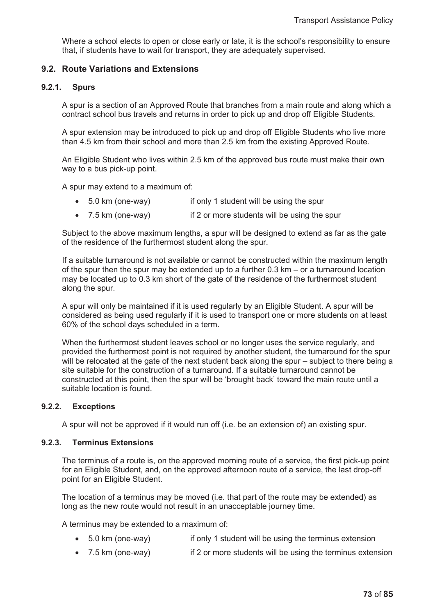Where a school elects to open or close early or late, it is the school's responsibility to ensure that, if students have to wait for transport, they are adequately supervised.

## **9.2. Route Variations and Extensions**

#### **9.2.1. Spurs**

A spur is a section of an Approved Route that branches from a main route and along which a contract school bus travels and returns in order to pick up and drop off Eligible Students.

A spur extension may be introduced to pick up and drop off Eligible Students who live more than 4.5 km from their school and more than 2.5 km from the existing Approved Route.

An Eligible Student who lives within 2.5 km of the approved bus route must make their own way to a bus pick-up point.

A spur may extend to a maximum of:

- 5.0 km (one-way) if only 1 student will be using the spur
- 7.5 km (one-way) if 2 or more students will be using the spur

Subject to the above maximum lengths, a spur will be designed to extend as far as the gate of the residence of the furthermost student along the spur.

If a suitable turnaround is not available or cannot be constructed within the maximum length of the spur then the spur may be extended up to a further 0.3 km – or a turnaround location may be located up to 0.3 km short of the gate of the residence of the furthermost student along the spur.

A spur will only be maintained if it is used regularly by an Eligible Student. A spur will be considered as being used regularly if it is used to transport one or more students on at least 60% of the school days scheduled in a term.

When the furthermost student leaves school or no longer uses the service regularly, and provided the furthermost point is not required by another student, the turnaround for the spur will be relocated at the gate of the next student back along the spur – subject to there being a site suitable for the construction of a turnaround. If a suitable turnaround cannot be constructed at this point, then the spur will be 'brought back' toward the main route until a suitable location is found.

#### **9.2.2. Exceptions**

A spur will not be approved if it would run off (i.e. be an extension of) an existing spur.

#### **9.2.3. Terminus Extensions**

The terminus of a route is, on the approved morning route of a service, the first pick-up point for an Eligible Student, and, on the approved afternoon route of a service, the last drop-off point for an Eligible Student.

The location of a terminus may be moved (i.e. that part of the route may be extended) as long as the new route would not result in an unacceptable journey time.

A terminus may be extended to a maximum of:

- 5.0 km (one-way) if only 1 student will be using the terminus extension
- $\bullet$  7.5 km (one-way) if 2 or more students will be using the terminus extension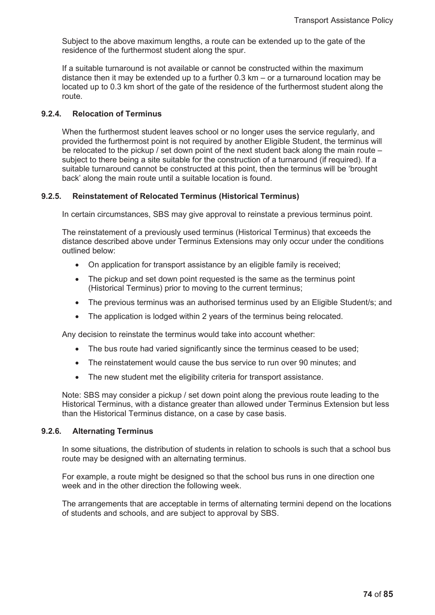Subject to the above maximum lengths, a route can be extended up to the gate of the residence of the furthermost student along the spur.

If a suitable turnaround is not available or cannot be constructed within the maximum distance then it may be extended up to a further 0.3 km – or a turnaround location may be located up to 0.3 km short of the gate of the residence of the furthermost student along the route.

#### **9.2.4. Relocation of Terminus**

When the furthermost student leaves school or no longer uses the service regularly, and provided the furthermost point is not required by another Eligible Student, the terminus will be relocated to the pickup / set down point of the next student back along the main route – subject to there being a site suitable for the construction of a turnaround (if required). If a suitable turnaround cannot be constructed at this point, then the terminus will be 'brought back' along the main route until a suitable location is found.

#### **9.2.5. Reinstatement of Relocated Terminus (Historical Terminus)**

In certain circumstances, SBS may give approval to reinstate a previous terminus point.

The reinstatement of a previously used terminus (Historical Terminus) that exceeds the distance described above under Terminus Extensions may only occur under the conditions outlined below:

- On application for transport assistance by an eligible family is received;
- The pickup and set down point requested is the same as the terminus point (Historical Terminus) prior to moving to the current terminus;
- The previous terminus was an authorised terminus used by an Eligible Student/s; and
- The application is lodged within 2 years of the terminus being relocated.

Any decision to reinstate the terminus would take into account whether:

- The bus route had varied significantly since the terminus ceased to be used;
- The reinstatement would cause the bus service to run over 90 minutes; and
- The new student met the eligibility criteria for transport assistance.

Note: SBS may consider a pickup / set down point along the previous route leading to the Historical Terminus, with a distance greater than allowed under Terminus Extension but less than the Historical Terminus distance, on a case by case basis.

#### **9.2.6. Alternating Terminus**

In some situations, the distribution of students in relation to schools is such that a school bus route may be designed with an alternating terminus.

For example, a route might be designed so that the school bus runs in one direction one week and in the other direction the following week.

The arrangements that are acceptable in terms of alternating termini depend on the locations of students and schools, and are subject to approval by SBS.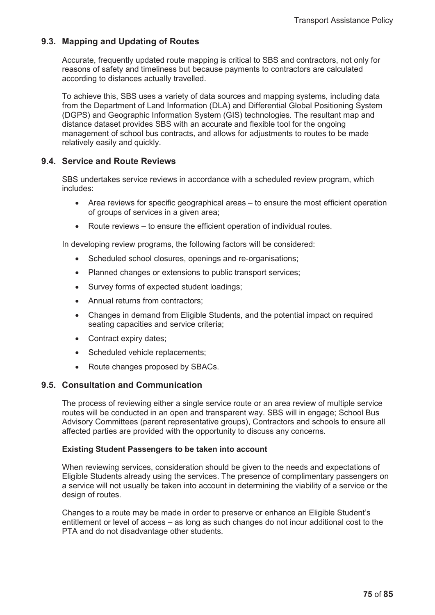## **9.3. Mapping and Updating of Routes**

Accurate, frequently updated route mapping is critical to SBS and contractors, not only for reasons of safety and timeliness but because payments to contractors are calculated according to distances actually travelled.

To achieve this, SBS uses a variety of data sources and mapping systems, including data from the Department of Land Information (DLA) and Differential Global Positioning System (DGPS) and Geographic Information System (GIS) technologies. The resultant map and distance dataset provides SBS with an accurate and flexible tool for the ongoing management of school bus contracts, and allows for adjustments to routes to be made relatively easily and quickly.

## **9.4. Service and Route Reviews**

SBS undertakes service reviews in accordance with a scheduled review program, which includes:

- Area reviews for specific geographical areas to ensure the most efficient operation of groups of services in a given area;
- $\bullet$  Route reviews to ensure the efficient operation of individual routes.

In developing review programs, the following factors will be considered:

- Scheduled school closures, openings and re-organisations;
- Planned changes or extensions to public transport services;
- Survey forms of expected student loadings;
- Annual returns from contractors;
- Changes in demand from Eligible Students, and the potential impact on required seating capacities and service criteria;
- Contract expiry dates;
- Scheduled vehicle replacements;
- Route changes proposed by SBACs.

### **9.5. Consultation and Communication**

The process of reviewing either a single service route or an area review of multiple service routes will be conducted in an open and transparent way. SBS will in engage; School Bus Advisory Committees (parent representative groups), Contractors and schools to ensure all affected parties are provided with the opportunity to discuss any concerns.

#### **Existing Student Passengers to be taken into account**

When reviewing services, consideration should be given to the needs and expectations of Eligible Students already using the services. The presence of complimentary passengers on a service will not usually be taken into account in determining the viability of a service or the design of routes.

Changes to a route may be made in order to preserve or enhance an Eligible Student's entitlement or level of access – as long as such changes do not incur additional cost to the PTA and do not disadvantage other students.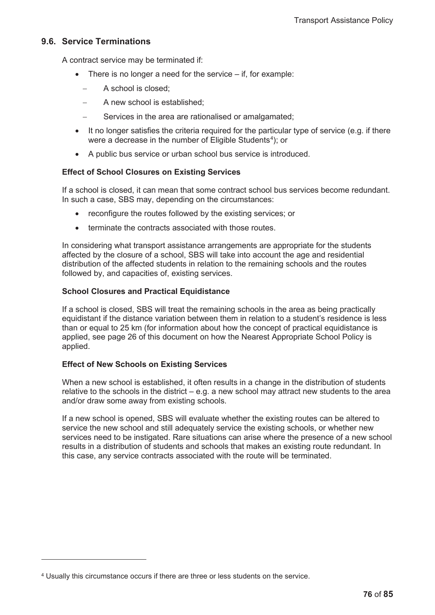### **9.6. Service Terminations**

A contract service may be terminated if:

- There is no longer a need for the service  $-$  if, for example:
	- A school is closed:
	- A new school is established;
	- Services in the area are rationalised or amalgamated;
- $\bullet$  It no longer satisfies the criteria required for the particular type of service (e.g. if there were a decrease in the number of Eligible Students $4$ ); or
- A public bus service or urban school bus service is introduced.

## **Effect of School Closures on Existing Services**

If a school is closed, it can mean that some contract school bus services become redundant. In such a case, SBS may, depending on the circumstances:

- reconfigure the routes followed by the existing services; or
- terminate the contracts associated with those routes.

In considering what transport assistance arrangements are appropriate for the students affected by the closure of a school, SBS will take into account the age and residential distribution of the affected students in relation to the remaining schools and the routes followed by, and capacities of, existing services.

### **School Closures and Practical Equidistance**

If a school is closed, SBS will treat the remaining schools in the area as being practically equidistant if the distance variation between them in relation to a student's residence is less than or equal to 25 km (for information about how the concept of practical equidistance is applied, see page 26 of this document on how the Nearest Appropriate School Policy is applied.

### **Effect of New Schools on Existing Services**

When a new school is established, it often results in a change in the distribution of students relative to the schools in the district – e.g. a new school may attract new students to the area and/or draw some away from existing schools.

If a new school is opened, SBS will evaluate whether the existing routes can be altered to service the new school and still adequately service the existing schools, or whether new services need to be instigated. Rare situations can arise where the presence of a new school results in a distribution of students and schools that makes an existing route redundant. In this case, any service contracts associated with the route will be terminated.

<sup>4</sup> Usually this circumstance occurs if there are three or less students on the service.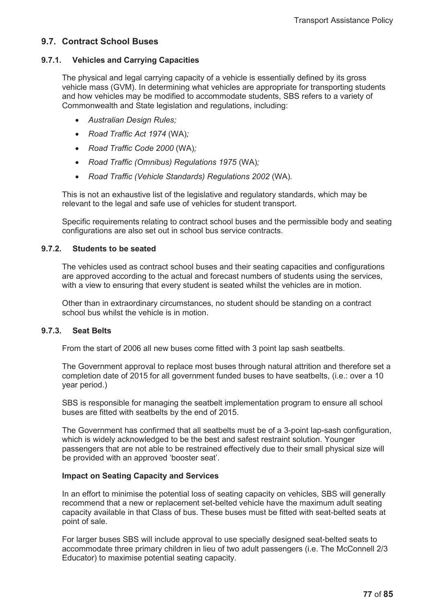## **9.7. Contract School Buses**

## **9.7.1. Vehicles and Carrying Capacities**

The physical and legal carrying capacity of a vehicle is essentially defined by its gross vehicle mass (GVM). In determining what vehicles are appropriate for transporting students and how vehicles may be modified to accommodate students, SBS refers to a variety of Commonwealth and State legislation and regulations, including:

- x *Australian Design Rules;*
- x *Road Traffic Act 1974* (WA)*;*
- x *Road Traffic Code 2000* (WA)*;*
- x *Road Traffic (Omnibus) Regulations 1975* (WA)*;*
- x *Road Traffic (Vehicle Standards) Regulations 2002* (WA)*.*

This is not an exhaustive list of the legislative and regulatory standards, which may be relevant to the legal and safe use of vehicles for student transport.

Specific requirements relating to contract school buses and the permissible body and seating configurations are also set out in school bus service contracts.

## **9.7.2. Students to be seated**

The vehicles used as contract school buses and their seating capacities and configurations are approved according to the actual and forecast numbers of students using the services, with a view to ensuring that every student is seated whilst the vehicles are in motion.

Other than in extraordinary circumstances, no student should be standing on a contract school bus whilst the vehicle is in motion.

### **9.7.3. Seat Belts**

From the start of 2006 all new buses come fitted with 3 point lap sash seatbelts.

The Government approval to replace most buses through natural attrition and therefore set a completion date of 2015 for all government funded buses to have seatbelts, (i.e.: over a 10 year period.)

SBS is responsible for managing the seatbelt implementation program to ensure all school buses are fitted with seatbelts by the end of 2015.

The Government has confirmed that all seatbelts must be of a 3-point lap-sash configuration, which is widely acknowledged to be the best and safest restraint solution. Younger passengers that are not able to be restrained effectively due to their small physical size will be provided with an approved 'booster seat'.

### **Impact on Seating Capacity and Services**

In an effort to minimise the potential loss of seating capacity on vehicles, SBS will generally recommend that a new or replacement set-belted vehicle have the maximum adult seating capacity available in that Class of bus. These buses must be fitted with seat-belted seats at point of sale.

For larger buses SBS will include approval to use specially designed seat-belted seats to accommodate three primary children in lieu of two adult passengers (i.e. The McConnell 2/3 Educator) to maximise potential seating capacity.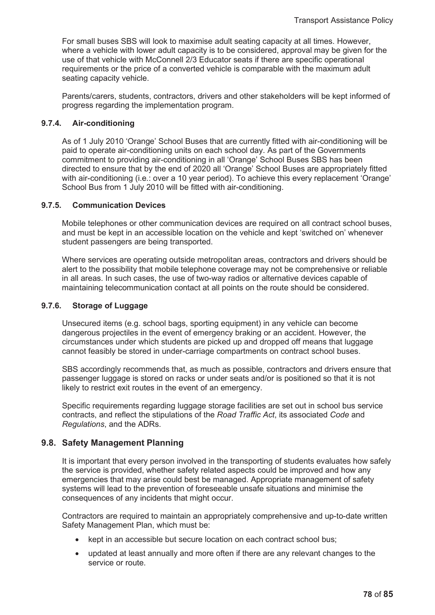For small buses SBS will look to maximise adult seating capacity at all times. However, where a vehicle with lower adult capacity is to be considered, approval may be given for the use of that vehicle with McConnell 2/3 Educator seats if there are specific operational requirements or the price of a converted vehicle is comparable with the maximum adult seating capacity vehicle.

Parents/carers, students, contractors, drivers and other stakeholders will be kept informed of progress regarding the implementation program.

#### **9.7.4. Air-conditioning**

As of 1 July 2010 'Orange' School Buses that are currently fitted with air-conditioning will be paid to operate air-conditioning units on each school day. As part of the Governments commitment to providing air-conditioning in all 'Orange' School Buses SBS has been directed to ensure that by the end of 2020 all 'Orange' School Buses are appropriately fitted with air-conditioning (i.e.: over a 10 year period). To achieve this every replacement 'Orange' School Bus from 1 July 2010 will be fitted with air-conditioning.

#### **9.7.5. Communication Devices**

Mobile telephones or other communication devices are required on all contract school buses, and must be kept in an accessible location on the vehicle and kept 'switched on' whenever student passengers are being transported.

Where services are operating outside metropolitan areas, contractors and drivers should be alert to the possibility that mobile telephone coverage may not be comprehensive or reliable in all areas. In such cases, the use of two-way radios or alternative devices capable of maintaining telecommunication contact at all points on the route should be considered.

#### **9.7.6. Storage of Luggage**

Unsecured items (e.g. school bags, sporting equipment) in any vehicle can become dangerous projectiles in the event of emergency braking or an accident. However, the circumstances under which students are picked up and dropped off means that luggage cannot feasibly be stored in under-carriage compartments on contract school buses.

SBS accordingly recommends that, as much as possible, contractors and drivers ensure that passenger luggage is stored on racks or under seats and/or is positioned so that it is not likely to restrict exit routes in the event of an emergency.

Specific requirements regarding luggage storage facilities are set out in school bus service contracts, and reflect the stipulations of the *Road Traffic Act*, its associated *Code* and *Regulations*, and the ADRs.

### **9.8. Safety Management Planning**

It is important that every person involved in the transporting of students evaluates how safely the service is provided, whether safety related aspects could be improved and how any emergencies that may arise could best be managed. Appropriate management of safety systems will lead to the prevention of foreseeable unsafe situations and minimise the consequences of any incidents that might occur.

Contractors are required to maintain an appropriately comprehensive and up-to-date written Safety Management Plan, which must be:

- kept in an accessible but secure location on each contract school bus;
- updated at least annually and more often if there are any relevant changes to the service or route.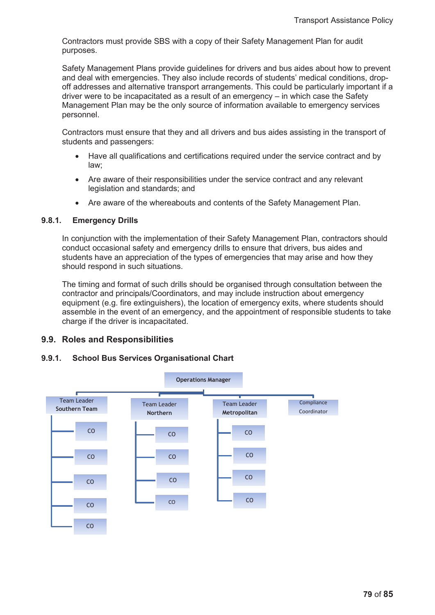Contractors must provide SBS with a copy of their Safety Management Plan for audit purposes.

Safety Management Plans provide guidelines for drivers and bus aides about how to prevent and deal with emergencies. They also include records of students' medical conditions, dropoff addresses and alternative transport arrangements. This could be particularly important if a driver were to be incapacitated as a result of an emergency – in which case the Safety Management Plan may be the only source of information available to emergency services personnel.

Contractors must ensure that they and all drivers and bus aides assisting in the transport of students and passengers:

- Have all qualifications and certifications required under the service contract and by law;
- Are aware of their responsibilities under the service contract and any relevant legislation and standards; and
- Are aware of the whereabouts and contents of the Safety Management Plan.

### **9.8.1. Emergency Drills**

In conjunction with the implementation of their Safety Management Plan, contractors should conduct occasional safety and emergency drills to ensure that drivers, bus aides and students have an appreciation of the types of emergencies that may arise and how they should respond in such situations.

The timing and format of such drills should be organised through consultation between the contractor and principals/Coordinators, and may include instruction about emergency equipment (e.g. fire extinguishers), the location of emergency exits, where students should assemble in the event of an emergency, and the appointment of responsible students to take charge if the driver is incapacitated.

## **9.9. Roles and Responsibilities**

### **9.9.1. School Bus Services Organisational Chart**

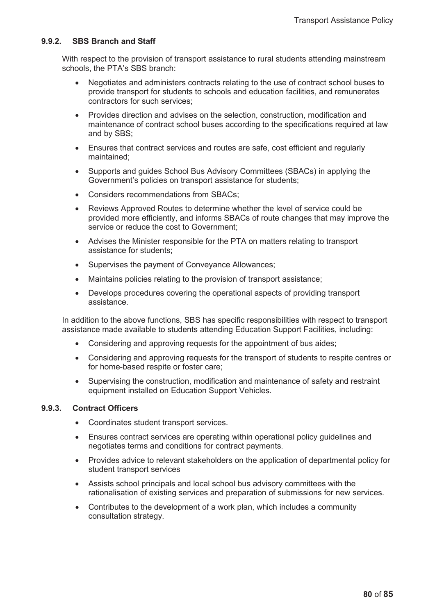#### **9.9.2. SBS Branch and Staff**

With respect to the provision of transport assistance to rural students attending mainstream schools, the PTA's SBS branch:

- Negotiates and administers contracts relating to the use of contract school buses to provide transport for students to schools and education facilities, and remunerates contractors for such services;
- Provides direction and advises on the selection, construction, modification and maintenance of contract school buses according to the specifications required at law and by SBS;
- Ensures that contract services and routes are safe, cost efficient and regularly maintained;
- Supports and guides School Bus Advisory Committees (SBACs) in applying the Government's policies on transport assistance for students;
- x Considers recommendations from SBACs;
- Reviews Approved Routes to determine whether the level of service could be provided more efficiently, and informs SBACs of route changes that may improve the service or reduce the cost to Government;
- Advises the Minister responsible for the PTA on matters relating to transport assistance for students;
- Supervises the payment of Conveyance Allowances;
- Maintains policies relating to the provision of transport assistance:
- Develops procedures covering the operational aspects of providing transport assistance.

In addition to the above functions, SBS has specific responsibilities with respect to transport assistance made available to students attending Education Support Facilities, including:

- Considering and approving requests for the appointment of bus aides;
- Considering and approving requests for the transport of students to respite centres or for home-based respite or foster care;
- Supervising the construction, modification and maintenance of safety and restraint equipment installed on Education Support Vehicles.

### **9.9.3. Contract Officers**

- Coordinates student transport services.
- Ensures contract services are operating within operational policy guidelines and negotiates terms and conditions for contract payments.
- Provides advice to relevant stakeholders on the application of departmental policy for student transport services
- Assists school principals and local school bus advisory committees with the rationalisation of existing services and preparation of submissions for new services.
- Contributes to the development of a work plan, which includes a community consultation strategy.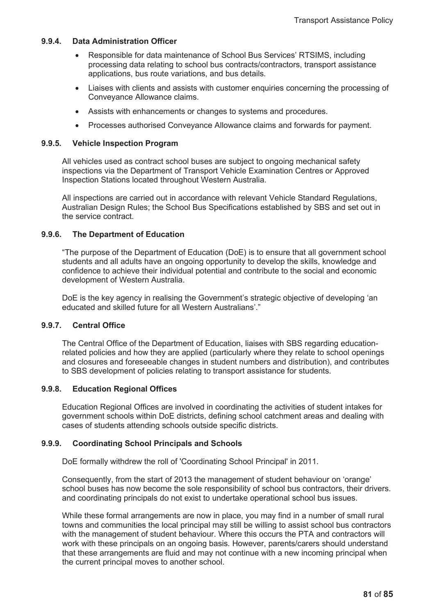#### **9.9.4. Data Administration Officer**

- x Responsible for data maintenance of School Bus Services' RTSIMS, including processing data relating to school bus contracts/contractors, transport assistance applications, bus route variations, and bus details.
- Liaises with clients and assists with customer enquiries concerning the processing of Conveyance Allowance claims.
- Assists with enhancements or changes to systems and procedures.
- Processes authorised Convevance Allowance claims and forwards for payment.

#### **9.9.5. Vehicle Inspection Program**

All vehicles used as contract school buses are subject to ongoing mechanical safety inspections via the Department of Transport Vehicle Examination Centres or Approved Inspection Stations located throughout Western Australia.

All inspections are carried out in accordance with relevant Vehicle Standard Regulations, Australian Design Rules; the School Bus Specifications established by SBS and set out in the service contract.

#### **9.9.6. The Department of Education**

"The purpose of the Department of Education (DoE) is to ensure that all government school students and all adults have an ongoing opportunity to develop the skills, knowledge and confidence to achieve their individual potential and contribute to the social and economic development of Western Australia.

DoE is the key agency in realising the Government's strategic objective of developing 'an educated and skilled future for all Western Australians'."

#### **9.9.7. Central Office**

The Central Office of the Department of Education, liaises with SBS regarding educationrelated policies and how they are applied (particularly where they relate to school openings and closures and foreseeable changes in student numbers and distribution), and contributes to SBS development of policies relating to transport assistance for students.

#### **9.9.8. Education Regional Offices**

Education Regional Offices are involved in coordinating the activities of student intakes for government schools within DoE districts, defining school catchment areas and dealing with cases of students attending schools outside specific districts.

### **9.9.9. Coordinating School Principals and Schools**

DoE formally withdrew the roll of 'Coordinating School Principal' in 2011.

Consequently, from the start of 2013 the management of student behaviour on 'orange' school buses has now become the sole responsibility of school bus contractors, their drivers. and coordinating principals do not exist to undertake operational school bus issues.

While these formal arrangements are now in place, you may find in a number of small rural towns and communities the local principal may still be willing to assist school bus contractors with the management of student behaviour. Where this occurs the PTA and contractors will work with these principals on an ongoing basis. However, parents/carers should understand that these arrangements are fluid and may not continue with a new incoming principal when the current principal moves to another school.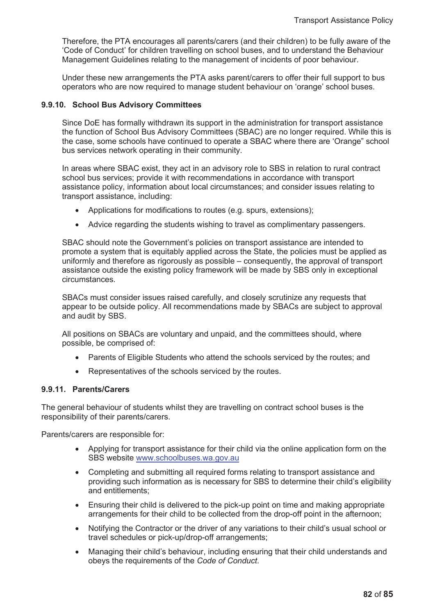Therefore, the PTA encourages all parents/carers (and their children) to be fully aware of the 'Code of Conduct' for children travelling on school buses, and to understand the Behaviour Management Guidelines relating to the management of incidents of poor behaviour.

Under these new arrangements the PTA asks parent/carers to offer their full support to bus operators who are now required to manage student behaviour on 'orange' school buses.

#### **9.9.10. School Bus Advisory Committees**

Since DoE has formally withdrawn its support in the administration for transport assistance the function of School Bus Advisory Committees (SBAC) are no longer required. While this is the case, some schools have continued to operate a SBAC where there are 'Orange" school bus services network operating in their community.

In areas where SBAC exist, they act in an advisory role to SBS in relation to rural contract school bus services; provide it with recommendations in accordance with transport assistance policy, information about local circumstances; and consider issues relating to transport assistance, including:

- Applications for modifications to routes (e.g. spurs, extensions);
- Advice regarding the students wishing to travel as complimentary passengers.

SBAC should note the Government's policies on transport assistance are intended to promote a system that is equitably applied across the State, the policies must be applied as uniformly and therefore as rigorously as possible – consequently, the approval of transport assistance outside the existing policy framework will be made by SBS only in exceptional circumstances.

SBACs must consider issues raised carefully, and closely scrutinize any requests that appear to be outside policy. All recommendations made by SBACs are subject to approval and audit by SBS.

All positions on SBACs are voluntary and unpaid, and the committees should, where possible, be comprised of:

- Parents of Eligible Students who attend the schools serviced by the routes; and
- Representatives of the schools serviced by the routes.

#### **9.9.11. Parents/Carers**

The general behaviour of students whilst they are travelling on contract school buses is the responsibility of their parents/carers.

Parents/carers are responsible for:

- x Applying for transport assistance for their child via the online application form on the SBS website www.schoolbuses.wa.gov.au
- Completing and submitting all required forms relating to transport assistance and providing such information as is necessary for SBS to determine their child's eligibility and entitlements;
- Ensuring their child is delivered to the pick-up point on time and making appropriate arrangements for their child to be collected from the drop-off point in the afternoon;
- Notifying the Contractor or the driver of any variations to their child's usual school or travel schedules or pick-up/drop-off arrangements;
- Managing their child's behaviour, including ensuring that their child understands and obeys the requirements of the *Code of Conduct*.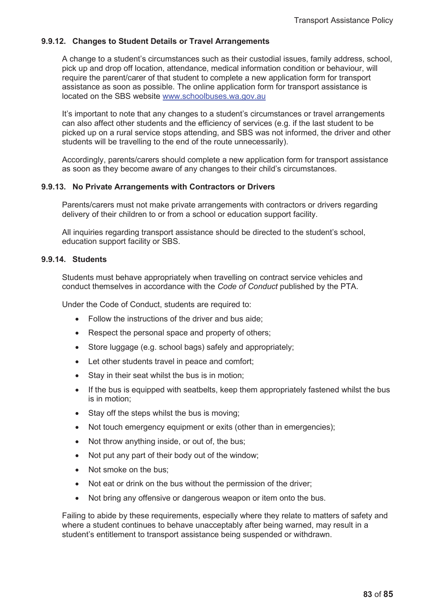## **9.9.12. Changes to Student Details or Travel Arrangements**

A change to a student's circumstances such as their custodial issues, family address, school, pick up and drop off location, attendance, medical information condition or behaviour, will require the parent/carer of that student to complete a new application form for transport assistance as soon as possible. The online application form for transport assistance is located on the SBS website www.schoolbuses.wa.gov.au

It's important to note that any changes to a student's circumstances or travel arrangements can also affect other students and the efficiency of services (e.g. if the last student to be picked up on a rural service stops attending, and SBS was not informed, the driver and other students will be travelling to the end of the route unnecessarily).

Accordingly, parents/carers should complete a new application form for transport assistance as soon as they become aware of any changes to their child's circumstances.

### **9.9.13. No Private Arrangements with Contractors or Drivers**

Parents/carers must not make private arrangements with contractors or drivers regarding delivery of their children to or from a school or education support facility.

All inquiries regarding transport assistance should be directed to the student's school, education support facility or SBS.

#### **9.9.14. Students**

Students must behave appropriately when travelling on contract service vehicles and conduct themselves in accordance with the *Code of Conduct* published by the PTA.

Under the Code of Conduct, students are required to:

- $\bullet$  Follow the instructions of the driver and bus aide:
- $\bullet$  Respect the personal space and property of others;
- Store luggage (e.g. school bags) safely and appropriately;
- Let other students travel in peace and comfort;
- $\bullet$  Stay in their seat whilst the bus is in motion;
- If the bus is equipped with seatbelts, keep them appropriately fastened whilst the bus is in motion;
- $\bullet$  Stay off the steps whilst the bus is moving;
- Not touch emergency equipment or exits (other than in emergencies);
- Not throw anything inside, or out of, the bus;
- Not put any part of their body out of the window;
- Not smoke on the bus:
- Not eat or drink on the bus without the permission of the driver;
- Not bring any offensive or dangerous weapon or item onto the bus.

Failing to abide by these requirements, especially where they relate to matters of safety and where a student continues to behave unacceptably after being warned, may result in a student's entitlement to transport assistance being suspended or withdrawn.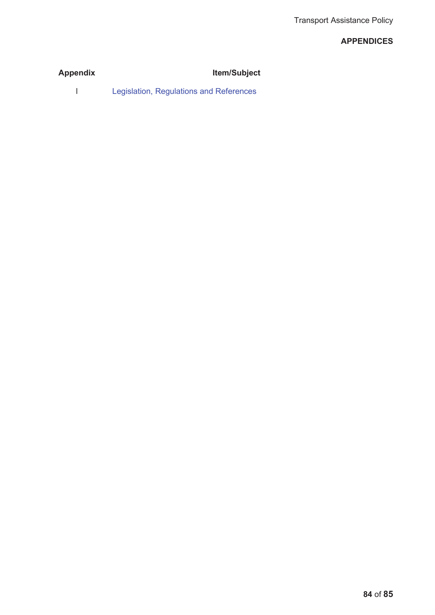## **APPENDICES**

| <b>Appendix</b> | <b>Item/Subject</b> |
|-----------------|---------------------|
|                 |                     |

l Legislation, Regulations and References